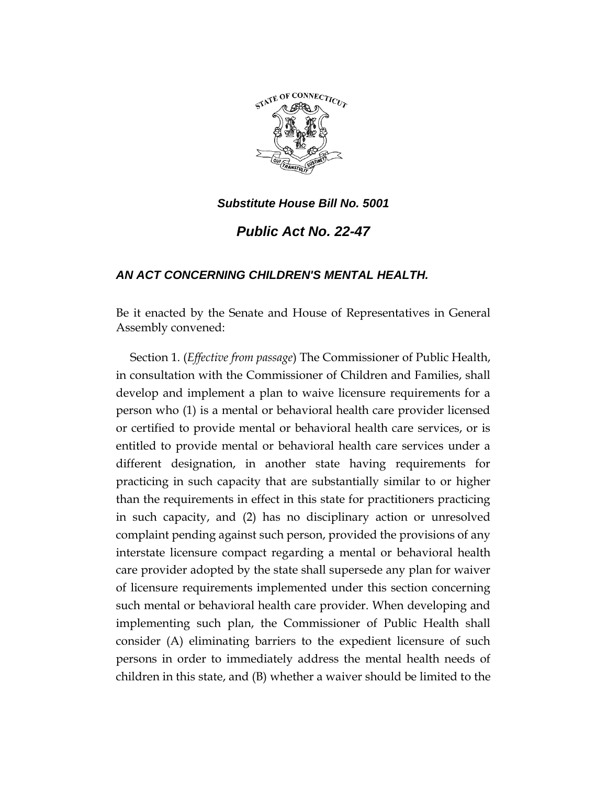

*Public Act No. 22-47*

# *AN ACT CONCERNING CHILDREN'S MENTAL HEALTH.*

Be it enacted by the Senate and House of Representatives in General Assembly convened:

Section 1. (*Effective from passage*) The Commissioner of Public Health, in consultation with the Commissioner of Children and Families, shall develop and implement a plan to waive licensure requirements for a person who (1) is a mental or behavioral health care provider licensed or certified to provide mental or behavioral health care services, or is entitled to provide mental or behavioral health care services under a different designation, in another state having requirements for practicing in such capacity that are substantially similar to or higher than the requirements in effect in this state for practitioners practicing in such capacity, and (2) has no disciplinary action or unresolved complaint pending against such person, provided the provisions of any interstate licensure compact regarding a mental or behavioral health care provider adopted by the state shall supersede any plan for waiver of licensure requirements implemented under this section concerning such mental or behavioral health care provider. When developing and implementing such plan, the Commissioner of Public Health shall consider (A) eliminating barriers to the expedient licensure of such persons in order to immediately address the mental health needs of children in this state, and (B) whether a waiver should be limited to the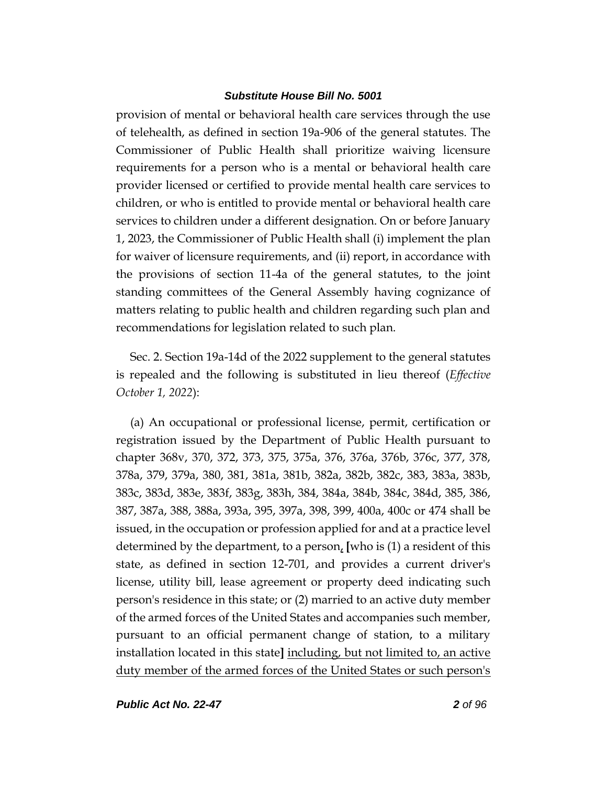provision of mental or behavioral health care services through the use of telehealth, as defined in section 19a-906 of the general statutes. The Commissioner of Public Health shall prioritize waiving licensure requirements for a person who is a mental or behavioral health care provider licensed or certified to provide mental health care services to children, or who is entitled to provide mental or behavioral health care services to children under a different designation. On or before January 1, 2023, the Commissioner of Public Health shall (i) implement the plan for waiver of licensure requirements, and (ii) report, in accordance with the provisions of section 11-4a of the general statutes, to the joint standing committees of the General Assembly having cognizance of matters relating to public health and children regarding such plan and recommendations for legislation related to such plan.

Sec. 2. Section 19a-14d of the 2022 supplement to the general statutes is repealed and the following is substituted in lieu thereof (*Effective October 1, 2022*):

(a) An occupational or professional license, permit, certification or registration issued by the Department of Public Health pursuant to chapter 368v, 370, 372, 373, 375, 375a, 376, 376a, 376b, 376c, 377, 378, 378a, 379, 379a, 380, 381, 381a, 381b, 382a, 382b, 382c, 383, 383a, 383b, 383c, 383d, 383e, 383f, 383g, 383h, 384, 384a, 384b, 384c, 384d, 385, 386, 387, 387a, 388, 388a, 393a, 395, 397a, 398, 399, 400a, 400c or 474 shall be issued, in the occupation or profession applied for and at a practice level determined by the department, to a person, **[**who is (1) a resident of this state, as defined in section 12-701, and provides a current driver's license, utility bill, lease agreement or property deed indicating such person's residence in this state; or (2) married to an active duty member of the armed forces of the United States and accompanies such member, pursuant to an official permanent change of station, to a military installation located in this state**]** including, but not limited to, an active duty member of the armed forces of the United States or such person's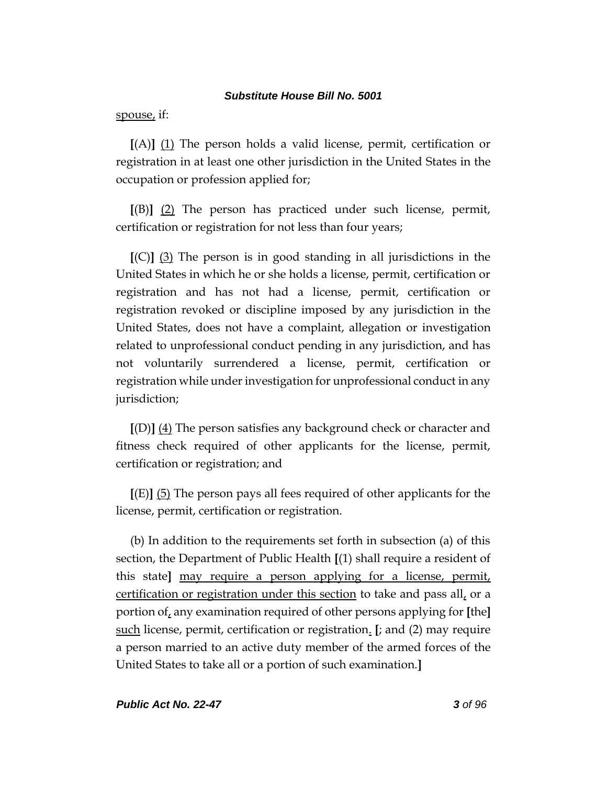spouse, if:

**[**(A)**]** (1) The person holds a valid license, permit, certification or registration in at least one other jurisdiction in the United States in the occupation or profession applied for;

**[**(B)**]** (2) The person has practiced under such license, permit, certification or registration for not less than four years;

**[**(C)**]** (3) The person is in good standing in all jurisdictions in the United States in which he or she holds a license, permit, certification or registration and has not had a license, permit, certification or registration revoked or discipline imposed by any jurisdiction in the United States, does not have a complaint, allegation or investigation related to unprofessional conduct pending in any jurisdiction, and has not voluntarily surrendered a license, permit, certification or registration while under investigation for unprofessional conduct in any jurisdiction;

**[**(D)**]** (4) The person satisfies any background check or character and fitness check required of other applicants for the license, permit, certification or registration; and

**[**(E)**]** (5) The person pays all fees required of other applicants for the license, permit, certification or registration.

(b) In addition to the requirements set forth in subsection (a) of this section, the Department of Public Health **[**(1) shall require a resident of this state**]** may require a person applying for a license, permit, certification or registration under this section to take and pass all, or a portion of, any examination required of other persons applying for **[**the**]** such license, permit, certification or registration. **[**; and (2) may require a person married to an active duty member of the armed forces of the United States to take all or a portion of such examination.**]**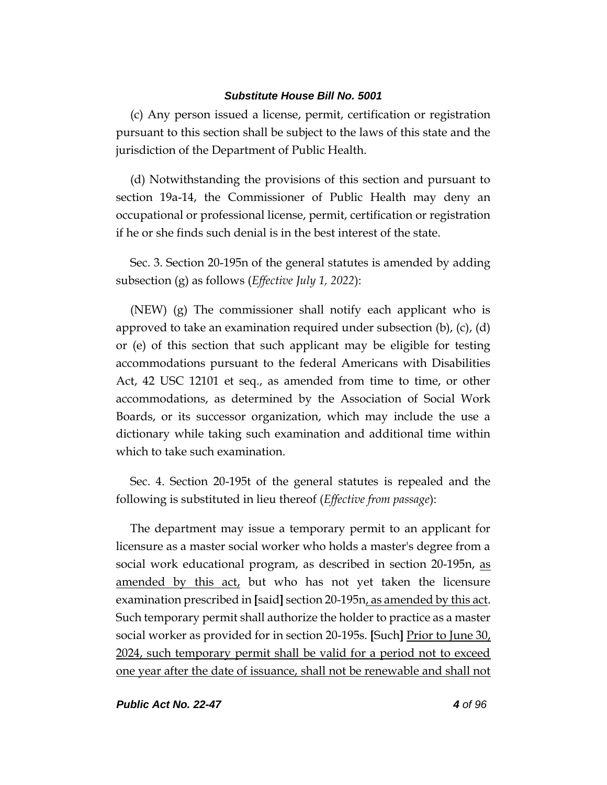(c) Any person issued a license, permit, certification or registration pursuant to this section shall be subject to the laws of this state and the jurisdiction of the Department of Public Health.

(d) Notwithstanding the provisions of this section and pursuant to section 19a-14, the Commissioner of Public Health may deny an occupational or professional license, permit, certification or registration if he or she finds such denial is in the best interest of the state.

Sec. 3. Section 20-195n of the general statutes is amended by adding subsection (g) as follows (*Effective July 1, 2022*):

(NEW) (g) The commissioner shall notify each applicant who is approved to take an examination required under subsection  $(b)$ ,  $(c)$ ,  $(d)$ or (e) of this section that such applicant may be eligible for testing accommodations pursuant to the federal Americans with Disabilities Act, 42 USC 12101 et seq., as amended from time to time, or other accommodations, as determined by the Association of Social Work Boards, or its successor organization, which may include the use a dictionary while taking such examination and additional time within which to take such examination.

Sec. 4. Section 20-195t of the general statutes is repealed and the following is substituted in lieu thereof (*Effective from passage*):

The department may issue a temporary permit to an applicant for licensure as a master social worker who holds a master's degree from a social work educational program, as described in section 20-195n, as amended by this  $act<sub>L</sub>$  but who has not yet taken the licensure examination prescribed in **[**said**]** section 20-195n, as amended by this act. Such temporary permit shall authorize the holder to practice as a master social worker as provided for in section 20-195s. **[**Such**]** Prior to June 30, 2024, such temporary permit shall be valid for a period not to exceed one year after the date of issuance, shall not be renewable and shall not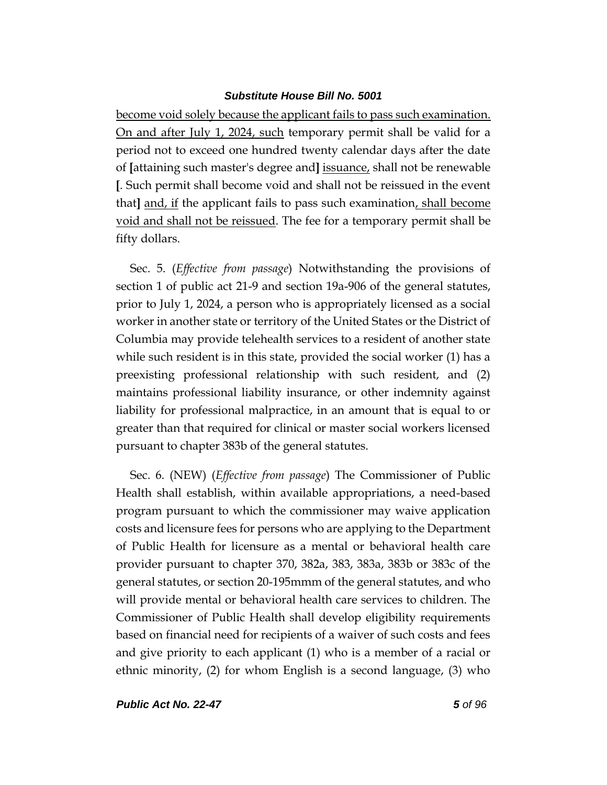become void solely because the applicant fails to pass such examination. On and after July 1, 2024, such temporary permit shall be valid for a period not to exceed one hundred twenty calendar days after the date of **[**attaining such master's degree and**]** issuance, shall not be renewable **[**. Such permit shall become void and shall not be reissued in the event that**]** and, if the applicant fails to pass such examination, shall become void and shall not be reissued. The fee for a temporary permit shall be fifty dollars.

Sec. 5. (*Effective from passage*) Notwithstanding the provisions of section 1 of public act 21-9 and section 19a-906 of the general statutes, prior to July 1, 2024, a person who is appropriately licensed as a social worker in another state or territory of the United States or the District of Columbia may provide telehealth services to a resident of another state while such resident is in this state, provided the social worker (1) has a preexisting professional relationship with such resident, and (2) maintains professional liability insurance, or other indemnity against liability for professional malpractice, in an amount that is equal to or greater than that required for clinical or master social workers licensed pursuant to chapter 383b of the general statutes.

Sec. 6. (NEW) (*Effective from passage*) The Commissioner of Public Health shall establish, within available appropriations, a need-based program pursuant to which the commissioner may waive application costs and licensure fees for persons who are applying to the Department of Public Health for licensure as a mental or behavioral health care provider pursuant to chapter 370, 382a, 383, 383a, 383b or 383c of the general statutes, or section 20-195mmm of the general statutes, and who will provide mental or behavioral health care services to children. The Commissioner of Public Health shall develop eligibility requirements based on financial need for recipients of a waiver of such costs and fees and give priority to each applicant (1) who is a member of a racial or ethnic minority, (2) for whom English is a second language, (3) who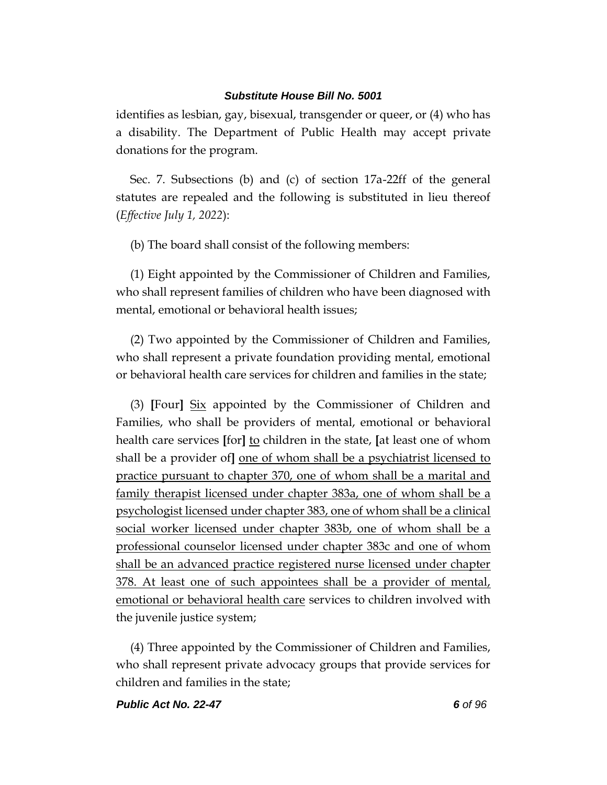identifies as lesbian, gay, bisexual, transgender or queer, or (4) who has a disability. The Department of Public Health may accept private donations for the program.

Sec. 7. Subsections (b) and (c) of section 17a-22ff of the general statutes are repealed and the following is substituted in lieu thereof (*Effective July 1, 2022*):

(b) The board shall consist of the following members:

(1) Eight appointed by the Commissioner of Children and Families, who shall represent families of children who have been diagnosed with mental, emotional or behavioral health issues;

(2) Two appointed by the Commissioner of Children and Families, who shall represent a private foundation providing mental, emotional or behavioral health care services for children and families in the state;

(3) **[**Four**]** Six appointed by the Commissioner of Children and Families, who shall be providers of mental, emotional or behavioral health care services **[**for**]** to children in the state, **[**at least one of whom shall be a provider of**]** one of whom shall be a psychiatrist licensed to practice pursuant to chapter 370, one of whom shall be a marital and family therapist licensed under chapter 383a, one of whom shall be a psychologist licensed under chapter 383, one of whom shall be a clinical social worker licensed under chapter 383b, one of whom shall be a professional counselor licensed under chapter 383c and one of whom shall be an advanced practice registered nurse licensed under chapter 378. At least one of such appointees shall be a provider of mental, emotional or behavioral health care services to children involved with the juvenile justice system;

(4) Three appointed by the Commissioner of Children and Families, who shall represent private advocacy groups that provide services for children and families in the state;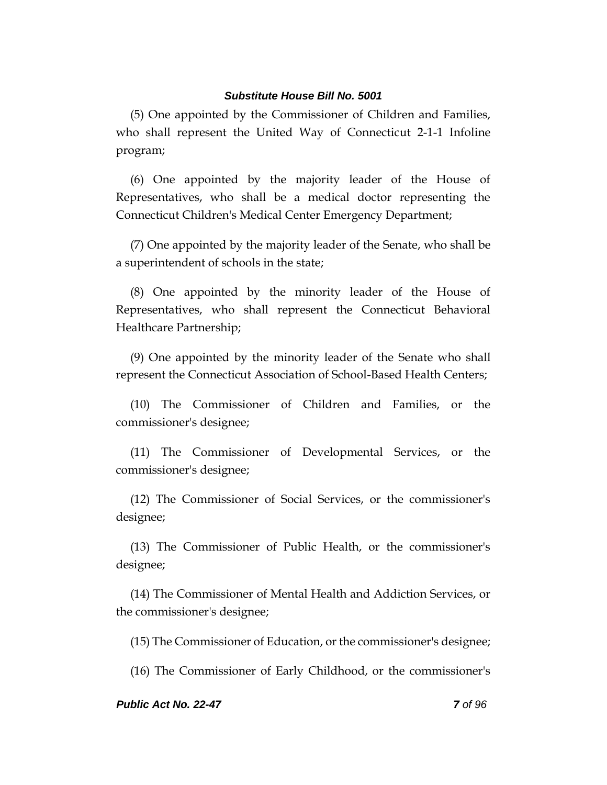(5) One appointed by the Commissioner of Children and Families, who shall represent the United Way of Connecticut 2-1-1 Infoline program;

(6) One appointed by the majority leader of the House of Representatives, who shall be a medical doctor representing the Connecticut Children's Medical Center Emergency Department;

(7) One appointed by the majority leader of the Senate, who shall be a superintendent of schools in the state;

(8) One appointed by the minority leader of the House of Representatives, who shall represent the Connecticut Behavioral Healthcare Partnership;

(9) One appointed by the minority leader of the Senate who shall represent the Connecticut Association of School-Based Health Centers;

(10) The Commissioner of Children and Families, or the commissioner's designee;

(11) The Commissioner of Developmental Services, or the commissioner's designee;

(12) The Commissioner of Social Services, or the commissioner's designee;

(13) The Commissioner of Public Health, or the commissioner's designee;

(14) The Commissioner of Mental Health and Addiction Services, or the commissioner's designee;

(15) The Commissioner of Education, or the commissioner's designee;

(16) The Commissioner of Early Childhood, or the commissioner's

#### *Public Act No. 22-47 7 of 96*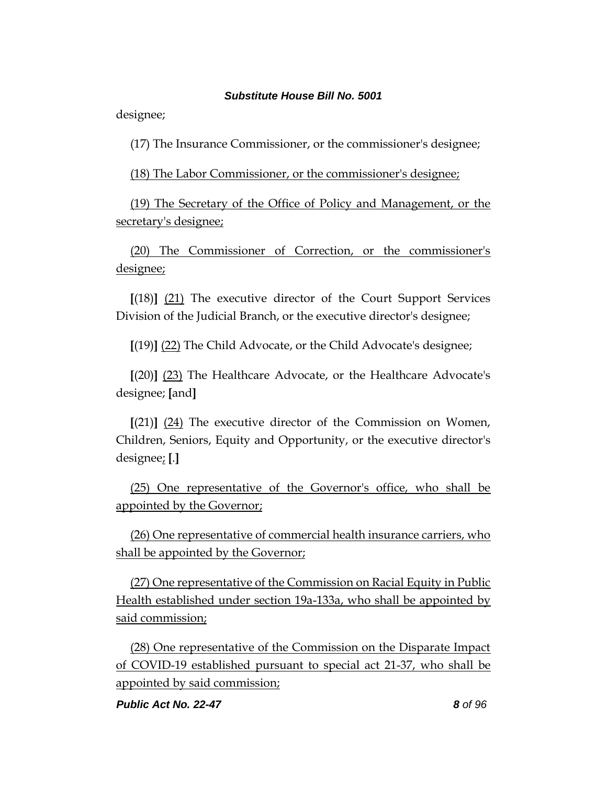designee;

(17) The Insurance Commissioner, or the commissioner's designee;

(18) The Labor Commissioner, or the commissioner's designee;

(19) The Secretary of the Office of Policy and Management, or the secretary's designee;

(20) The Commissioner of Correction, or the commissioner's designee;

**[**(18)**]** (21) The executive director of the Court Support Services Division of the Judicial Branch, or the executive director's designee;

**[**(19)**]** (22) The Child Advocate, or the Child Advocate's designee;

**[**(20)**]** (23) The Healthcare Advocate, or the Healthcare Advocate's designee; **[**and**]**

**[**(21)**]** (24) The executive director of the Commission on Women, Children, Seniors, Equity and Opportunity, or the executive director's designee; **[**.**]**

(25) One representative of the Governor's office, who shall be appointed by the Governor;

(26) One representative of commercial health insurance carriers, who shall be appointed by the Governor;

(27) One representative of the Commission on Racial Equity in Public Health established under section 19a-133a, who shall be appointed by said commission;

(28) One representative of the Commission on the Disparate Impact of COVID-19 established pursuant to special act 21-37, who shall be appointed by said commission;

*Public Act No. 22-47 8 of 96*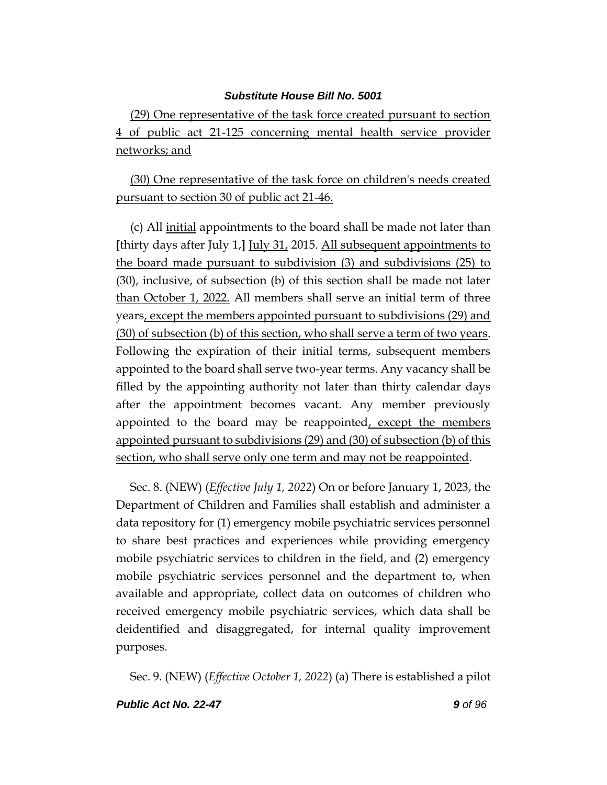(29) One representative of the task force created pursuant to section 4 of public act 21-125 concerning mental health service provider networks; and

(30) One representative of the task force on children's needs created pursuant to section 30 of public act 21-46.

(c) All initial appointments to the board shall be made not later than **[**thirty days after July 1,**]** July 31, 2015. All subsequent appointments to the board made pursuant to subdivision (3) and subdivisions (25) to (30), inclusive, of subsection (b) of this section shall be made not later than October 1, 2022. All members shall serve an initial term of three years, except the members appointed pursuant to subdivisions (29) and (30) of subsection (b) of this section, who shall serve a term of two years. Following the expiration of their initial terms, subsequent members appointed to the board shall serve two-year terms. Any vacancy shall be filled by the appointing authority not later than thirty calendar days after the appointment becomes vacant. Any member previously appointed to the board may be reappointed, except the members appointed pursuant to subdivisions (29) and (30) of subsection (b) of this section, who shall serve only one term and may not be reappointed.

Sec. 8. (NEW) (*Effective July 1, 2022*) On or before January 1, 2023, the Department of Children and Families shall establish and administer a data repository for (1) emergency mobile psychiatric services personnel to share best practices and experiences while providing emergency mobile psychiatric services to children in the field, and (2) emergency mobile psychiatric services personnel and the department to, when available and appropriate, collect data on outcomes of children who received emergency mobile psychiatric services, which data shall be deidentified and disaggregated, for internal quality improvement purposes.

Sec. 9. (NEW) (*Effective October 1, 2022*) (a) There is established a pilot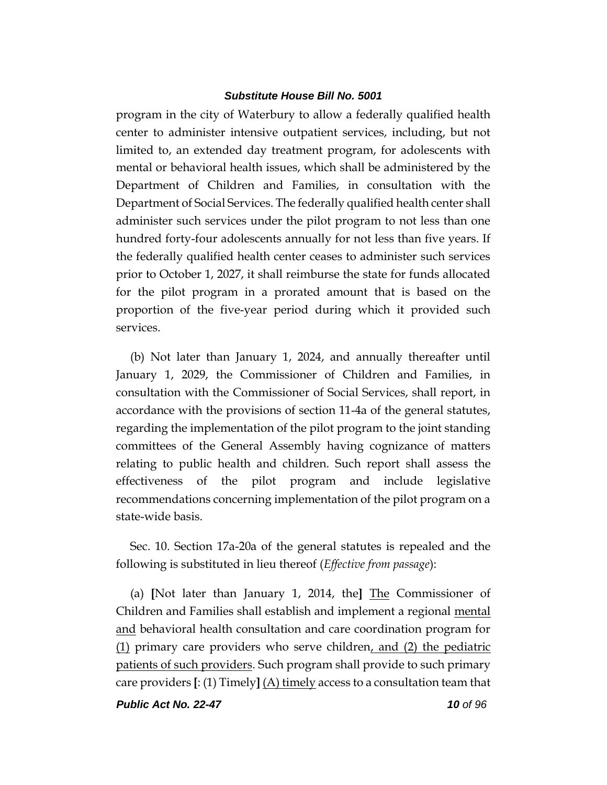program in the city of Waterbury to allow a federally qualified health center to administer intensive outpatient services, including, but not limited to, an extended day treatment program, for adolescents with mental or behavioral health issues, which shall be administered by the Department of Children and Families, in consultation with the Department of Social Services. The federally qualified health center shall administer such services under the pilot program to not less than one hundred forty-four adolescents annually for not less than five years. If the federally qualified health center ceases to administer such services prior to October 1, 2027, it shall reimburse the state for funds allocated for the pilot program in a prorated amount that is based on the proportion of the five-year period during which it provided such services.

(b) Not later than January 1, 2024, and annually thereafter until January 1, 2029, the Commissioner of Children and Families, in consultation with the Commissioner of Social Services, shall report, in accordance with the provisions of section 11-4a of the general statutes, regarding the implementation of the pilot program to the joint standing committees of the General Assembly having cognizance of matters relating to public health and children. Such report shall assess the effectiveness of the pilot program and include legislative recommendations concerning implementation of the pilot program on a state-wide basis.

Sec. 10. Section 17a-20a of the general statutes is repealed and the following is substituted in lieu thereof (*Effective from passage*):

(a) **[**Not later than January 1, 2014, the**]** The Commissioner of Children and Families shall establish and implement a regional mental and behavioral health consultation and care coordination program for (1) primary care providers who serve children, and (2) the pediatric patients of such providers. Such program shall provide to such primary care providers **[**: (1) Timely**]** (A) timely access to a consultation team that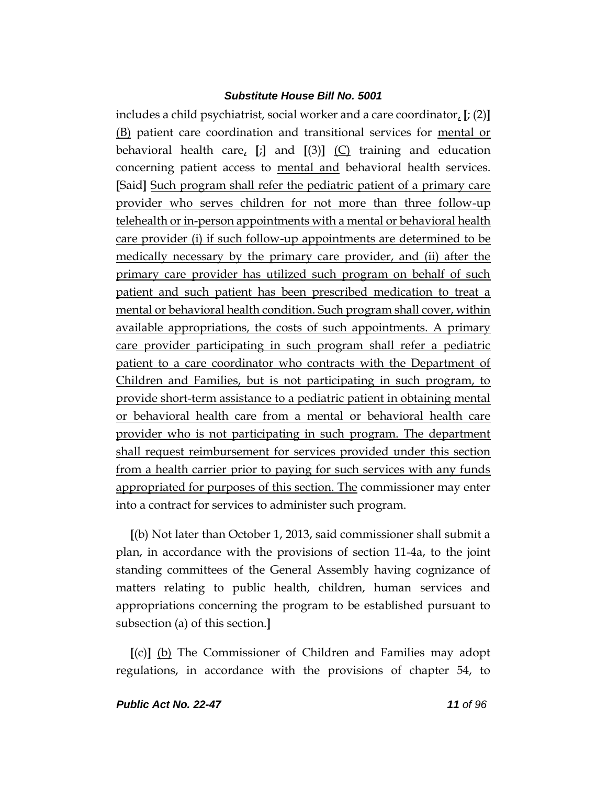includes a child psychiatrist, social worker and a care coordinator, **[**; (2)**]** (B) patient care coordination and transitional services for mental or behavioral health care, **[**;**]** and **[**(3)**]** (C) training and education concerning patient access to mental and behavioral health services. **[**Said**]** Such program shall refer the pediatric patient of a primary care provider who serves children for not more than three follow-up telehealth or in-person appointments with a mental or behavioral health care provider (i) if such follow-up appointments are determined to be medically necessary by the primary care provider, and (ii) after the primary care provider has utilized such program on behalf of such patient and such patient has been prescribed medication to treat a mental or behavioral health condition. Such program shall cover, within available appropriations, the costs of such appointments. A primary care provider participating in such program shall refer a pediatric patient to a care coordinator who contracts with the Department of Children and Families, but is not participating in such program, to provide short-term assistance to a pediatric patient in obtaining mental or behavioral health care from a mental or behavioral health care provider who is not participating in such program. The department shall request reimbursement for services provided under this section from a health carrier prior to paying for such services with any funds appropriated for purposes of this section. The commissioner may enter into a contract for services to administer such program.

**[**(b) Not later than October 1, 2013, said commissioner shall submit a plan, in accordance with the provisions of section 11-4a, to the joint standing committees of the General Assembly having cognizance of matters relating to public health, children, human services and appropriations concerning the program to be established pursuant to subsection (a) of this section.**]**

**[**(c)**]** (b) The Commissioner of Children and Families may adopt regulations, in accordance with the provisions of chapter 54, to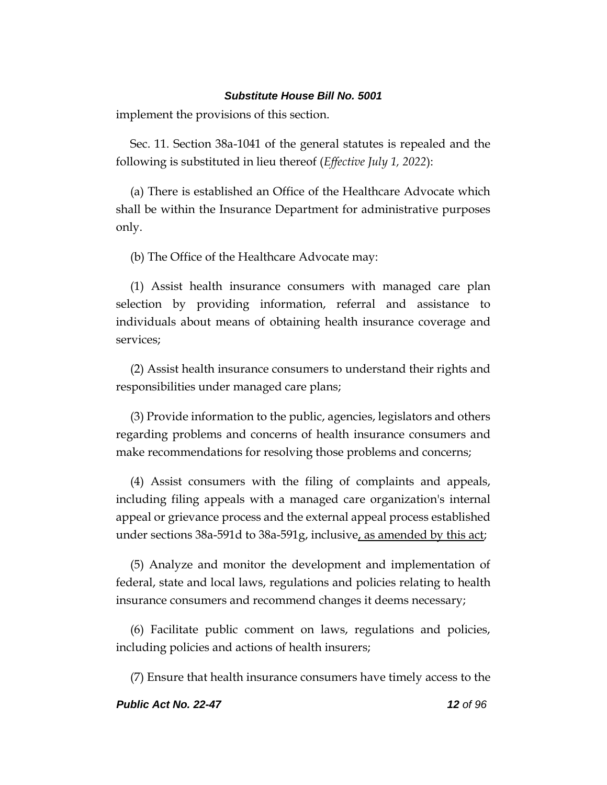implement the provisions of this section.

Sec. 11. Section 38a-1041 of the general statutes is repealed and the following is substituted in lieu thereof (*Effective July 1, 2022*):

(a) There is established an Office of the Healthcare Advocate which shall be within the Insurance Department for administrative purposes only.

(b) The Office of the Healthcare Advocate may:

(1) Assist health insurance consumers with managed care plan selection by providing information, referral and assistance to individuals about means of obtaining health insurance coverage and services;

(2) Assist health insurance consumers to understand their rights and responsibilities under managed care plans;

(3) Provide information to the public, agencies, legislators and others regarding problems and concerns of health insurance consumers and make recommendations for resolving those problems and concerns;

(4) Assist consumers with the filing of complaints and appeals, including filing appeals with a managed care organization's internal appeal or grievance process and the external appeal process established under sections 38a-591d to 38a-591g, inclusive, as amended by this act;

(5) Analyze and monitor the development and implementation of federal, state and local laws, regulations and policies relating to health insurance consumers and recommend changes it deems necessary;

(6) Facilitate public comment on laws, regulations and policies, including policies and actions of health insurers;

(7) Ensure that health insurance consumers have timely access to the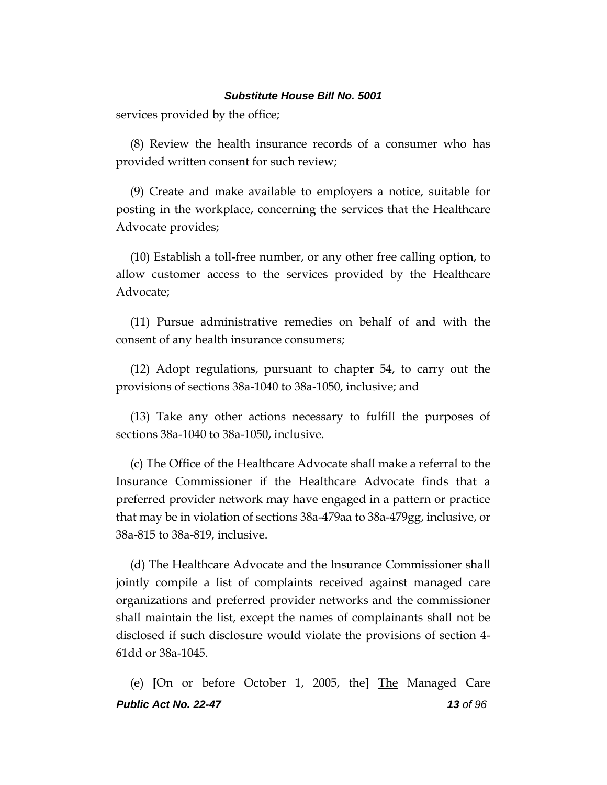services provided by the office;

(8) Review the health insurance records of a consumer who has provided written consent for such review;

(9) Create and make available to employers a notice, suitable for posting in the workplace, concerning the services that the Healthcare Advocate provides;

(10) Establish a toll-free number, or any other free calling option, to allow customer access to the services provided by the Healthcare Advocate;

(11) Pursue administrative remedies on behalf of and with the consent of any health insurance consumers;

(12) Adopt regulations, pursuant to chapter 54, to carry out the provisions of sections 38a-1040 to 38a-1050, inclusive; and

(13) Take any other actions necessary to fulfill the purposes of sections 38a-1040 to 38a-1050, inclusive.

(c) The Office of the Healthcare Advocate shall make a referral to the Insurance Commissioner if the Healthcare Advocate finds that a preferred provider network may have engaged in a pattern or practice that may be in violation of sections 38a-479aa to 38a-479gg, inclusive, or 38a-815 to 38a-819, inclusive.

(d) The Healthcare Advocate and the Insurance Commissioner shall jointly compile a list of complaints received against managed care organizations and preferred provider networks and the commissioner shall maintain the list, except the names of complainants shall not be disclosed if such disclosure would violate the provisions of section 4- 61dd or 38a-1045.

*Public Act No. 22-47 13 of 96* (e) **[**On or before October 1, 2005, the**]** The Managed Care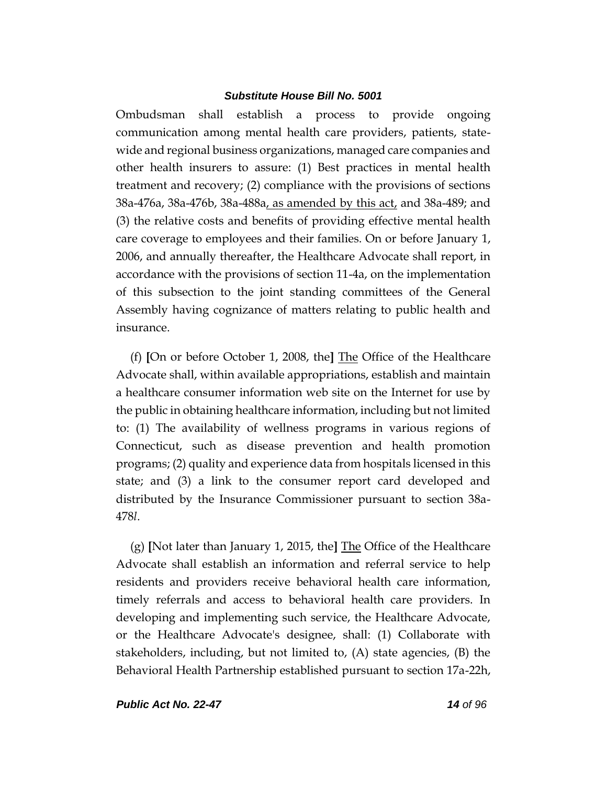Ombudsman shall establish a process to provide ongoing communication among mental health care providers, patients, statewide and regional business organizations, managed care companies and other health insurers to assure: (1) Best practices in mental health treatment and recovery; (2) compliance with the provisions of sections 38a-476a, 38a-476b, 38a-488a, as amended by this act, and 38a-489; and (3) the relative costs and benefits of providing effective mental health care coverage to employees and their families. On or before January 1, 2006, and annually thereafter, the Healthcare Advocate shall report, in accordance with the provisions of section 11-4a, on the implementation of this subsection to the joint standing committees of the General Assembly having cognizance of matters relating to public health and insurance.

(f) **[**On or before October 1, 2008, the**]** The Office of the Healthcare Advocate shall, within available appropriations, establish and maintain a healthcare consumer information web site on the Internet for use by the public in obtaining healthcare information, including but not limited to: (1) The availability of wellness programs in various regions of Connecticut, such as disease prevention and health promotion programs; (2) quality and experience data from hospitals licensed in this state; and (3) a link to the consumer report card developed and distributed by the Insurance Commissioner pursuant to section 38a-478*l*.

(g) **[**Not later than January 1, 2015, the**]** The Office of the Healthcare Advocate shall establish an information and referral service to help residents and providers receive behavioral health care information, timely referrals and access to behavioral health care providers. In developing and implementing such service, the Healthcare Advocate, or the Healthcare Advocate's designee, shall: (1) Collaborate with stakeholders, including, but not limited to, (A) state agencies, (B) the Behavioral Health Partnership established pursuant to section 17a-22h,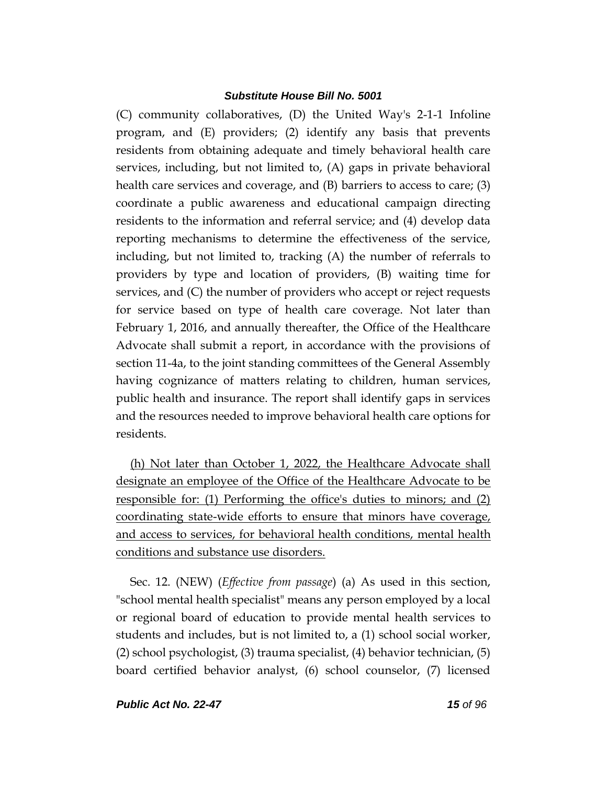(C) community collaboratives, (D) the United Way's 2-1-1 Infoline program, and (E) providers; (2) identify any basis that prevents residents from obtaining adequate and timely behavioral health care services, including, but not limited to, (A) gaps in private behavioral health care services and coverage, and (B) barriers to access to care; (3) coordinate a public awareness and educational campaign directing residents to the information and referral service; and (4) develop data reporting mechanisms to determine the effectiveness of the service, including, but not limited to, tracking (A) the number of referrals to providers by type and location of providers, (B) waiting time for services, and (C) the number of providers who accept or reject requests for service based on type of health care coverage. Not later than February 1, 2016, and annually thereafter, the Office of the Healthcare Advocate shall submit a report, in accordance with the provisions of section 11-4a, to the joint standing committees of the General Assembly having cognizance of matters relating to children, human services, public health and insurance. The report shall identify gaps in services and the resources needed to improve behavioral health care options for residents.

(h) Not later than October 1, 2022, the Healthcare Advocate shall designate an employee of the Office of the Healthcare Advocate to be responsible for: (1) Performing the office's duties to minors; and (2) coordinating state-wide efforts to ensure that minors have coverage, and access to services, for behavioral health conditions, mental health conditions and substance use disorders.

Sec. 12. (NEW) (*Effective from passage*) (a) As used in this section, "school mental health specialist" means any person employed by a local or regional board of education to provide mental health services to students and includes, but is not limited to, a (1) school social worker, (2) school psychologist, (3) trauma specialist, (4) behavior technician, (5) board certified behavior analyst, (6) school counselor, (7) licensed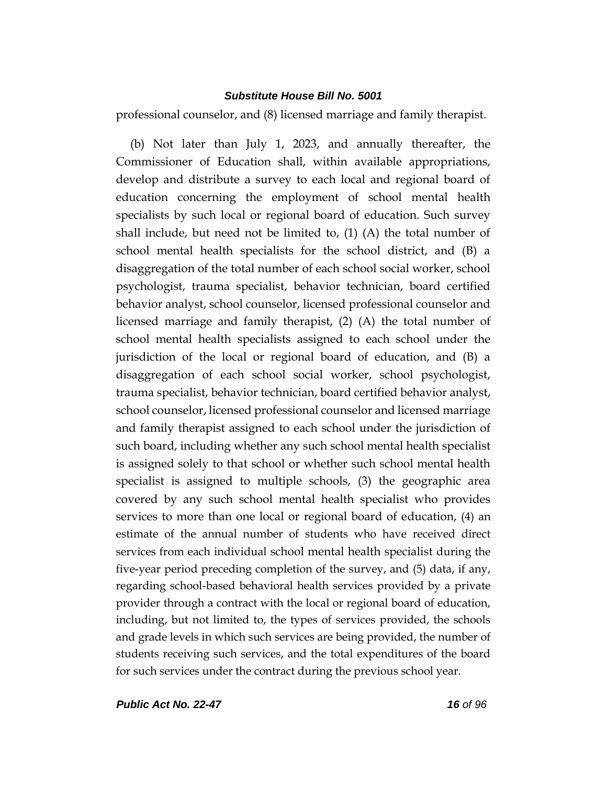professional counselor, and (8) licensed marriage and family therapist.

(b) Not later than July 1, 2023, and annually thereafter, the Commissioner of Education shall, within available appropriations, develop and distribute a survey to each local and regional board of education concerning the employment of school mental health specialists by such local or regional board of education. Such survey shall include, but need not be limited to,  $(1)$  (A) the total number of school mental health specialists for the school district, and (B) a disaggregation of the total number of each school social worker, school psychologist, trauma specialist, behavior technician, board certified behavior analyst, school counselor, licensed professional counselor and licensed marriage and family therapist, (2) (A) the total number of school mental health specialists assigned to each school under the jurisdiction of the local or regional board of education, and (B) a disaggregation of each school social worker, school psychologist, trauma specialist, behavior technician, board certified behavior analyst, school counselor, licensed professional counselor and licensed marriage and family therapist assigned to each school under the jurisdiction of such board, including whether any such school mental health specialist is assigned solely to that school or whether such school mental health specialist is assigned to multiple schools, (3) the geographic area covered by any such school mental health specialist who provides services to more than one local or regional board of education, (4) an estimate of the annual number of students who have received direct services from each individual school mental health specialist during the five-year period preceding completion of the survey, and (5) data, if any, regarding school-based behavioral health services provided by a private provider through a contract with the local or regional board of education, including, but not limited to, the types of services provided, the schools and grade levels in which such services are being provided, the number of students receiving such services, and the total expenditures of the board for such services under the contract during the previous school year.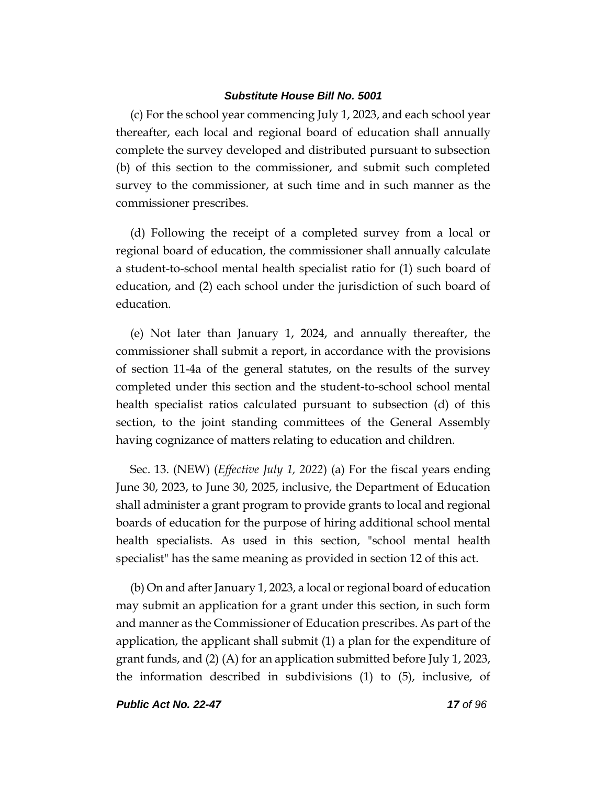(c) For the school year commencing July 1, 2023, and each school year thereafter, each local and regional board of education shall annually complete the survey developed and distributed pursuant to subsection (b) of this section to the commissioner, and submit such completed survey to the commissioner, at such time and in such manner as the commissioner prescribes.

(d) Following the receipt of a completed survey from a local or regional board of education, the commissioner shall annually calculate a student-to-school mental health specialist ratio for (1) such board of education, and (2) each school under the jurisdiction of such board of education.

(e) Not later than January 1, 2024, and annually thereafter, the commissioner shall submit a report, in accordance with the provisions of section 11-4a of the general statutes, on the results of the survey completed under this section and the student-to-school school mental health specialist ratios calculated pursuant to subsection (d) of this section, to the joint standing committees of the General Assembly having cognizance of matters relating to education and children.

Sec. 13. (NEW) (*Effective July 1, 2022*) (a) For the fiscal years ending June 30, 2023, to June 30, 2025, inclusive, the Department of Education shall administer a grant program to provide grants to local and regional boards of education for the purpose of hiring additional school mental health specialists. As used in this section, "school mental health specialist" has the same meaning as provided in section 12 of this act.

(b) On and after January 1, 2023, a local or regional board of education may submit an application for a grant under this section, in such form and manner as the Commissioner of Education prescribes. As part of the application, the applicant shall submit (1) a plan for the expenditure of grant funds, and (2) (A) for an application submitted before July 1, 2023, the information described in subdivisions (1) to (5), inclusive, of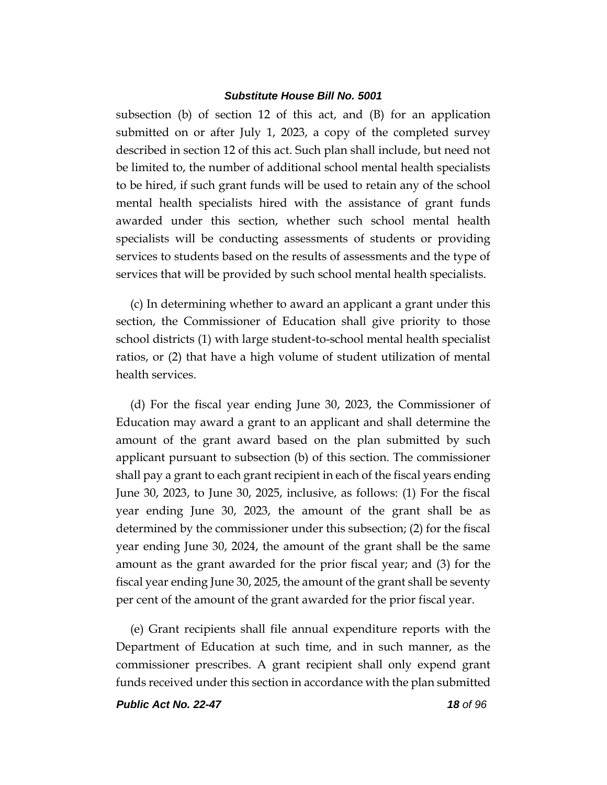subsection (b) of section 12 of this act, and (B) for an application submitted on or after July 1, 2023, a copy of the completed survey described in section 12 of this act. Such plan shall include, but need not be limited to, the number of additional school mental health specialists to be hired, if such grant funds will be used to retain any of the school mental health specialists hired with the assistance of grant funds awarded under this section, whether such school mental health specialists will be conducting assessments of students or providing services to students based on the results of assessments and the type of services that will be provided by such school mental health specialists.

(c) In determining whether to award an applicant a grant under this section, the Commissioner of Education shall give priority to those school districts (1) with large student-to-school mental health specialist ratios, or (2) that have a high volume of student utilization of mental health services.

(d) For the fiscal year ending June 30, 2023, the Commissioner of Education may award a grant to an applicant and shall determine the amount of the grant award based on the plan submitted by such applicant pursuant to subsection (b) of this section. The commissioner shall pay a grant to each grant recipient in each of the fiscal years ending June 30, 2023, to June 30, 2025, inclusive, as follows: (1) For the fiscal year ending June 30, 2023, the amount of the grant shall be as determined by the commissioner under this subsection; (2) for the fiscal year ending June 30, 2024, the amount of the grant shall be the same amount as the grant awarded for the prior fiscal year; and (3) for the fiscal year ending June 30, 2025, the amount of the grant shall be seventy per cent of the amount of the grant awarded for the prior fiscal year.

(e) Grant recipients shall file annual expenditure reports with the Department of Education at such time, and in such manner, as the commissioner prescribes. A grant recipient shall only expend grant funds received under this section in accordance with the plan submitted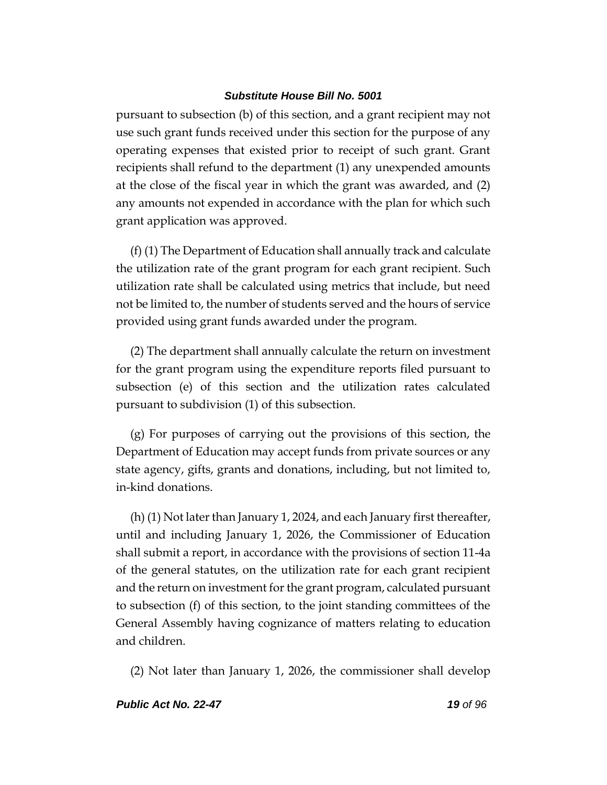pursuant to subsection (b) of this section, and a grant recipient may not use such grant funds received under this section for the purpose of any operating expenses that existed prior to receipt of such grant. Grant recipients shall refund to the department (1) any unexpended amounts at the close of the fiscal year in which the grant was awarded, and (2) any amounts not expended in accordance with the plan for which such grant application was approved.

(f) (1) The Department of Education shall annually track and calculate the utilization rate of the grant program for each grant recipient. Such utilization rate shall be calculated using metrics that include, but need not be limited to, the number of students served and the hours of service provided using grant funds awarded under the program.

(2) The department shall annually calculate the return on investment for the grant program using the expenditure reports filed pursuant to subsection (e) of this section and the utilization rates calculated pursuant to subdivision (1) of this subsection.

(g) For purposes of carrying out the provisions of this section, the Department of Education may accept funds from private sources or any state agency, gifts, grants and donations, including, but not limited to, in-kind donations.

(h) (1) Not later than January 1, 2024, and each January first thereafter, until and including January 1, 2026, the Commissioner of Education shall submit a report, in accordance with the provisions of section 11-4a of the general statutes, on the utilization rate for each grant recipient and the return on investment for the grant program, calculated pursuant to subsection (f) of this section, to the joint standing committees of the General Assembly having cognizance of matters relating to education and children.

(2) Not later than January 1, 2026, the commissioner shall develop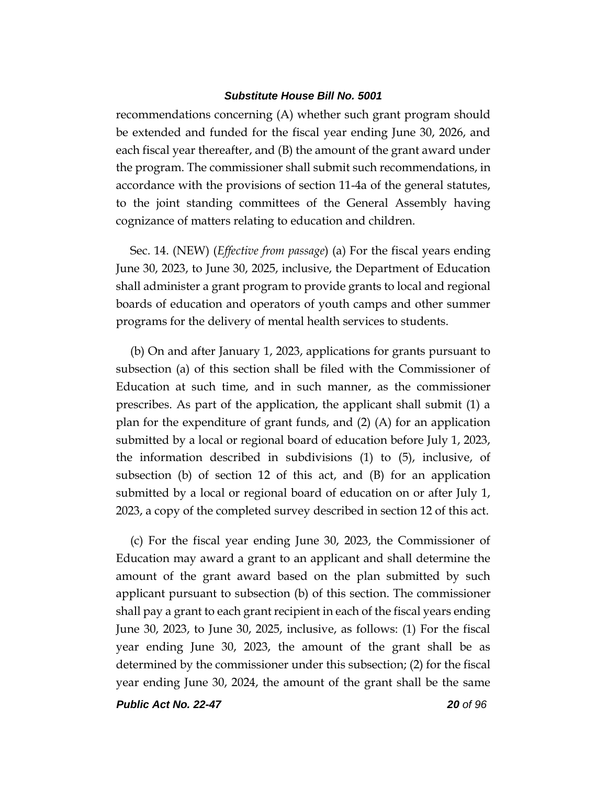recommendations concerning (A) whether such grant program should be extended and funded for the fiscal year ending June 30, 2026, and each fiscal year thereafter, and (B) the amount of the grant award under the program. The commissioner shall submit such recommendations, in accordance with the provisions of section 11-4a of the general statutes, to the joint standing committees of the General Assembly having cognizance of matters relating to education and children.

Sec. 14. (NEW) (*Effective from passage*) (a) For the fiscal years ending June 30, 2023, to June 30, 2025, inclusive, the Department of Education shall administer a grant program to provide grants to local and regional boards of education and operators of youth camps and other summer programs for the delivery of mental health services to students.

(b) On and after January 1, 2023, applications for grants pursuant to subsection (a) of this section shall be filed with the Commissioner of Education at such time, and in such manner, as the commissioner prescribes. As part of the application, the applicant shall submit (1) a plan for the expenditure of grant funds, and (2) (A) for an application submitted by a local or regional board of education before July 1, 2023, the information described in subdivisions (1) to (5), inclusive, of subsection (b) of section 12 of this act, and (B) for an application submitted by a local or regional board of education on or after July 1, 2023, a copy of the completed survey described in section 12 of this act.

(c) For the fiscal year ending June 30, 2023, the Commissioner of Education may award a grant to an applicant and shall determine the amount of the grant award based on the plan submitted by such applicant pursuant to subsection (b) of this section. The commissioner shall pay a grant to each grant recipient in each of the fiscal years ending June 30, 2023, to June 30, 2025, inclusive, as follows: (1) For the fiscal year ending June 30, 2023, the amount of the grant shall be as determined by the commissioner under this subsection; (2) for the fiscal year ending June 30, 2024, the amount of the grant shall be the same

*Public Act No. 22-47 20 of 96*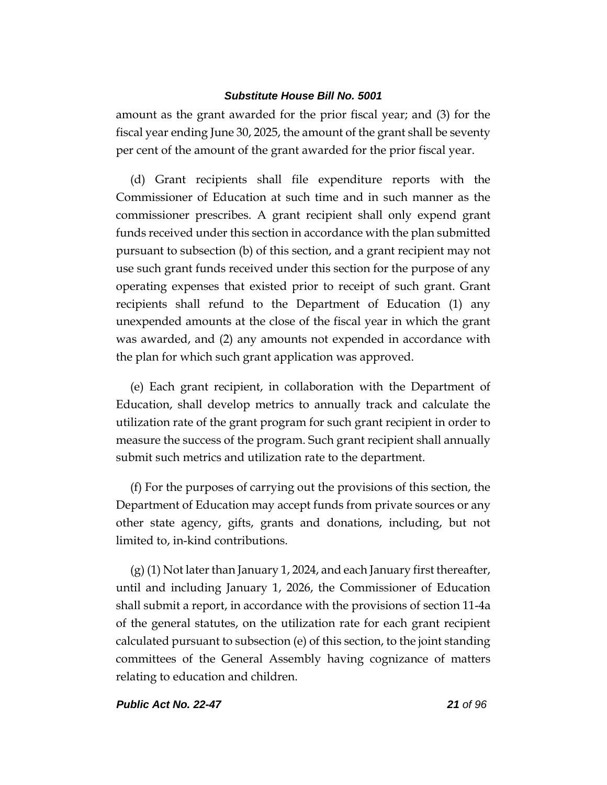amount as the grant awarded for the prior fiscal year; and (3) for the fiscal year ending June 30, 2025, the amount of the grant shall be seventy per cent of the amount of the grant awarded for the prior fiscal year.

(d) Grant recipients shall file expenditure reports with the Commissioner of Education at such time and in such manner as the commissioner prescribes. A grant recipient shall only expend grant funds received under this section in accordance with the plan submitted pursuant to subsection (b) of this section, and a grant recipient may not use such grant funds received under this section for the purpose of any operating expenses that existed prior to receipt of such grant. Grant recipients shall refund to the Department of Education (1) any unexpended amounts at the close of the fiscal year in which the grant was awarded, and (2) any amounts not expended in accordance with the plan for which such grant application was approved.

(e) Each grant recipient, in collaboration with the Department of Education, shall develop metrics to annually track and calculate the utilization rate of the grant program for such grant recipient in order to measure the success of the program. Such grant recipient shall annually submit such metrics and utilization rate to the department.

(f) For the purposes of carrying out the provisions of this section, the Department of Education may accept funds from private sources or any other state agency, gifts, grants and donations, including, but not limited to, in-kind contributions.

(g) (1) Not later than January 1, 2024, and each January first thereafter, until and including January 1, 2026, the Commissioner of Education shall submit a report, in accordance with the provisions of section 11-4a of the general statutes, on the utilization rate for each grant recipient calculated pursuant to subsection (e) of this section, to the joint standing committees of the General Assembly having cognizance of matters relating to education and children.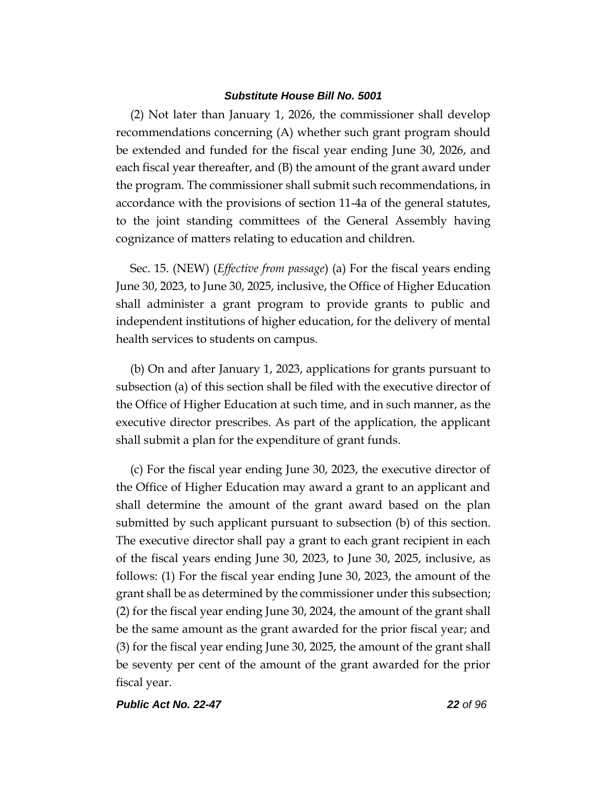(2) Not later than January 1, 2026, the commissioner shall develop recommendations concerning (A) whether such grant program should be extended and funded for the fiscal year ending June 30, 2026, and each fiscal year thereafter, and (B) the amount of the grant award under the program. The commissioner shall submit such recommendations, in accordance with the provisions of section 11-4a of the general statutes, to the joint standing committees of the General Assembly having cognizance of matters relating to education and children.

Sec. 15. (NEW) (*Effective from passage*) (a) For the fiscal years ending June 30, 2023, to June 30, 2025, inclusive, the Office of Higher Education shall administer a grant program to provide grants to public and independent institutions of higher education, for the delivery of mental health services to students on campus.

(b) On and after January 1, 2023, applications for grants pursuant to subsection (a) of this section shall be filed with the executive director of the Office of Higher Education at such time, and in such manner, as the executive director prescribes. As part of the application, the applicant shall submit a plan for the expenditure of grant funds.

(c) For the fiscal year ending June 30, 2023, the executive director of the Office of Higher Education may award a grant to an applicant and shall determine the amount of the grant award based on the plan submitted by such applicant pursuant to subsection (b) of this section. The executive director shall pay a grant to each grant recipient in each of the fiscal years ending June 30, 2023, to June 30, 2025, inclusive, as follows: (1) For the fiscal year ending June 30, 2023, the amount of the grant shall be as determined by the commissioner under this subsection; (2) for the fiscal year ending June 30, 2024, the amount of the grant shall be the same amount as the grant awarded for the prior fiscal year; and (3) for the fiscal year ending June 30, 2025, the amount of the grant shall be seventy per cent of the amount of the grant awarded for the prior fiscal year.

*Public Act No. 22-47 22 of 96*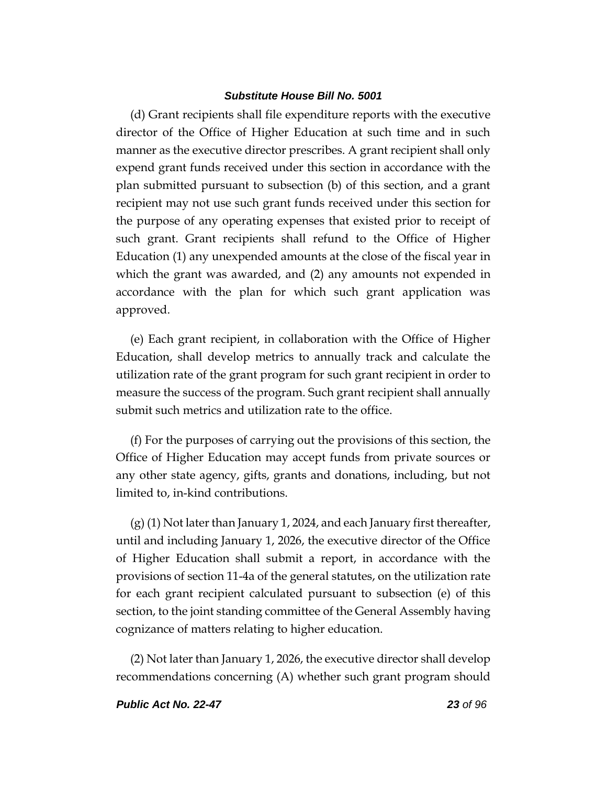(d) Grant recipients shall file expenditure reports with the executive director of the Office of Higher Education at such time and in such manner as the executive director prescribes. A grant recipient shall only expend grant funds received under this section in accordance with the plan submitted pursuant to subsection (b) of this section, and a grant recipient may not use such grant funds received under this section for the purpose of any operating expenses that existed prior to receipt of such grant. Grant recipients shall refund to the Office of Higher Education (1) any unexpended amounts at the close of the fiscal year in which the grant was awarded, and (2) any amounts not expended in accordance with the plan for which such grant application was approved.

(e) Each grant recipient, in collaboration with the Office of Higher Education, shall develop metrics to annually track and calculate the utilization rate of the grant program for such grant recipient in order to measure the success of the program. Such grant recipient shall annually submit such metrics and utilization rate to the office.

(f) For the purposes of carrying out the provisions of this section, the Office of Higher Education may accept funds from private sources or any other state agency, gifts, grants and donations, including, but not limited to, in-kind contributions.

(g) (1) Not later than January 1, 2024, and each January first thereafter, until and including January 1, 2026, the executive director of the Office of Higher Education shall submit a report, in accordance with the provisions of section 11-4a of the general statutes, on the utilization rate for each grant recipient calculated pursuant to subsection (e) of this section, to the joint standing committee of the General Assembly having cognizance of matters relating to higher education.

(2) Not later than January 1, 2026, the executive director shall develop recommendations concerning (A) whether such grant program should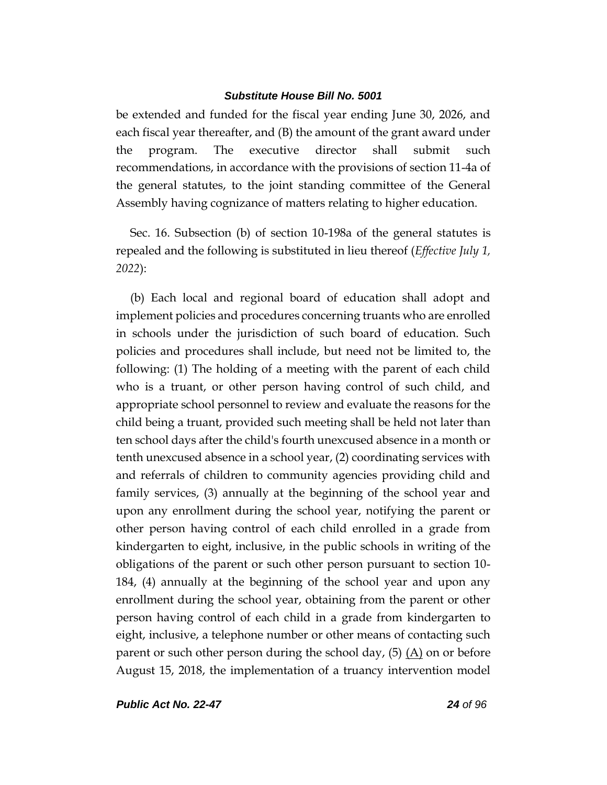be extended and funded for the fiscal year ending June 30, 2026, and each fiscal year thereafter, and (B) the amount of the grant award under the program. The executive director shall submit such recommendations, in accordance with the provisions of section 11-4a of the general statutes, to the joint standing committee of the General Assembly having cognizance of matters relating to higher education.

Sec. 16. Subsection (b) of section 10-198a of the general statutes is repealed and the following is substituted in lieu thereof (*Effective July 1, 2022*):

(b) Each local and regional board of education shall adopt and implement policies and procedures concerning truants who are enrolled in schools under the jurisdiction of such board of education. Such policies and procedures shall include, but need not be limited to, the following: (1) The holding of a meeting with the parent of each child who is a truant, or other person having control of such child, and appropriate school personnel to review and evaluate the reasons for the child being a truant, provided such meeting shall be held not later than ten school days after the child's fourth unexcused absence in a month or tenth unexcused absence in a school year, (2) coordinating services with and referrals of children to community agencies providing child and family services, (3) annually at the beginning of the school year and upon any enrollment during the school year, notifying the parent or other person having control of each child enrolled in a grade from kindergarten to eight, inclusive, in the public schools in writing of the obligations of the parent or such other person pursuant to section 10- 184, (4) annually at the beginning of the school year and upon any enrollment during the school year, obtaining from the parent or other person having control of each child in a grade from kindergarten to eight, inclusive, a telephone number or other means of contacting such parent or such other person during the school day,  $(5)$   $(A)$  on or before August 15, 2018, the implementation of a truancy intervention model

*Public Act No. 22-47 24 of 96*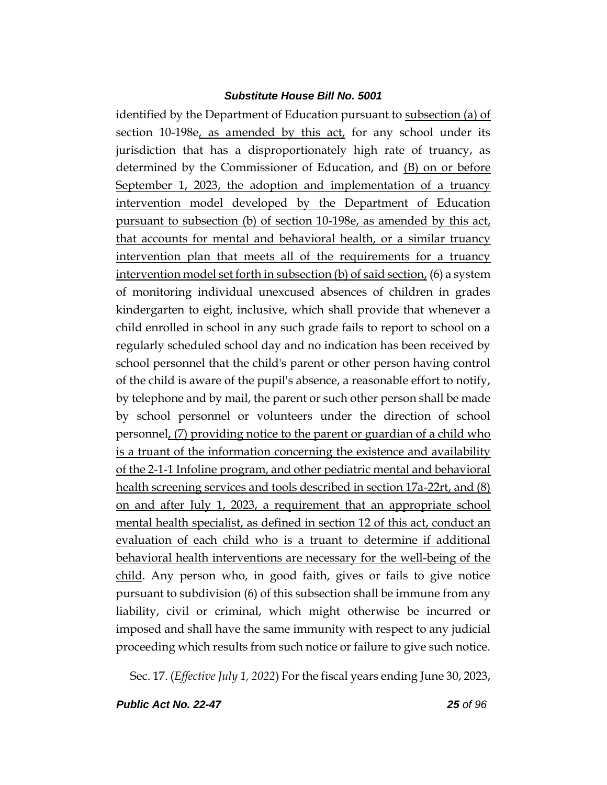identified by the Department of Education pursuant to subsection (a) of section 10-198e, as amended by this act, for any school under its jurisdiction that has a disproportionately high rate of truancy, as determined by the Commissioner of Education, and (B) on or before September 1, 2023, the adoption and implementation of a truancy intervention model developed by the Department of Education pursuant to subsection (b) of section 10-198e, as amended by this act, that accounts for mental and behavioral health, or a similar truancy intervention plan that meets all of the requirements for a truancy intervention model set forth in subsection (b) of said section, (6) a system of monitoring individual unexcused absences of children in grades kindergarten to eight, inclusive, which shall provide that whenever a child enrolled in school in any such grade fails to report to school on a regularly scheduled school day and no indication has been received by school personnel that the child's parent or other person having control of the child is aware of the pupil's absence, a reasonable effort to notify, by telephone and by mail, the parent or such other person shall be made by school personnel or volunteers under the direction of school personnel, (7) providing notice to the parent or guardian of a child who is a truant of the information concerning the existence and availability of the 2-1-1 Infoline program, and other pediatric mental and behavioral health screening services and tools described in section 17a-22rt, and (8) on and after July 1, 2023, a requirement that an appropriate school mental health specialist, as defined in section 12 of this act, conduct an evaluation of each child who is a truant to determine if additional behavioral health interventions are necessary for the well-being of the child. Any person who, in good faith, gives or fails to give notice pursuant to subdivision (6) of this subsection shall be immune from any liability, civil or criminal, which might otherwise be incurred or imposed and shall have the same immunity with respect to any judicial proceeding which results from such notice or failure to give such notice.

Sec. 17. (*Effective July 1, 2022*) For the fiscal years ending June 30, 2023,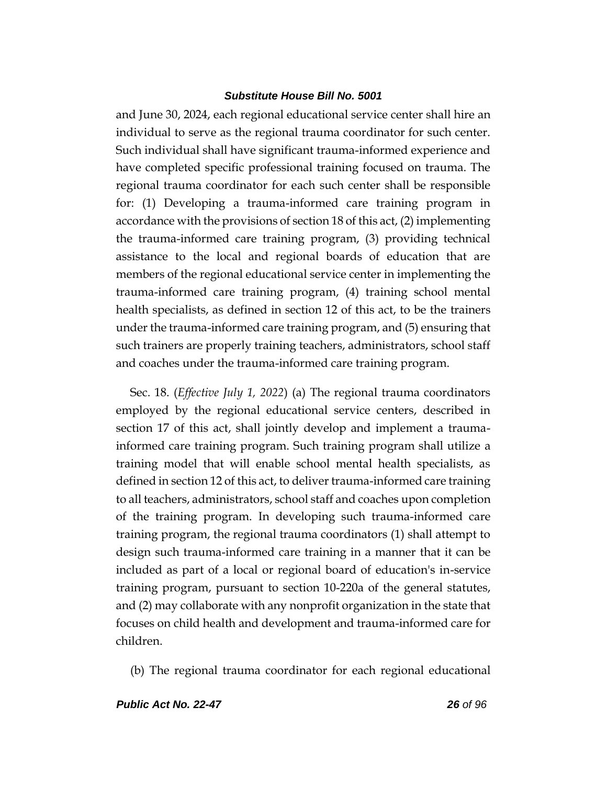and June 30, 2024, each regional educational service center shall hire an individual to serve as the regional trauma coordinator for such center. Such individual shall have significant trauma-informed experience and have completed specific professional training focused on trauma. The regional trauma coordinator for each such center shall be responsible for: (1) Developing a trauma-informed care training program in accordance with the provisions of section 18 of this act, (2) implementing the trauma-informed care training program, (3) providing technical assistance to the local and regional boards of education that are members of the regional educational service center in implementing the trauma-informed care training program, (4) training school mental health specialists, as defined in section 12 of this act, to be the trainers under the trauma-informed care training program, and (5) ensuring that such trainers are properly training teachers, administrators, school staff and coaches under the trauma-informed care training program.

Sec. 18. (*Effective July 1, 2022*) (a) The regional trauma coordinators employed by the regional educational service centers, described in section 17 of this act, shall jointly develop and implement a traumainformed care training program. Such training program shall utilize a training model that will enable school mental health specialists, as defined in section 12 of this act, to deliver trauma-informed care training to all teachers, administrators, school staff and coaches upon completion of the training program. In developing such trauma-informed care training program, the regional trauma coordinators (1) shall attempt to design such trauma-informed care training in a manner that it can be included as part of a local or regional board of education's in-service training program, pursuant to section 10-220a of the general statutes, and (2) may collaborate with any nonprofit organization in the state that focuses on child health and development and trauma-informed care for children.

(b) The regional trauma coordinator for each regional educational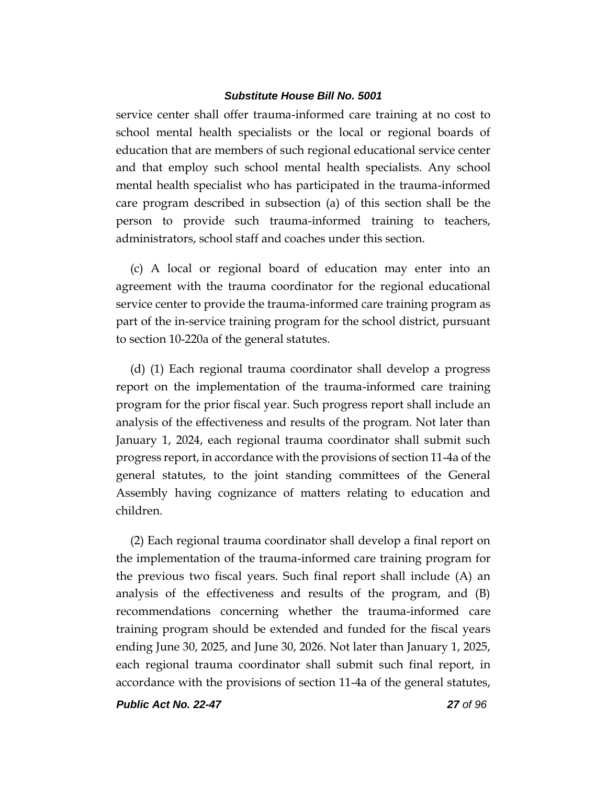service center shall offer trauma-informed care training at no cost to school mental health specialists or the local or regional boards of education that are members of such regional educational service center and that employ such school mental health specialists. Any school mental health specialist who has participated in the trauma-informed care program described in subsection (a) of this section shall be the person to provide such trauma-informed training to teachers, administrators, school staff and coaches under this section.

(c) A local or regional board of education may enter into an agreement with the trauma coordinator for the regional educational service center to provide the trauma-informed care training program as part of the in-service training program for the school district, pursuant to section 10-220a of the general statutes.

(d) (1) Each regional trauma coordinator shall develop a progress report on the implementation of the trauma-informed care training program for the prior fiscal year. Such progress report shall include an analysis of the effectiveness and results of the program. Not later than January 1, 2024, each regional trauma coordinator shall submit such progress report, in accordance with the provisions of section 11-4a of the general statutes, to the joint standing committees of the General Assembly having cognizance of matters relating to education and children.

(2) Each regional trauma coordinator shall develop a final report on the implementation of the trauma-informed care training program for the previous two fiscal years. Such final report shall include (A) an analysis of the effectiveness and results of the program, and (B) recommendations concerning whether the trauma-informed care training program should be extended and funded for the fiscal years ending June 30, 2025, and June 30, 2026. Not later than January 1, 2025, each regional trauma coordinator shall submit such final report, in accordance with the provisions of section 11-4a of the general statutes,

*Public Act No. 22-47 27 of 96*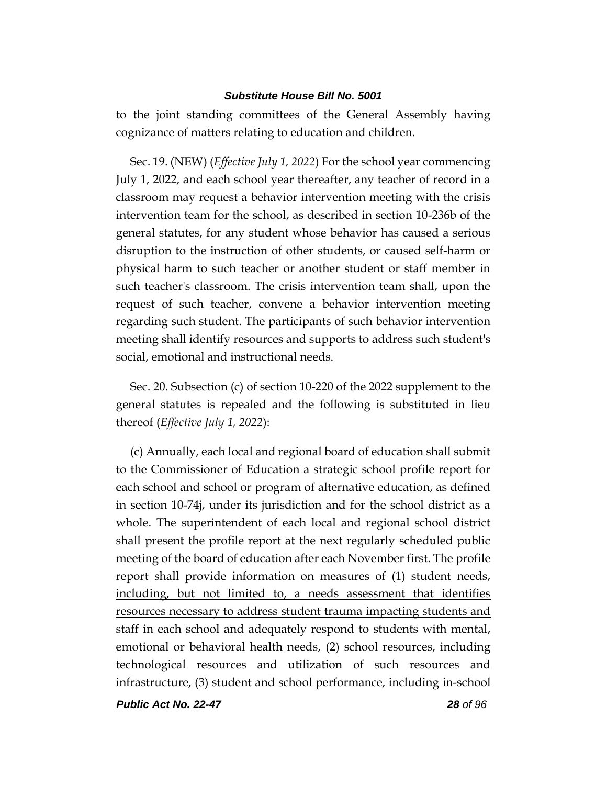to the joint standing committees of the General Assembly having cognizance of matters relating to education and children.

Sec. 19. (NEW) (*Effective July 1, 2022*) For the school year commencing July 1, 2022, and each school year thereafter, any teacher of record in a classroom may request a behavior intervention meeting with the crisis intervention team for the school, as described in section 10-236b of the general statutes, for any student whose behavior has caused a serious disruption to the instruction of other students, or caused self-harm or physical harm to such teacher or another student or staff member in such teacher's classroom. The crisis intervention team shall, upon the request of such teacher, convene a behavior intervention meeting regarding such student. The participants of such behavior intervention meeting shall identify resources and supports to address such student's social, emotional and instructional needs.

Sec. 20. Subsection (c) of section 10-220 of the 2022 supplement to the general statutes is repealed and the following is substituted in lieu thereof (*Effective July 1, 2022*):

(c) Annually, each local and regional board of education shall submit to the Commissioner of Education a strategic school profile report for each school and school or program of alternative education, as defined in section 10-74j, under its jurisdiction and for the school district as a whole. The superintendent of each local and regional school district shall present the profile report at the next regularly scheduled public meeting of the board of education after each November first. The profile report shall provide information on measures of (1) student needs, including, but not limited to, a needs assessment that identifies resources necessary to address student trauma impacting students and staff in each school and adequately respond to students with mental, emotional or behavioral health needs, (2) school resources, including technological resources and utilization of such resources and infrastructure, (3) student and school performance, including in-school

*Public Act No. 22-47 28 of 96*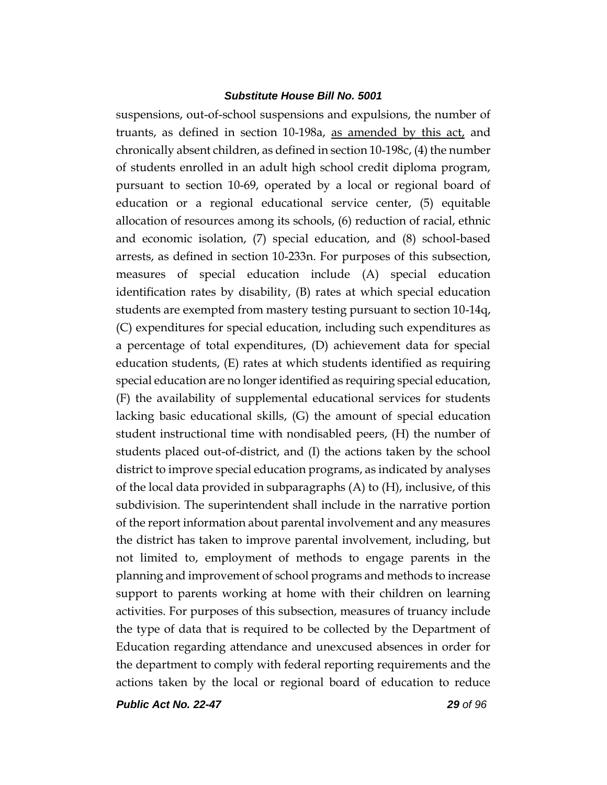suspensions, out-of-school suspensions and expulsions, the number of truants, as defined in section 10-198a, as amended by this act, and chronically absent children, as defined in section 10-198c, (4) the number of students enrolled in an adult high school credit diploma program, pursuant to section 10-69, operated by a local or regional board of education or a regional educational service center, (5) equitable allocation of resources among its schools, (6) reduction of racial, ethnic and economic isolation, (7) special education, and (8) school-based arrests, as defined in section 10-233n. For purposes of this subsection, measures of special education include (A) special education identification rates by disability, (B) rates at which special education students are exempted from mastery testing pursuant to section 10-14q, (C) expenditures for special education, including such expenditures as a percentage of total expenditures, (D) achievement data for special education students, (E) rates at which students identified as requiring special education are no longer identified as requiring special education, (F) the availability of supplemental educational services for students lacking basic educational skills, (G) the amount of special education student instructional time with nondisabled peers, (H) the number of students placed out-of-district, and (I) the actions taken by the school district to improve special education programs, as indicated by analyses of the local data provided in subparagraphs (A) to (H), inclusive, of this subdivision. The superintendent shall include in the narrative portion of the report information about parental involvement and any measures the district has taken to improve parental involvement, including, but not limited to, employment of methods to engage parents in the planning and improvement of school programs and methods to increase support to parents working at home with their children on learning activities. For purposes of this subsection, measures of truancy include the type of data that is required to be collected by the Department of Education regarding attendance and unexcused absences in order for the department to comply with federal reporting requirements and the actions taken by the local or regional board of education to reduce

*Public Act No. 22-47 29 of 96*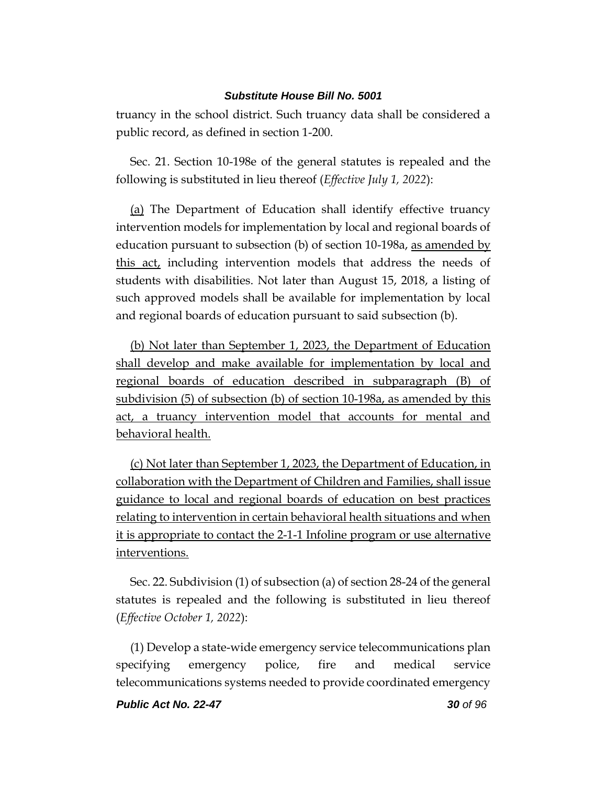truancy in the school district. Such truancy data shall be considered a public record, as defined in section 1-200.

Sec. 21. Section 10-198e of the general statutes is repealed and the following is substituted in lieu thereof (*Effective July 1, 2022*):

(a) The Department of Education shall identify effective truancy intervention models for implementation by local and regional boards of education pursuant to subsection (b) of section 10-198a, as amended by this act, including intervention models that address the needs of students with disabilities. Not later than August 15, 2018, a listing of such approved models shall be available for implementation by local and regional boards of education pursuant to said subsection (b).

(b) Not later than September 1, 2023, the Department of Education shall develop and make available for implementation by local and regional boards of education described in subparagraph (B) of subdivision (5) of subsection (b) of section 10-198a, as amended by this act, a truancy intervention model that accounts for mental and behavioral health.

(c) Not later than September 1, 2023, the Department of Education, in collaboration with the Department of Children and Families, shall issue guidance to local and regional boards of education on best practices relating to intervention in certain behavioral health situations and when it is appropriate to contact the 2-1-1 Infoline program or use alternative interventions.

Sec. 22. Subdivision (1) of subsection (a) of section 28-24 of the general statutes is repealed and the following is substituted in lieu thereof (*Effective October 1, 2022*):

(1) Develop a state-wide emergency service telecommunications plan specifying emergency police, fire and medical service telecommunications systems needed to provide coordinated emergency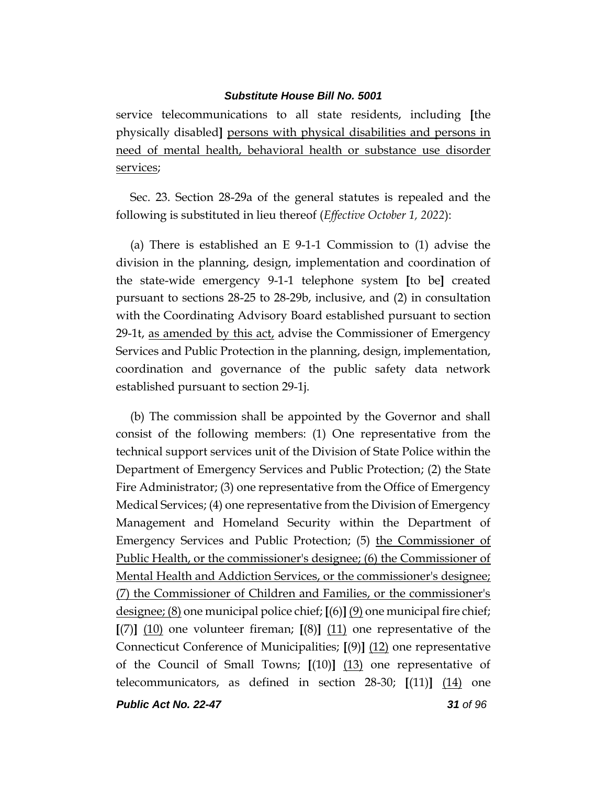service telecommunications to all state residents, including **[**the physically disabled**]** persons with physical disabilities and persons in need of mental health, behavioral health or substance use disorder services;

Sec. 23. Section 28-29a of the general statutes is repealed and the following is substituted in lieu thereof (*Effective October 1, 2022*):

(a) There is established an E 9-1-1 Commission to (1) advise the division in the planning, design, implementation and coordination of the state-wide emergency 9-1-1 telephone system **[**to be**]** created pursuant to sections 28-25 to 28-29b, inclusive, and (2) in consultation with the Coordinating Advisory Board established pursuant to section 29-1t, as amended by this act, advise the Commissioner of Emergency Services and Public Protection in the planning, design, implementation, coordination and governance of the public safety data network established pursuant to section 29-1j.

(b) The commission shall be appointed by the Governor and shall consist of the following members: (1) One representative from the technical support services unit of the Division of State Police within the Department of Emergency Services and Public Protection; (2) the State Fire Administrator; (3) one representative from the Office of Emergency Medical Services; (4) one representative from the Division of Emergency Management and Homeland Security within the Department of Emergency Services and Public Protection; (5) the Commissioner of Public Health, or the commissioner's designee; (6) the Commissioner of Mental Health and Addiction Services, or the commissioner's designee; (7) the Commissioner of Children and Families, or the commissioner's designee; (8) one municipal police chief; **[**(6)**]** (9) one municipal fire chief; **[**(7)**]** (10) one volunteer fireman; **[**(8)**]** (11) one representative of the Connecticut Conference of Municipalities; **[**(9)**]** (12) one representative of the Council of Small Towns; **[**(10)**]** (13) one representative of telecommunicators, as defined in section 28-30; **[**(11)**]** (14) one

*Public Act No. 22-47 31 of 96*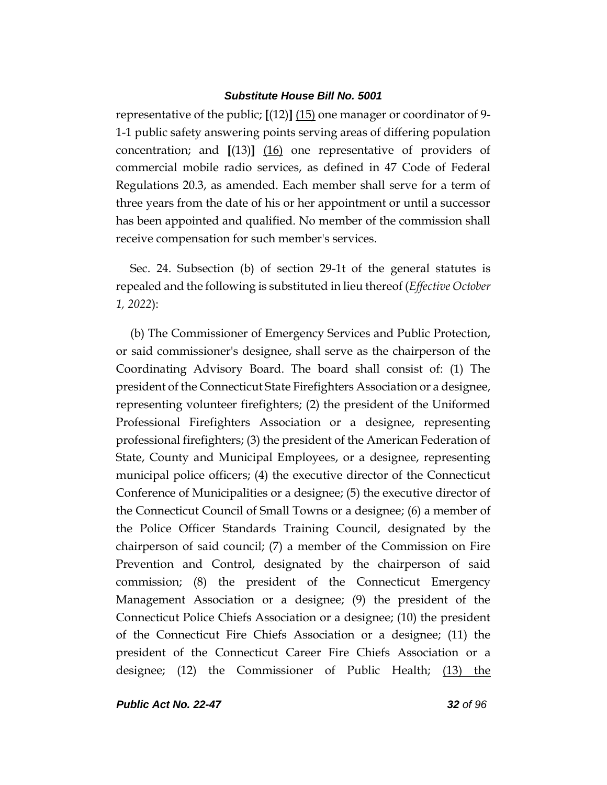representative of the public; **[**(12)**]** (15) one manager or coordinator of 9- 1-1 public safety answering points serving areas of differing population concentration; and **[**(13)**]** (16) one representative of providers of commercial mobile radio services, as defined in 47 Code of Federal Regulations 20.3, as amended. Each member shall serve for a term of three years from the date of his or her appointment or until a successor has been appointed and qualified. No member of the commission shall receive compensation for such member's services.

Sec. 24. Subsection (b) of section 29-1t of the general statutes is repealed and the following is substituted in lieu thereof (*Effective October 1, 2022*):

(b) The Commissioner of Emergency Services and Public Protection, or said commissioner's designee, shall serve as the chairperson of the Coordinating Advisory Board. The board shall consist of: (1) The president of the Connecticut State Firefighters Association or a designee, representing volunteer firefighters; (2) the president of the Uniformed Professional Firefighters Association or a designee, representing professional firefighters; (3) the president of the American Federation of State, County and Municipal Employees, or a designee, representing municipal police officers; (4) the executive director of the Connecticut Conference of Municipalities or a designee; (5) the executive director of the Connecticut Council of Small Towns or a designee; (6) a member of the Police Officer Standards Training Council, designated by the chairperson of said council; (7) a member of the Commission on Fire Prevention and Control, designated by the chairperson of said commission; (8) the president of the Connecticut Emergency Management Association or a designee; (9) the president of the Connecticut Police Chiefs Association or a designee; (10) the president of the Connecticut Fire Chiefs Association or a designee; (11) the president of the Connecticut Career Fire Chiefs Association or a designee; (12) the Commissioner of Public Health; (13) the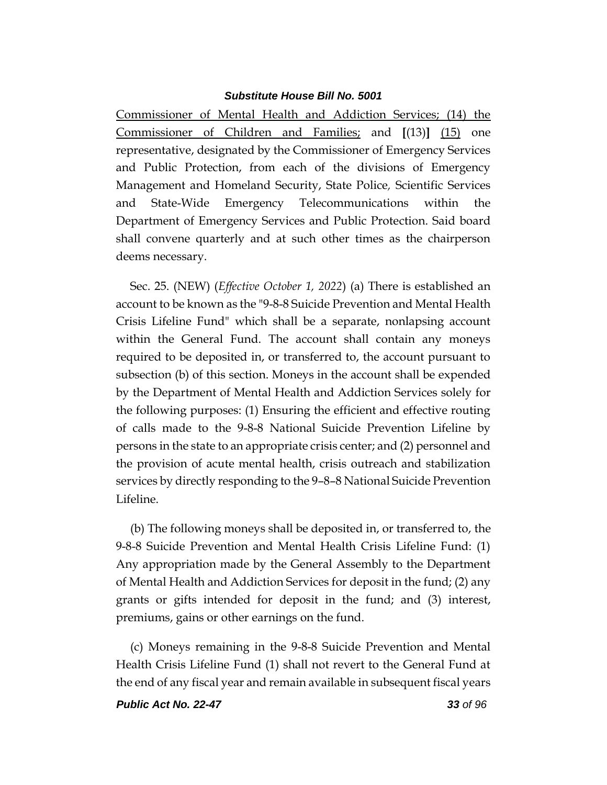Commissioner of Mental Health and Addiction Services; (14) the Commissioner of Children and Families; and **[**(13)**]** (15) one representative, designated by the Commissioner of Emergency Services and Public Protection, from each of the divisions of Emergency Management and Homeland Security, State Police*,* Scientific Services and State-Wide Emergency Telecommunications within the Department of Emergency Services and Public Protection. Said board shall convene quarterly and at such other times as the chairperson deems necessary.

Sec. 25. (NEW) (*Effective October 1, 2022*) (a) There is established an account to be known as the "9-8-8 Suicide Prevention and Mental Health Crisis Lifeline Fund" which shall be a separate, nonlapsing account within the General Fund. The account shall contain any moneys required to be deposited in, or transferred to, the account pursuant to subsection (b) of this section. Moneys in the account shall be expended by the Department of Mental Health and Addiction Services solely for the following purposes: (1) Ensuring the efficient and effective routing of calls made to the 9-8-8 National Suicide Prevention Lifeline by persons in the state to an appropriate crisis center; and (2) personnel and the provision of acute mental health, crisis outreach and stabilization services by directly responding to the 9–8–8 National Suicide Prevention Lifeline.

(b) The following moneys shall be deposited in, or transferred to, the 9-8-8 Suicide Prevention and Mental Health Crisis Lifeline Fund: (1) Any appropriation made by the General Assembly to the Department of Mental Health and Addiction Services for deposit in the fund; (2) any grants or gifts intended for deposit in the fund; and (3) interest, premiums, gains or other earnings on the fund.

(c) Moneys remaining in the 9-8-8 Suicide Prevention and Mental Health Crisis Lifeline Fund (1) shall not revert to the General Fund at the end of any fiscal year and remain available in subsequent fiscal years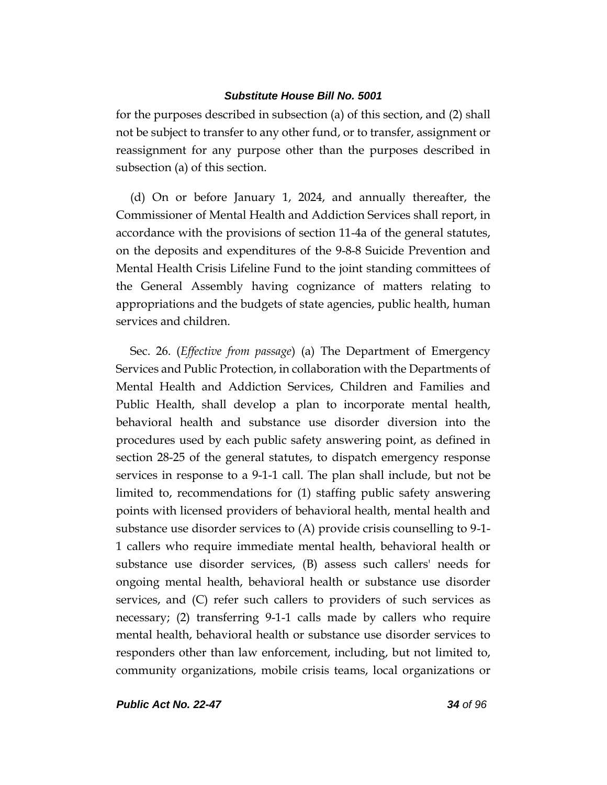for the purposes described in subsection (a) of this section, and (2) shall not be subject to transfer to any other fund, or to transfer, assignment or reassignment for any purpose other than the purposes described in subsection (a) of this section.

(d) On or before January 1, 2024, and annually thereafter, the Commissioner of Mental Health and Addiction Services shall report, in accordance with the provisions of section 11-4a of the general statutes, on the deposits and expenditures of the 9-8-8 Suicide Prevention and Mental Health Crisis Lifeline Fund to the joint standing committees of the General Assembly having cognizance of matters relating to appropriations and the budgets of state agencies, public health, human services and children.

Sec. 26. (*Effective from passage*) (a) The Department of Emergency Services and Public Protection, in collaboration with the Departments of Mental Health and Addiction Services, Children and Families and Public Health, shall develop a plan to incorporate mental health, behavioral health and substance use disorder diversion into the procedures used by each public safety answering point, as defined in section 28-25 of the general statutes, to dispatch emergency response services in response to a 9-1-1 call. The plan shall include, but not be limited to, recommendations for (1) staffing public safety answering points with licensed providers of behavioral health, mental health and substance use disorder services to (A) provide crisis counselling to 9-1- 1 callers who require immediate mental health, behavioral health or substance use disorder services, (B) assess such callers' needs for ongoing mental health, behavioral health or substance use disorder services, and (C) refer such callers to providers of such services as necessary; (2) transferring 9-1-1 calls made by callers who require mental health, behavioral health or substance use disorder services to responders other than law enforcement, including, but not limited to, community organizations, mobile crisis teams, local organizations or

*Public Act No. 22-47 34 of 96*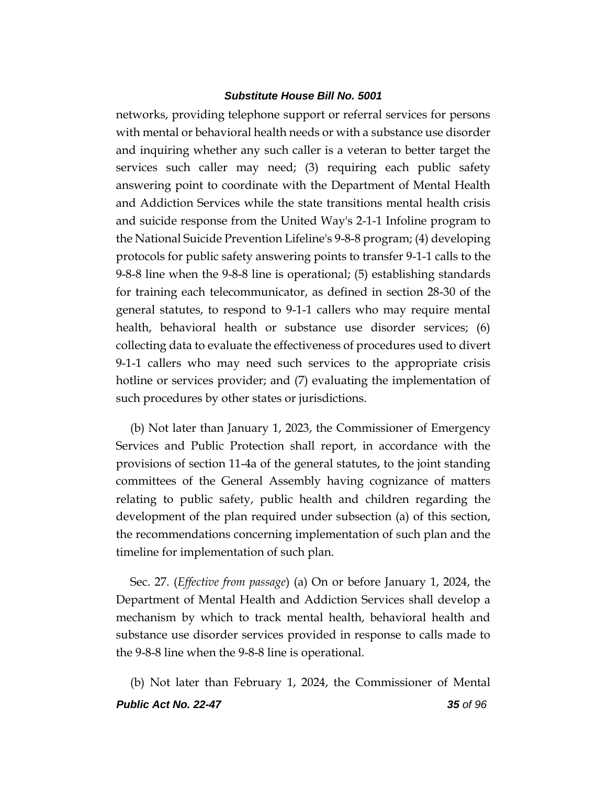networks, providing telephone support or referral services for persons with mental or behavioral health needs or with a substance use disorder and inquiring whether any such caller is a veteran to better target the services such caller may need; (3) requiring each public safety answering point to coordinate with the Department of Mental Health and Addiction Services while the state transitions mental health crisis and suicide response from the United Way's 2-1-1 Infoline program to the National Suicide Prevention Lifeline's 9-8-8 program; (4) developing protocols for public safety answering points to transfer 9-1-1 calls to the 9-8-8 line when the 9-8-8 line is operational; (5) establishing standards for training each telecommunicator, as defined in section 28-30 of the general statutes, to respond to 9-1-1 callers who may require mental health, behavioral health or substance use disorder services; (6) collecting data to evaluate the effectiveness of procedures used to divert 9-1-1 callers who may need such services to the appropriate crisis hotline or services provider; and (7) evaluating the implementation of such procedures by other states or jurisdictions.

(b) Not later than January 1, 2023, the Commissioner of Emergency Services and Public Protection shall report, in accordance with the provisions of section 11-4a of the general statutes, to the joint standing committees of the General Assembly having cognizance of matters relating to public safety, public health and children regarding the development of the plan required under subsection (a) of this section, the recommendations concerning implementation of such plan and the timeline for implementation of such plan.

Sec. 27. (*Effective from passage*) (a) On or before January 1, 2024, the Department of Mental Health and Addiction Services shall develop a mechanism by which to track mental health, behavioral health and substance use disorder services provided in response to calls made to the 9-8-8 line when the 9-8-8 line is operational.

*Public Act No. 22-47 35 of 96* (b) Not later than February 1, 2024, the Commissioner of Mental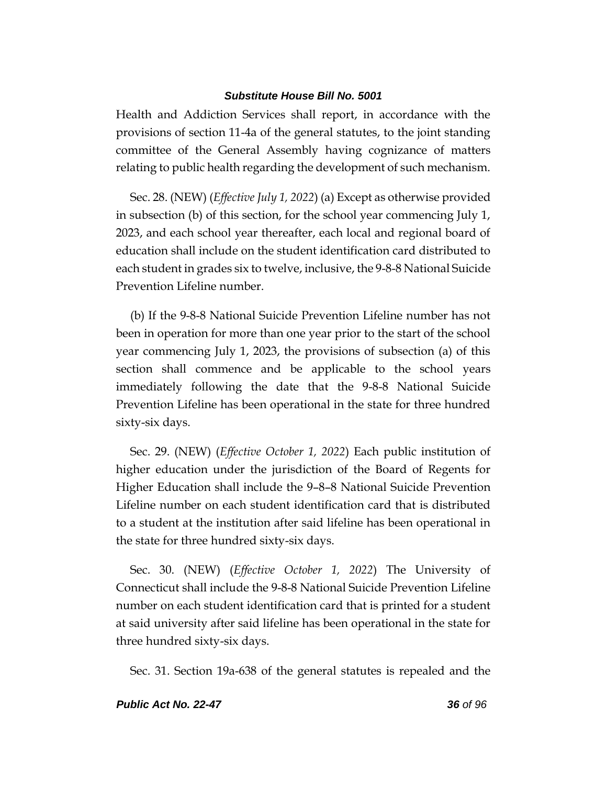Health and Addiction Services shall report, in accordance with the provisions of section 11-4a of the general statutes, to the joint standing committee of the General Assembly having cognizance of matters relating to public health regarding the development of such mechanism.

Sec. 28. (NEW) (*Effective July 1, 2022*) (a) Except as otherwise provided in subsection (b) of this section, for the school year commencing July 1, 2023, and each school year thereafter, each local and regional board of education shall include on the student identification card distributed to each student in grades six to twelve, inclusive, the 9-8-8 National Suicide Prevention Lifeline number.

(b) If the 9-8-8 National Suicide Prevention Lifeline number has not been in operation for more than one year prior to the start of the school year commencing July 1, 2023, the provisions of subsection (a) of this section shall commence and be applicable to the school years immediately following the date that the 9-8-8 National Suicide Prevention Lifeline has been operational in the state for three hundred sixty-six days.

Sec. 29. (NEW) (*Effective October 1, 2022*) Each public institution of higher education under the jurisdiction of the Board of Regents for Higher Education shall include the 9–8–8 National Suicide Prevention Lifeline number on each student identification card that is distributed to a student at the institution after said lifeline has been operational in the state for three hundred sixty-six days.

Sec. 30. (NEW) (*Effective October 1, 2022*) The University of Connecticut shall include the 9-8-8 National Suicide Prevention Lifeline number on each student identification card that is printed for a student at said university after said lifeline has been operational in the state for three hundred sixty-six days.

Sec. 31. Section 19a-638 of the general statutes is repealed and the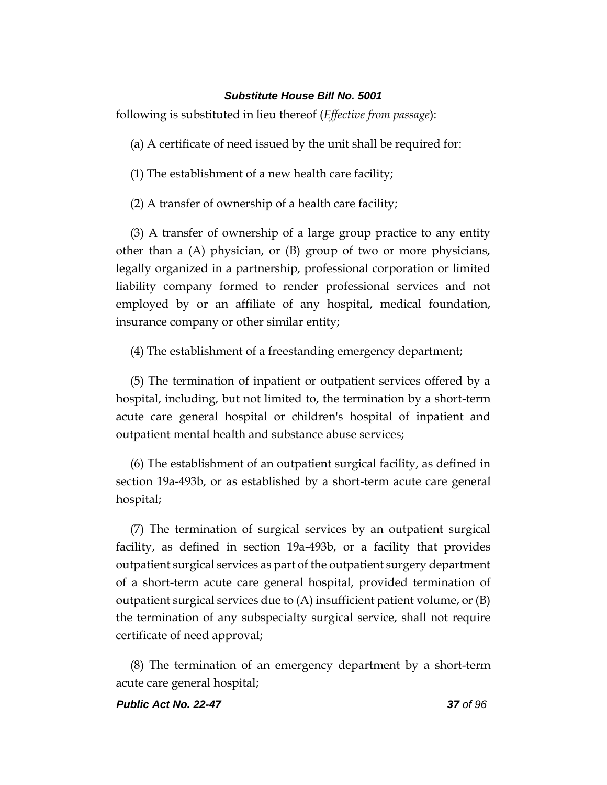following is substituted in lieu thereof (*Effective from passage*):

(a) A certificate of need issued by the unit shall be required for:

(1) The establishment of a new health care facility;

(2) A transfer of ownership of a health care facility;

(3) A transfer of ownership of a large group practice to any entity other than a (A) physician, or (B) group of two or more physicians, legally organized in a partnership, professional corporation or limited liability company formed to render professional services and not employed by or an affiliate of any hospital, medical foundation, insurance company or other similar entity;

(4) The establishment of a freestanding emergency department;

(5) The termination of inpatient or outpatient services offered by a hospital, including, but not limited to, the termination by a short-term acute care general hospital or children's hospital of inpatient and outpatient mental health and substance abuse services;

(6) The establishment of an outpatient surgical facility, as defined in section 19a-493b, or as established by a short-term acute care general hospital;

(7) The termination of surgical services by an outpatient surgical facility, as defined in section 19a-493b, or a facility that provides outpatient surgical services as part of the outpatient surgery department of a short-term acute care general hospital, provided termination of outpatient surgical services due to  $(A)$  insufficient patient volume, or  $(B)$ the termination of any subspecialty surgical service, shall not require certificate of need approval;

(8) The termination of an emergency department by a short-term acute care general hospital;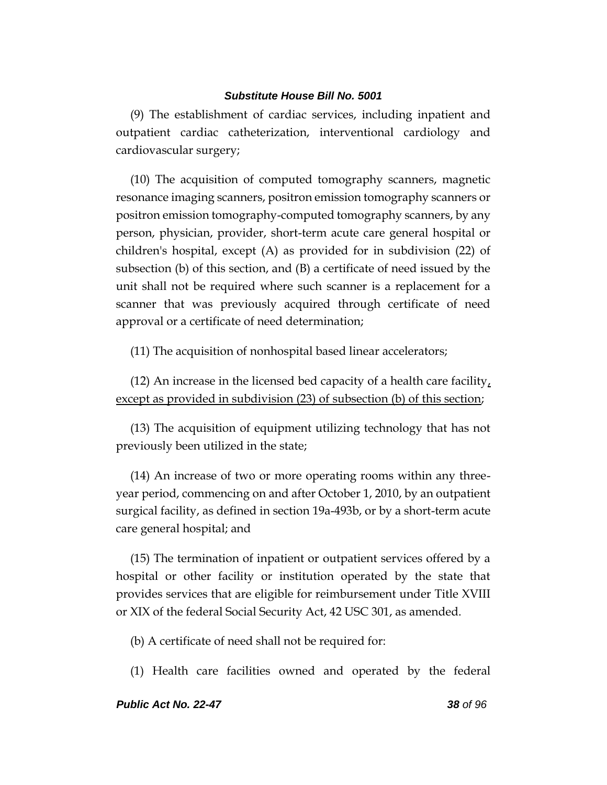(9) The establishment of cardiac services, including inpatient and outpatient cardiac catheterization, interventional cardiology and cardiovascular surgery;

(10) The acquisition of computed tomography scanners, magnetic resonance imaging scanners, positron emission tomography scanners or positron emission tomography-computed tomography scanners, by any person, physician, provider, short-term acute care general hospital or children's hospital, except (A) as provided for in subdivision (22) of subsection (b) of this section, and (B) a certificate of need issued by the unit shall not be required where such scanner is a replacement for a scanner that was previously acquired through certificate of need approval or a certificate of need determination;

(11) The acquisition of nonhospital based linear accelerators;

(12) An increase in the licensed bed capacity of a health care facility, except as provided in subdivision (23) of subsection (b) of this section;

(13) The acquisition of equipment utilizing technology that has not previously been utilized in the state;

(14) An increase of two or more operating rooms within any threeyear period, commencing on and after October 1, 2010, by an outpatient surgical facility, as defined in section 19a-493b, or by a short-term acute care general hospital; and

(15) The termination of inpatient or outpatient services offered by a hospital or other facility or institution operated by the state that provides services that are eligible for reimbursement under Title XVIII or XIX of the federal Social Security Act, 42 USC 301, as amended.

(b) A certificate of need shall not be required for:

(1) Health care facilities owned and operated by the federal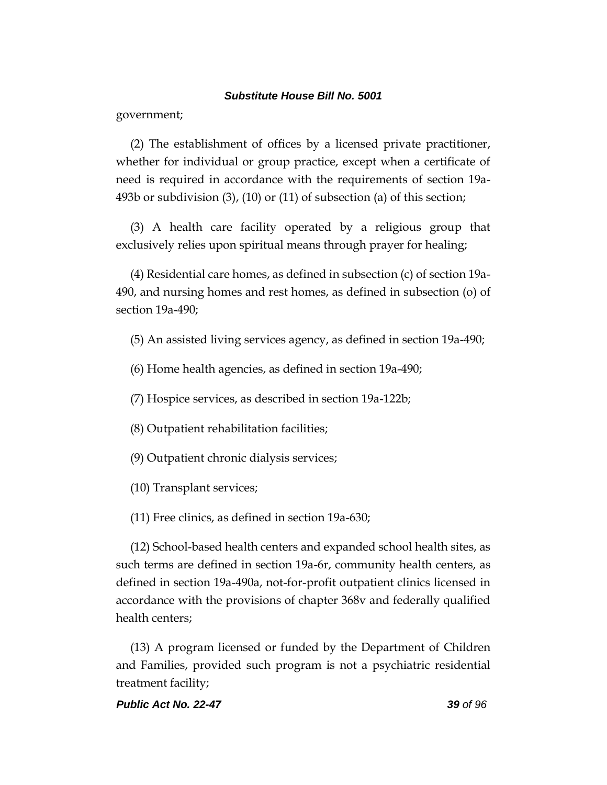government;

(2) The establishment of offices by a licensed private practitioner, whether for individual or group practice, except when a certificate of need is required in accordance with the requirements of section 19a-493b or subdivision (3), (10) or (11) of subsection (a) of this section;

(3) A health care facility operated by a religious group that exclusively relies upon spiritual means through prayer for healing;

(4) Residential care homes, as defined in subsection (c) of section 19a-490, and nursing homes and rest homes, as defined in subsection (o) of section 19a-490;

- (5) An assisted living services agency, as defined in section 19a-490;
- (6) Home health agencies, as defined in section 19a-490;
- (7) Hospice services, as described in section 19a-122b;
- (8) Outpatient rehabilitation facilities;
- (9) Outpatient chronic dialysis services;
- (10) Transplant services;
- (11) Free clinics, as defined in section 19a-630;

(12) School-based health centers and expanded school health sites, as such terms are defined in section 19a-6r, community health centers, as defined in section 19a-490a, not-for-profit outpatient clinics licensed in accordance with the provisions of chapter 368v and federally qualified health centers;

(13) A program licensed or funded by the Department of Children and Families, provided such program is not a psychiatric residential treatment facility;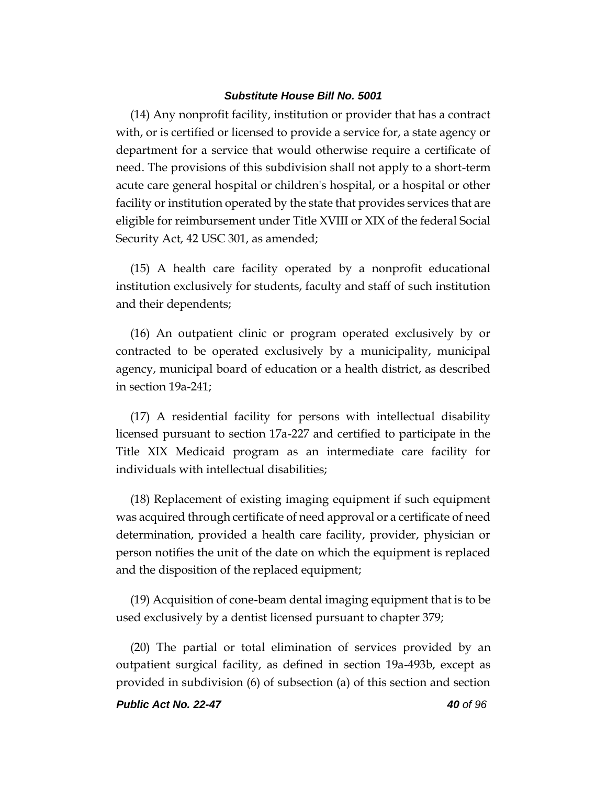(14) Any nonprofit facility, institution or provider that has a contract with, or is certified or licensed to provide a service for, a state agency or department for a service that would otherwise require a certificate of need. The provisions of this subdivision shall not apply to a short-term acute care general hospital or children's hospital, or a hospital or other facility or institution operated by the state that provides services that are eligible for reimbursement under Title XVIII or XIX of the federal Social Security Act, 42 USC 301, as amended;

(15) A health care facility operated by a nonprofit educational institution exclusively for students, faculty and staff of such institution and their dependents;

(16) An outpatient clinic or program operated exclusively by or contracted to be operated exclusively by a municipality, municipal agency, municipal board of education or a health district, as described in section 19a-241;

(17) A residential facility for persons with intellectual disability licensed pursuant to section 17a-227 and certified to participate in the Title XIX Medicaid program as an intermediate care facility for individuals with intellectual disabilities;

(18) Replacement of existing imaging equipment if such equipment was acquired through certificate of need approval or a certificate of need determination, provided a health care facility, provider, physician or person notifies the unit of the date on which the equipment is replaced and the disposition of the replaced equipment;

(19) Acquisition of cone-beam dental imaging equipment that is to be used exclusively by a dentist licensed pursuant to chapter 379;

(20) The partial or total elimination of services provided by an outpatient surgical facility, as defined in section 19a-493b, except as provided in subdivision (6) of subsection (a) of this section and section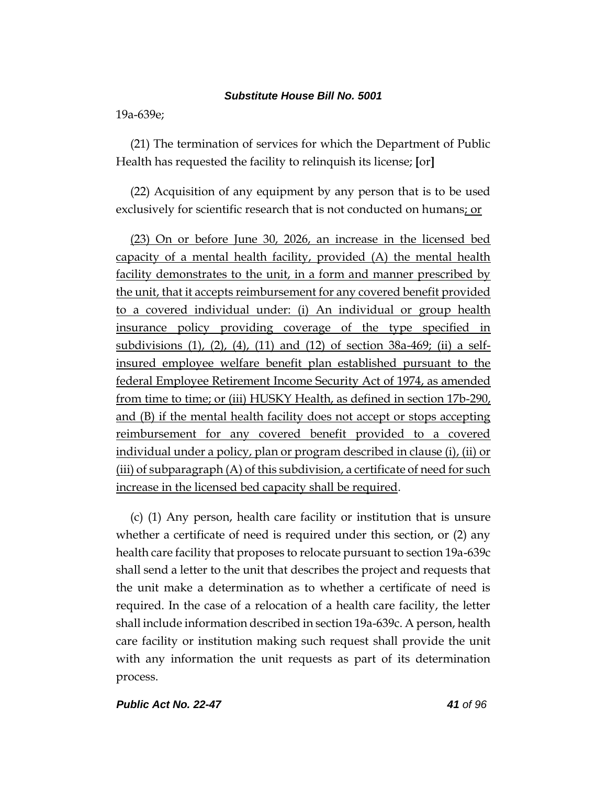19a-639e;

(21) The termination of services for which the Department of Public Health has requested the facility to relinquish its license; **[**or**]**

(22) Acquisition of any equipment by any person that is to be used exclusively for scientific research that is not conducted on humans; or

(23) On or before June 30, 2026, an increase in the licensed bed capacity of a mental health facility, provided (A) the mental health facility demonstrates to the unit, in a form and manner prescribed by the unit, that it accepts reimbursement for any covered benefit provided to a covered individual under: (i) An individual or group health insurance policy providing coverage of the type specified in subdivisions (1), (2), (4), (11) and (12) of section 38a-469; (ii) a selfinsured employee welfare benefit plan established pursuant to the federal Employee Retirement Income Security Act of 1974, as amended from time to time; or (iii) HUSKY Health, as defined in section 17b-290, and (B) if the mental health facility does not accept or stops accepting reimbursement for any covered benefit provided to a covered individual under a policy, plan or program described in clause (i), (ii) or (iii) of subparagraph (A) of this subdivision, a certificate of need for such increase in the licensed bed capacity shall be required.

(c) (1) Any person, health care facility or institution that is unsure whether a certificate of need is required under this section, or (2) any health care facility that proposes to relocate pursuant to section 19a-639c shall send a letter to the unit that describes the project and requests that the unit make a determination as to whether a certificate of need is required. In the case of a relocation of a health care facility, the letter shall include information described in section 19a-639c. A person, health care facility or institution making such request shall provide the unit with any information the unit requests as part of its determination process.

*Public Act No. 22-47 41 of 96*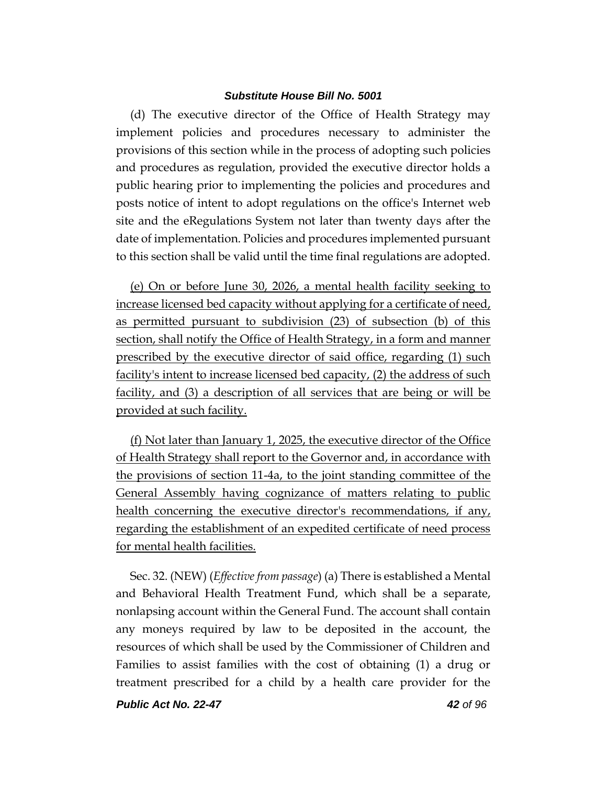(d) The executive director of the Office of Health Strategy may implement policies and procedures necessary to administer the provisions of this section while in the process of adopting such policies and procedures as regulation, provided the executive director holds a public hearing prior to implementing the policies and procedures and posts notice of intent to adopt regulations on the office's Internet web site and the eRegulations System not later than twenty days after the date of implementation. Policies and procedures implemented pursuant to this section shall be valid until the time final regulations are adopted.

(e) On or before June 30, 2026, a mental health facility seeking to increase licensed bed capacity without applying for a certificate of need, as permitted pursuant to subdivision (23) of subsection (b) of this section, shall notify the Office of Health Strategy, in a form and manner prescribed by the executive director of said office, regarding (1) such facility's intent to increase licensed bed capacity, (2) the address of such facility, and (3) a description of all services that are being or will be provided at such facility.

(f) Not later than January 1, 2025, the executive director of the Office of Health Strategy shall report to the Governor and, in accordance with the provisions of section 11-4a, to the joint standing committee of the General Assembly having cognizance of matters relating to public health concerning the executive director's recommendations, if any, regarding the establishment of an expedited certificate of need process for mental health facilities.

Sec. 32. (NEW) (*Effective from passage*) (a) There is established a Mental and Behavioral Health Treatment Fund, which shall be a separate, nonlapsing account within the General Fund. The account shall contain any moneys required by law to be deposited in the account, the resources of which shall be used by the Commissioner of Children and Families to assist families with the cost of obtaining (1) a drug or treatment prescribed for a child by a health care provider for the

*Public Act No. 22-47 42 of 96*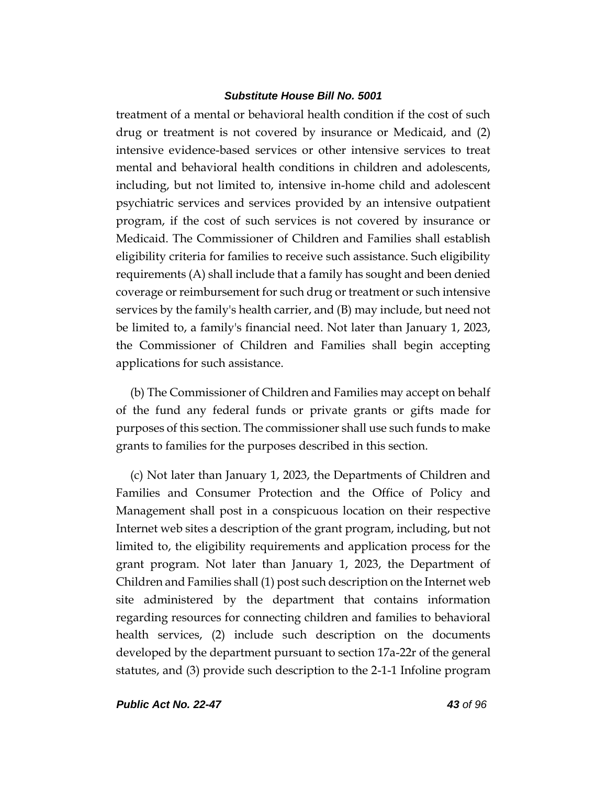treatment of a mental or behavioral health condition if the cost of such drug or treatment is not covered by insurance or Medicaid, and (2) intensive evidence-based services or other intensive services to treat mental and behavioral health conditions in children and adolescents, including, but not limited to, intensive in-home child and adolescent psychiatric services and services provided by an intensive outpatient program, if the cost of such services is not covered by insurance or Medicaid. The Commissioner of Children and Families shall establish eligibility criteria for families to receive such assistance. Such eligibility requirements (A) shall include that a family has sought and been denied coverage or reimbursement for such drug or treatment or such intensive services by the family's health carrier, and (B) may include, but need not be limited to, a family's financial need. Not later than January 1, 2023, the Commissioner of Children and Families shall begin accepting applications for such assistance.

(b) The Commissioner of Children and Families may accept on behalf of the fund any federal funds or private grants or gifts made for purposes of this section. The commissioner shall use such funds to make grants to families for the purposes described in this section.

(c) Not later than January 1, 2023, the Departments of Children and Families and Consumer Protection and the Office of Policy and Management shall post in a conspicuous location on their respective Internet web sites a description of the grant program, including, but not limited to, the eligibility requirements and application process for the grant program. Not later than January 1, 2023, the Department of Children and Families shall (1) post such description on the Internet web site administered by the department that contains information regarding resources for connecting children and families to behavioral health services, (2) include such description on the documents developed by the department pursuant to section 17a-22r of the general statutes, and (3) provide such description to the 2-1-1 Infoline program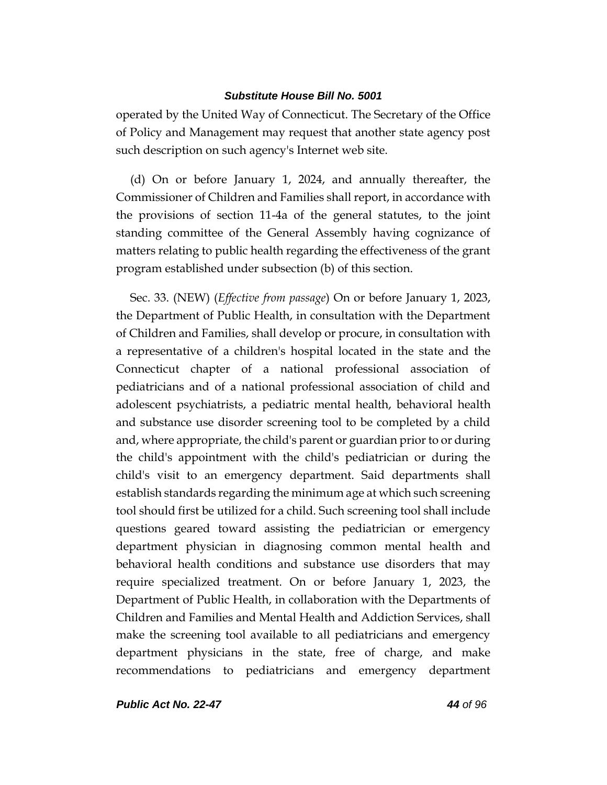operated by the United Way of Connecticut. The Secretary of the Office of Policy and Management may request that another state agency post such description on such agency's Internet web site.

(d) On or before January 1, 2024, and annually thereafter, the Commissioner of Children and Families shall report, in accordance with the provisions of section 11-4a of the general statutes, to the joint standing committee of the General Assembly having cognizance of matters relating to public health regarding the effectiveness of the grant program established under subsection (b) of this section.

Sec. 33. (NEW) (*Effective from passage*) On or before January 1, 2023, the Department of Public Health, in consultation with the Department of Children and Families, shall develop or procure, in consultation with a representative of a children's hospital located in the state and the Connecticut chapter of a national professional association of pediatricians and of a national professional association of child and adolescent psychiatrists, a pediatric mental health, behavioral health and substance use disorder screening tool to be completed by a child and, where appropriate, the child's parent or guardian prior to or during the child's appointment with the child's pediatrician or during the child's visit to an emergency department. Said departments shall establish standards regarding the minimum age at which such screening tool should first be utilized for a child. Such screening tool shall include questions geared toward assisting the pediatrician or emergency department physician in diagnosing common mental health and behavioral health conditions and substance use disorders that may require specialized treatment. On or before January 1, 2023, the Department of Public Health, in collaboration with the Departments of Children and Families and Mental Health and Addiction Services, shall make the screening tool available to all pediatricians and emergency department physicians in the state, free of charge, and make recommendations to pediatricians and emergency department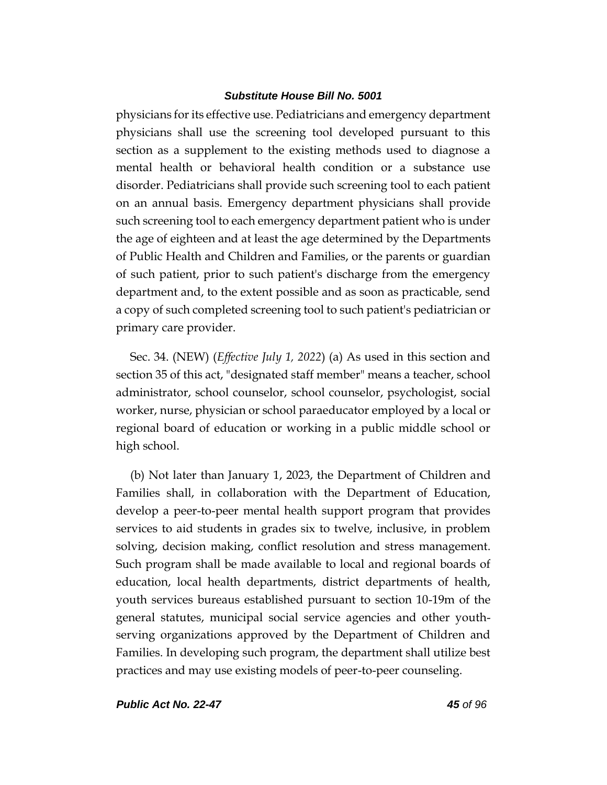physicians for its effective use. Pediatricians and emergency department physicians shall use the screening tool developed pursuant to this section as a supplement to the existing methods used to diagnose a mental health or behavioral health condition or a substance use disorder. Pediatricians shall provide such screening tool to each patient on an annual basis. Emergency department physicians shall provide such screening tool to each emergency department patient who is under the age of eighteen and at least the age determined by the Departments of Public Health and Children and Families, or the parents or guardian of such patient, prior to such patient's discharge from the emergency department and, to the extent possible and as soon as practicable, send a copy of such completed screening tool to such patient's pediatrician or primary care provider.

Sec. 34. (NEW) (*Effective July 1, 2022*) (a) As used in this section and section 35 of this act, "designated staff member" means a teacher, school administrator, school counselor, school counselor, psychologist, social worker, nurse, physician or school paraeducator employed by a local or regional board of education or working in a public middle school or high school.

(b) Not later than January 1, 2023, the Department of Children and Families shall, in collaboration with the Department of Education, develop a peer-to-peer mental health support program that provides services to aid students in grades six to twelve, inclusive, in problem solving, decision making, conflict resolution and stress management. Such program shall be made available to local and regional boards of education, local health departments, district departments of health, youth services bureaus established pursuant to section 10-19m of the general statutes, municipal social service agencies and other youthserving organizations approved by the Department of Children and Families. In developing such program, the department shall utilize best practices and may use existing models of peer-to-peer counseling.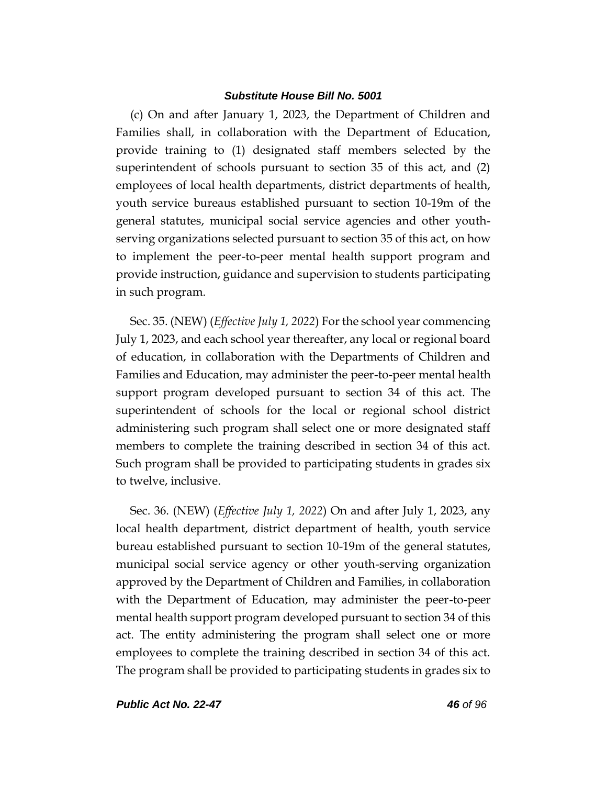(c) On and after January 1, 2023, the Department of Children and Families shall, in collaboration with the Department of Education, provide training to (1) designated staff members selected by the superintendent of schools pursuant to section 35 of this act, and (2) employees of local health departments, district departments of health, youth service bureaus established pursuant to section 10-19m of the general statutes, municipal social service agencies and other youthserving organizations selected pursuant to section 35 of this act, on how to implement the peer-to-peer mental health support program and provide instruction, guidance and supervision to students participating in such program.

Sec. 35. (NEW) (*Effective July 1, 2022*) For the school year commencing July 1, 2023, and each school year thereafter, any local or regional board of education, in collaboration with the Departments of Children and Families and Education, may administer the peer-to-peer mental health support program developed pursuant to section 34 of this act. The superintendent of schools for the local or regional school district administering such program shall select one or more designated staff members to complete the training described in section 34 of this act. Such program shall be provided to participating students in grades six to twelve, inclusive.

Sec. 36. (NEW) (*Effective July 1, 2022*) On and after July 1, 2023, any local health department, district department of health, youth service bureau established pursuant to section 10-19m of the general statutes, municipal social service agency or other youth-serving organization approved by the Department of Children and Families, in collaboration with the Department of Education, may administer the peer-to-peer mental health support program developed pursuant to section 34 of this act. The entity administering the program shall select one or more employees to complete the training described in section 34 of this act. The program shall be provided to participating students in grades six to

*Public Act No. 22-47 46 of 96*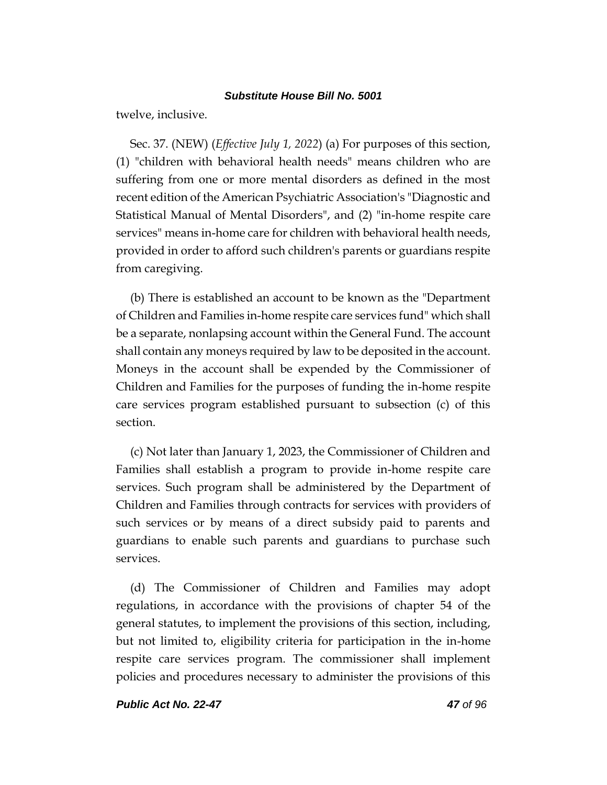twelve, inclusive.

Sec. 37. (NEW) (*Effective July 1, 2022*) (a) For purposes of this section, (1) "children with behavioral health needs" means children who are suffering from one or more mental disorders as defined in the most recent edition of the American Psychiatric Association's "Diagnostic and Statistical Manual of Mental Disorders", and (2) "in-home respite care services" means in-home care for children with behavioral health needs, provided in order to afford such children's parents or guardians respite from caregiving.

(b) There is established an account to be known as the "Department of Children and Families in-home respite care services fund" which shall be a separate, nonlapsing account within the General Fund. The account shall contain any moneys required by law to be deposited in the account. Moneys in the account shall be expended by the Commissioner of Children and Families for the purposes of funding the in-home respite care services program established pursuant to subsection (c) of this section.

(c) Not later than January 1, 2023, the Commissioner of Children and Families shall establish a program to provide in-home respite care services. Such program shall be administered by the Department of Children and Families through contracts for services with providers of such services or by means of a direct subsidy paid to parents and guardians to enable such parents and guardians to purchase such services.

(d) The Commissioner of Children and Families may adopt regulations, in accordance with the provisions of chapter 54 of the general statutes, to implement the provisions of this section, including, but not limited to, eligibility criteria for participation in the in-home respite care services program. The commissioner shall implement policies and procedures necessary to administer the provisions of this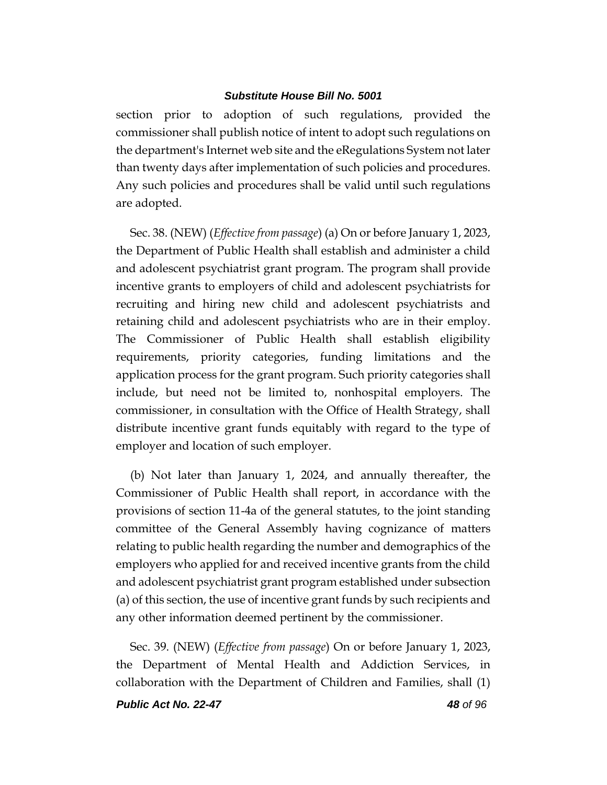section prior to adoption of such regulations, provided the commissioner shall publish notice of intent to adopt such regulations on the department's Internet web site and the eRegulations System not later than twenty days after implementation of such policies and procedures. Any such policies and procedures shall be valid until such regulations are adopted.

Sec. 38. (NEW) (*Effective from passage*) (a) On or before January 1, 2023, the Department of Public Health shall establish and administer a child and adolescent psychiatrist grant program. The program shall provide incentive grants to employers of child and adolescent psychiatrists for recruiting and hiring new child and adolescent psychiatrists and retaining child and adolescent psychiatrists who are in their employ. The Commissioner of Public Health shall establish eligibility requirements, priority categories, funding limitations and the application process for the grant program. Such priority categories shall include, but need not be limited to, nonhospital employers. The commissioner, in consultation with the Office of Health Strategy, shall distribute incentive grant funds equitably with regard to the type of employer and location of such employer.

(b) Not later than January 1, 2024, and annually thereafter, the Commissioner of Public Health shall report, in accordance with the provisions of section 11-4a of the general statutes, to the joint standing committee of the General Assembly having cognizance of matters relating to public health regarding the number and demographics of the employers who applied for and received incentive grants from the child and adolescent psychiatrist grant program established under subsection (a) of this section, the use of incentive grant funds by such recipients and any other information deemed pertinent by the commissioner.

Sec. 39. (NEW) (*Effective from passage*) On or before January 1, 2023, the Department of Mental Health and Addiction Services, in collaboration with the Department of Children and Families, shall (1)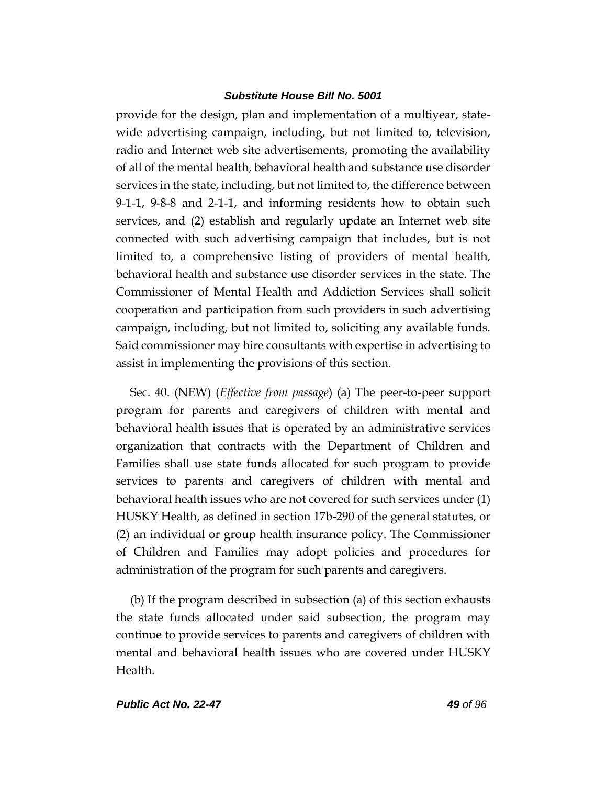provide for the design, plan and implementation of a multiyear, statewide advertising campaign, including, but not limited to, television, radio and Internet web site advertisements, promoting the availability of all of the mental health, behavioral health and substance use disorder services in the state, including, but not limited to, the difference between 9-1-1, 9-8-8 and 2-1-1, and informing residents how to obtain such services, and (2) establish and regularly update an Internet web site connected with such advertising campaign that includes, but is not limited to, a comprehensive listing of providers of mental health, behavioral health and substance use disorder services in the state. The Commissioner of Mental Health and Addiction Services shall solicit cooperation and participation from such providers in such advertising campaign, including, but not limited to, soliciting any available funds. Said commissioner may hire consultants with expertise in advertising to assist in implementing the provisions of this section.

Sec. 40. (NEW) (*Effective from passage*) (a) The peer-to-peer support program for parents and caregivers of children with mental and behavioral health issues that is operated by an administrative services organization that contracts with the Department of Children and Families shall use state funds allocated for such program to provide services to parents and caregivers of children with mental and behavioral health issues who are not covered for such services under (1) HUSKY Health, as defined in section 17b-290 of the general statutes, or (2) an individual or group health insurance policy. The Commissioner of Children and Families may adopt policies and procedures for administration of the program for such parents and caregivers.

(b) If the program described in subsection (a) of this section exhausts the state funds allocated under said subsection, the program may continue to provide services to parents and caregivers of children with mental and behavioral health issues who are covered under HUSKY Health.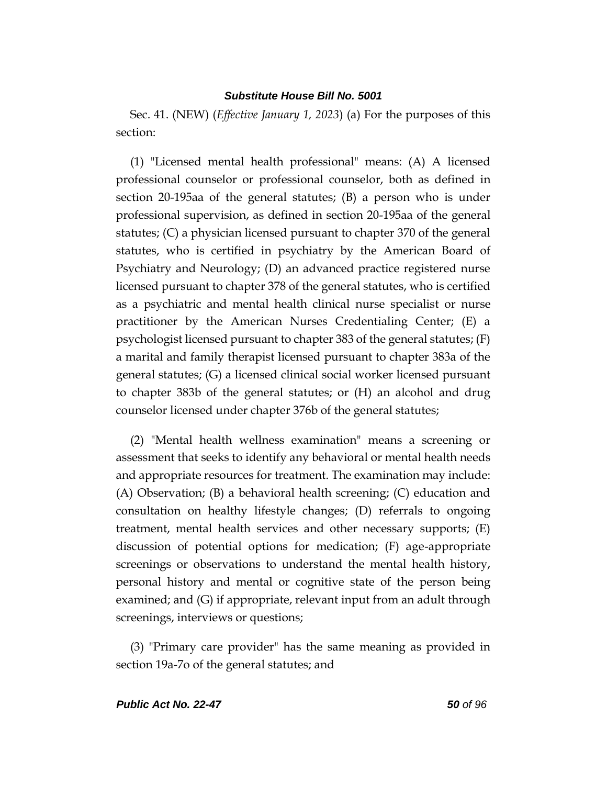Sec. 41. (NEW) (*Effective January 1, 2023*) (a) For the purposes of this section:

(1) "Licensed mental health professional" means: (A) A licensed professional counselor or professional counselor, both as defined in section 20-195aa of the general statutes; (B) a person who is under professional supervision, as defined in section 20-195aa of the general statutes; (C) a physician licensed pursuant to chapter 370 of the general statutes, who is certified in psychiatry by the American Board of Psychiatry and Neurology; (D) an advanced practice registered nurse licensed pursuant to chapter 378 of the general statutes, who is certified as a psychiatric and mental health clinical nurse specialist or nurse practitioner by the American Nurses Credentialing Center; (E) a psychologist licensed pursuant to chapter 383 of the general statutes; (F) a marital and family therapist licensed pursuant to chapter 383a of the general statutes; (G) a licensed clinical social worker licensed pursuant to chapter 383b of the general statutes; or (H) an alcohol and drug counselor licensed under chapter 376b of the general statutes;

(2) "Mental health wellness examination" means a screening or assessment that seeks to identify any behavioral or mental health needs and appropriate resources for treatment. The examination may include: (A) Observation; (B) a behavioral health screening; (C) education and consultation on healthy lifestyle changes; (D) referrals to ongoing treatment, mental health services and other necessary supports; (E) discussion of potential options for medication; (F) age-appropriate screenings or observations to understand the mental health history, personal history and mental or cognitive state of the person being examined; and (G) if appropriate, relevant input from an adult through screenings, interviews or questions;

(3) "Primary care provider" has the same meaning as provided in section 19a-7o of the general statutes; and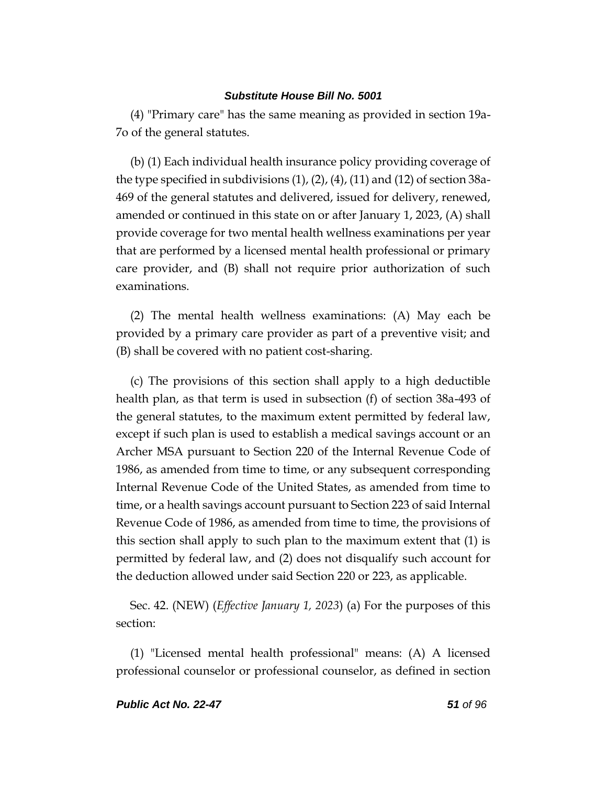(4) "Primary care" has the same meaning as provided in section 19a-7o of the general statutes.

(b) (1) Each individual health insurance policy providing coverage of the type specified in subdivisions (1), (2), (4), (11) and (12) of section 38a-469 of the general statutes and delivered, issued for delivery, renewed, amended or continued in this state on or after January 1, 2023, (A) shall provide coverage for two mental health wellness examinations per year that are performed by a licensed mental health professional or primary care provider, and (B) shall not require prior authorization of such examinations.

(2) The mental health wellness examinations: (A) May each be provided by a primary care provider as part of a preventive visit; and (B) shall be covered with no patient cost-sharing.

(c) The provisions of this section shall apply to a high deductible health plan, as that term is used in subsection (f) of section 38a-493 of the general statutes, to the maximum extent permitted by federal law, except if such plan is used to establish a medical savings account or an Archer MSA pursuant to Section 220 of the Internal Revenue Code of 1986, as amended from time to time, or any subsequent corresponding Internal Revenue Code of the United States, as amended from time to time, or a health savings account pursuant to Section 223 of said Internal Revenue Code of 1986, as amended from time to time, the provisions of this section shall apply to such plan to the maximum extent that (1) is permitted by federal law, and (2) does not disqualify such account for the deduction allowed under said Section 220 or 223, as applicable.

Sec. 42. (NEW) (*Effective January 1, 2023*) (a) For the purposes of this section:

(1) "Licensed mental health professional" means: (A) A licensed professional counselor or professional counselor, as defined in section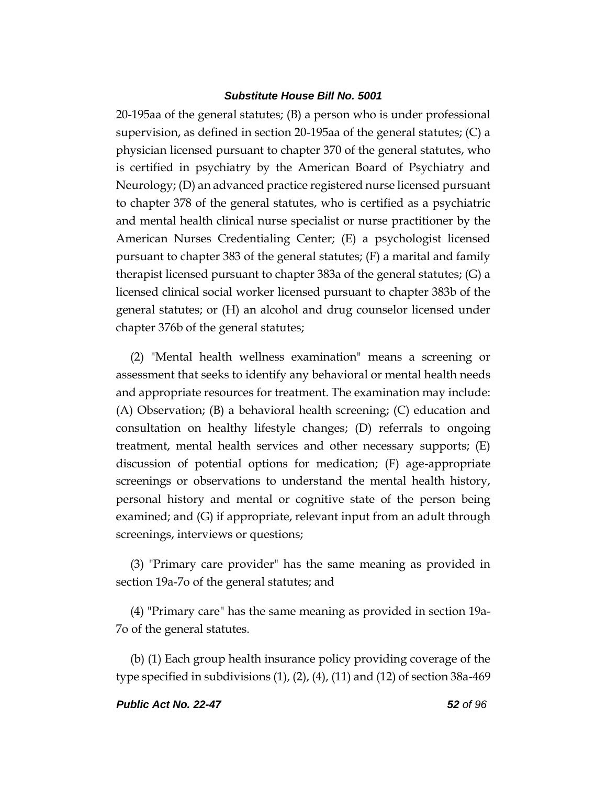20-195aa of the general statutes; (B) a person who is under professional supervision, as defined in section 20-195aa of the general statutes; (C) a physician licensed pursuant to chapter 370 of the general statutes, who is certified in psychiatry by the American Board of Psychiatry and Neurology; (D) an advanced practice registered nurse licensed pursuant to chapter 378 of the general statutes, who is certified as a psychiatric and mental health clinical nurse specialist or nurse practitioner by the American Nurses Credentialing Center; (E) a psychologist licensed pursuant to chapter 383 of the general statutes; (F) a marital and family therapist licensed pursuant to chapter 383a of the general statutes; (G) a licensed clinical social worker licensed pursuant to chapter 383b of the general statutes; or (H) an alcohol and drug counselor licensed under chapter 376b of the general statutes;

(2) "Mental health wellness examination" means a screening or assessment that seeks to identify any behavioral or mental health needs and appropriate resources for treatment. The examination may include: (A) Observation; (B) a behavioral health screening; (C) education and consultation on healthy lifestyle changes; (D) referrals to ongoing treatment, mental health services and other necessary supports; (E) discussion of potential options for medication; (F) age-appropriate screenings or observations to understand the mental health history, personal history and mental or cognitive state of the person being examined; and (G) if appropriate, relevant input from an adult through screenings, interviews or questions;

(3) "Primary care provider" has the same meaning as provided in section 19a-7o of the general statutes; and

(4) "Primary care" has the same meaning as provided in section 19a-7o of the general statutes.

(b) (1) Each group health insurance policy providing coverage of the type specified in subdivisions  $(1)$ ,  $(2)$ ,  $(4)$ ,  $(11)$  and  $(12)$  of section 38a-469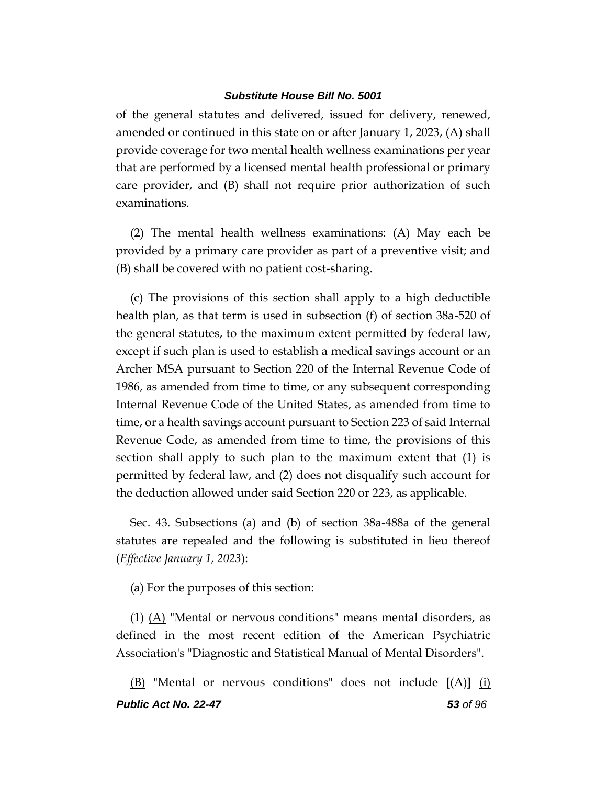of the general statutes and delivered, issued for delivery, renewed, amended or continued in this state on or after January 1, 2023, (A) shall provide coverage for two mental health wellness examinations per year that are performed by a licensed mental health professional or primary care provider, and (B) shall not require prior authorization of such examinations.

(2) The mental health wellness examinations: (A) May each be provided by a primary care provider as part of a preventive visit; and (B) shall be covered with no patient cost-sharing.

(c) The provisions of this section shall apply to a high deductible health plan, as that term is used in subsection (f) of section 38a-520 of the general statutes, to the maximum extent permitted by federal law, except if such plan is used to establish a medical savings account or an Archer MSA pursuant to Section 220 of the Internal Revenue Code of 1986, as amended from time to time, or any subsequent corresponding Internal Revenue Code of the United States, as amended from time to time, or a health savings account pursuant to Section 223 of said Internal Revenue Code, as amended from time to time, the provisions of this section shall apply to such plan to the maximum extent that (1) is permitted by federal law, and (2) does not disqualify such account for the deduction allowed under said Section 220 or 223, as applicable.

Sec. 43. Subsections (a) and (b) of section 38a-488a of the general statutes are repealed and the following is substituted in lieu thereof (*Effective January 1, 2023*):

(a) For the purposes of this section:

(1) (A) "Mental or nervous conditions" means mental disorders, as defined in the most recent edition of the American Psychiatric Association's "Diagnostic and Statistical Manual of Mental Disorders".

*Public Act No. 22-47 53 of 96* (B) "Mental or nervous conditions" does not include **[**(A)**]** (i)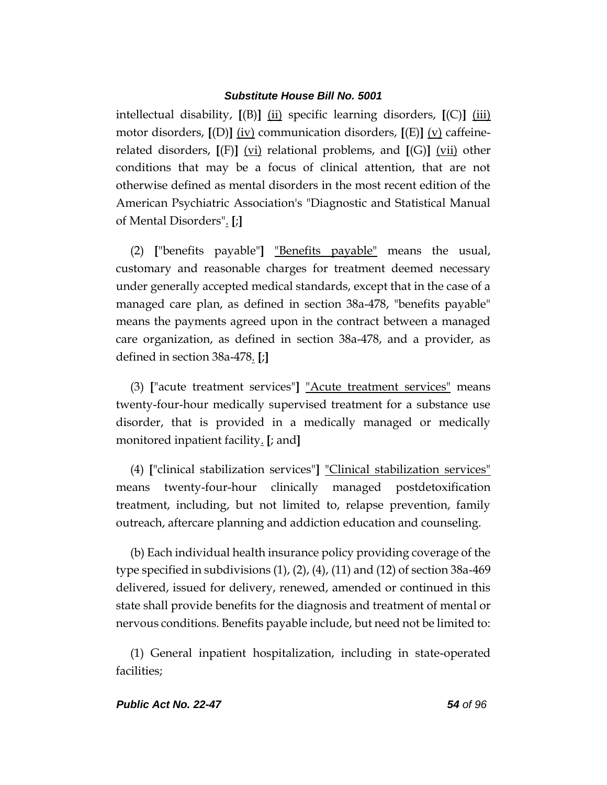intellectual disability, **[**(B)**]** (ii) specific learning disorders, **[**(C)**]** (iii) motor disorders, **[**(D)**]** (iv) communication disorders, **[**(E)**]** (v) caffeinerelated disorders, **[**(F)**]** (vi) relational problems, and **[**(G)**]** (vii) other conditions that may be a focus of clinical attention, that are not otherwise defined as mental disorders in the most recent edition of the American Psychiatric Association's "Diagnostic and Statistical Manual of Mental Disorders". **[**;**]**

(2) **[**"benefits payable"**]** "Benefits payable" means the usual, customary and reasonable charges for treatment deemed necessary under generally accepted medical standards, except that in the case of a managed care plan, as defined in section 38a-478, "benefits payable" means the payments agreed upon in the contract between a managed care organization, as defined in section 38a-478, and a provider, as defined in section 38a-478. **[**;**]**

(3) **[**"acute treatment services"**]** "Acute treatment services" means twenty-four-hour medically supervised treatment for a substance use disorder, that is provided in a medically managed or medically monitored inpatient facility. **[**; and**]**

(4) **[**"clinical stabilization services"**]** "Clinical stabilization services" means twenty-four-hour clinically managed postdetoxification treatment, including, but not limited to, relapse prevention, family outreach, aftercare planning and addiction education and counseling.

(b) Each individual health insurance policy providing coverage of the type specified in subdivisions (1), (2), (4), (11) and (12) of section 38a-469 delivered, issued for delivery, renewed, amended or continued in this state shall provide benefits for the diagnosis and treatment of mental or nervous conditions. Benefits payable include, but need not be limited to:

(1) General inpatient hospitalization, including in state-operated facilities;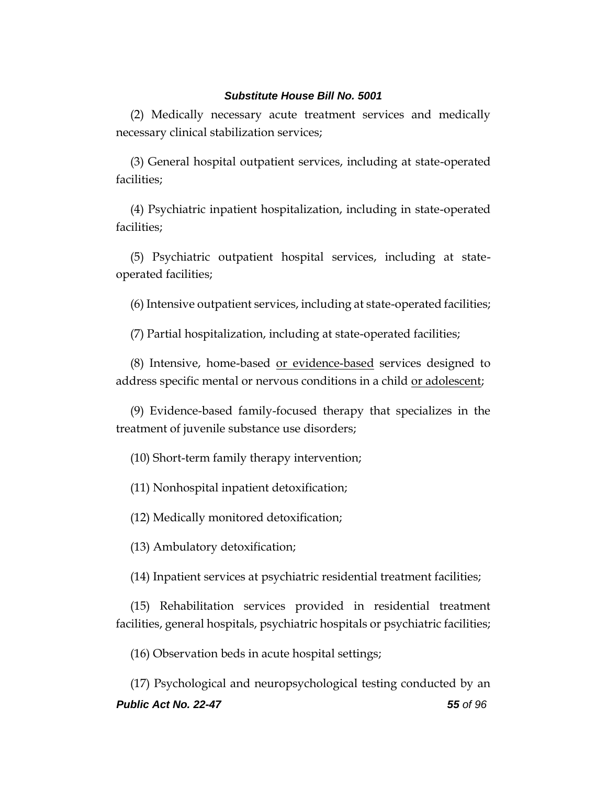(2) Medically necessary acute treatment services and medically necessary clinical stabilization services;

(3) General hospital outpatient services, including at state-operated facilities;

(4) Psychiatric inpatient hospitalization, including in state-operated facilities;

(5) Psychiatric outpatient hospital services, including at stateoperated facilities;

(6) Intensive outpatient services, including at state-operated facilities;

(7) Partial hospitalization, including at state-operated facilities;

(8) Intensive, home-based <u>or evidence-based</u> services designed to address specific mental or nervous conditions in a child or adolescent;

(9) Evidence-based family-focused therapy that specializes in the treatment of juvenile substance use disorders;

(10) Short-term family therapy intervention;

(11) Nonhospital inpatient detoxification;

(12) Medically monitored detoxification;

(13) Ambulatory detoxification;

(14) Inpatient services at psychiatric residential treatment facilities;

(15) Rehabilitation services provided in residential treatment facilities, general hospitals, psychiatric hospitals or psychiatric facilities;

(16) Observation beds in acute hospital settings;

*Public Act No. 22-47 55 of 96* (17) Psychological and neuropsychological testing conducted by an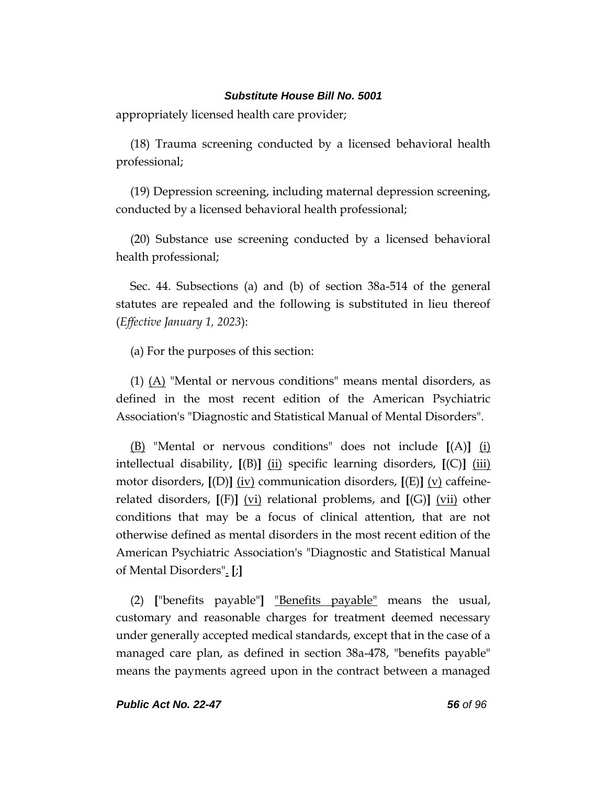appropriately licensed health care provider;

(18) Trauma screening conducted by a licensed behavioral health professional;

(19) Depression screening, including maternal depression screening, conducted by a licensed behavioral health professional;

(20) Substance use screening conducted by a licensed behavioral health professional;

Sec. 44. Subsections (a) and (b) of section 38a-514 of the general statutes are repealed and the following is substituted in lieu thereof (*Effective January 1, 2023*):

(a) For the purposes of this section:

(1)  $(A)$  "Mental or nervous conditions" means mental disorders, as defined in the most recent edition of the American Psychiatric Association's "Diagnostic and Statistical Manual of Mental Disorders".

(B) "Mental or nervous conditions" does not include **[**(A)**]** (i) intellectual disability, **[**(B)**]** (ii) specific learning disorders, **[**(C)**]** (iii) motor disorders, **[**(D)**]** (iv) communication disorders, **[**(E)**]** (v) caffeinerelated disorders,  $[(F)]$  (vi) relational problems, and  $[(G)]$  (vii) other conditions that may be a focus of clinical attention, that are not otherwise defined as mental disorders in the most recent edition of the American Psychiatric Association's "Diagnostic and Statistical Manual of Mental Disorders". **[**;**]**

(2) **[**"benefits payable"**]** "Benefits payable" means the usual, customary and reasonable charges for treatment deemed necessary under generally accepted medical standards, except that in the case of a managed care plan, as defined in section 38a-478, "benefits payable" means the payments agreed upon in the contract between a managed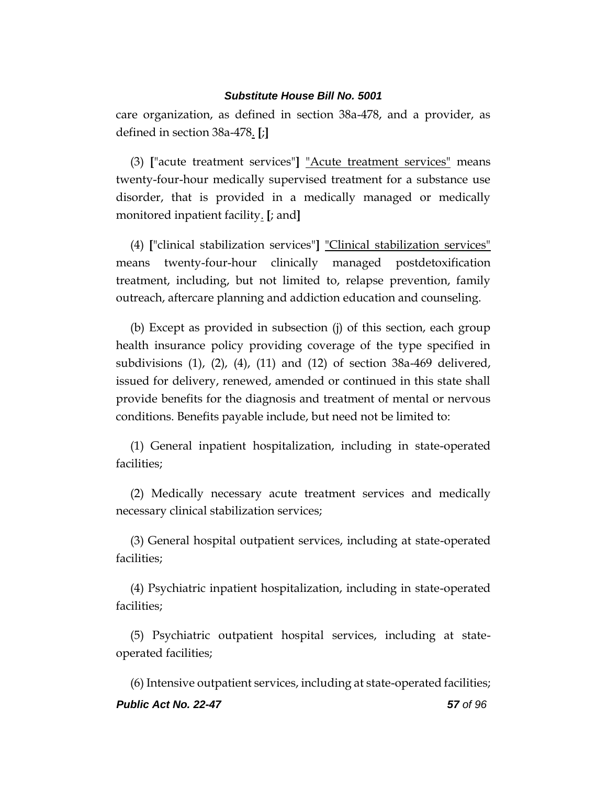care organization, as defined in section 38a-478, and a provider, as defined in section 38a-478. **[**;**]**

(3) **[**"acute treatment services"**]** "Acute treatment services" means twenty-four-hour medically supervised treatment for a substance use disorder, that is provided in a medically managed or medically monitored inpatient facility. **[**; and**]**

(4) **[**"clinical stabilization services"**]** "Clinical stabilization services" means twenty-four-hour clinically managed postdetoxification treatment, including, but not limited to, relapse prevention, family outreach, aftercare planning and addiction education and counseling.

(b) Except as provided in subsection (j) of this section, each group health insurance policy providing coverage of the type specified in subdivisions (1), (2), (4), (11) and (12) of section 38a-469 delivered, issued for delivery, renewed, amended or continued in this state shall provide benefits for the diagnosis and treatment of mental or nervous conditions. Benefits payable include, but need not be limited to:

(1) General inpatient hospitalization, including in state-operated facilities;

(2) Medically necessary acute treatment services and medically necessary clinical stabilization services;

(3) General hospital outpatient services, including at state-operated facilities;

(4) Psychiatric inpatient hospitalization, including in state-operated facilities;

(5) Psychiatric outpatient hospital services, including at stateoperated facilities;

*Public Act No. 22-47 57 of 96* (6) Intensive outpatient services, including at state-operated facilities;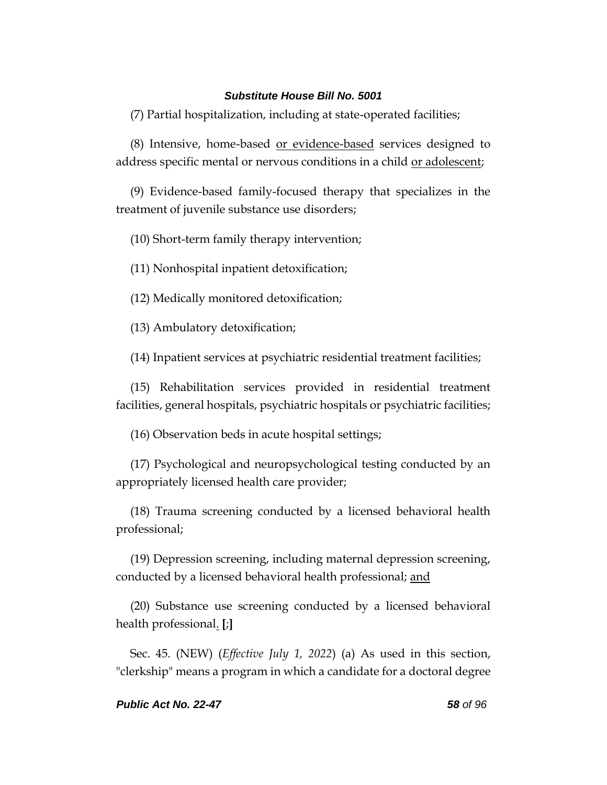(7) Partial hospitalization, including at state-operated facilities;

(8) Intensive, home-based or evidence-based services designed to address specific mental or nervous conditions in a child or adolescent;

(9) Evidence-based family-focused therapy that specializes in the treatment of juvenile substance use disorders;

(10) Short-term family therapy intervention;

(11) Nonhospital inpatient detoxification;

(12) Medically monitored detoxification;

(13) Ambulatory detoxification;

(14) Inpatient services at psychiatric residential treatment facilities;

(15) Rehabilitation services provided in residential treatment facilities, general hospitals, psychiatric hospitals or psychiatric facilities;

(16) Observation beds in acute hospital settings;

(17) Psychological and neuropsychological testing conducted by an appropriately licensed health care provider;

(18) Trauma screening conducted by a licensed behavioral health professional;

(19) Depression screening, including maternal depression screening, conducted by a licensed behavioral health professional; and

(20) Substance use screening conducted by a licensed behavioral health professional. **[**;**]**

Sec. 45. (NEW) (*Effective July 1, 2022*) (a) As used in this section, "clerkship" means a program in which a candidate for a doctoral degree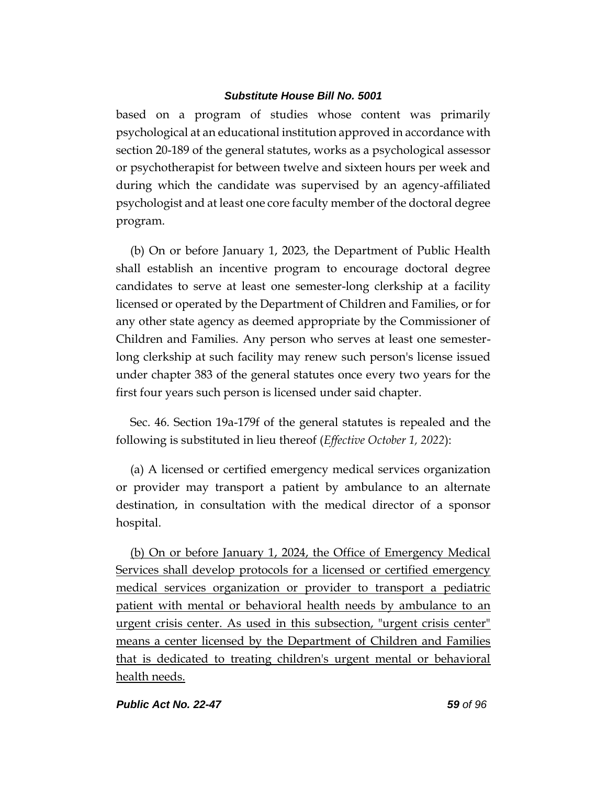based on a program of studies whose content was primarily psychological at an educational institution approved in accordance with section 20-189 of the general statutes, works as a psychological assessor or psychotherapist for between twelve and sixteen hours per week and during which the candidate was supervised by an agency-affiliated psychologist and at least one core faculty member of the doctoral degree program.

(b) On or before January 1, 2023, the Department of Public Health shall establish an incentive program to encourage doctoral degree candidates to serve at least one semester-long clerkship at a facility licensed or operated by the Department of Children and Families, or for any other state agency as deemed appropriate by the Commissioner of Children and Families. Any person who serves at least one semesterlong clerkship at such facility may renew such person's license issued under chapter 383 of the general statutes once every two years for the first four years such person is licensed under said chapter.

Sec. 46. Section 19a-179f of the general statutes is repealed and the following is substituted in lieu thereof (*Effective October 1, 2022*):

(a) A licensed or certified emergency medical services organization or provider may transport a patient by ambulance to an alternate destination, in consultation with the medical director of a sponsor hospital.

(b) On or before January 1, 2024, the Office of Emergency Medical Services shall develop protocols for a licensed or certified emergency medical services organization or provider to transport a pediatric patient with mental or behavioral health needs by ambulance to an urgent crisis center. As used in this subsection, "urgent crisis center" means a center licensed by the Department of Children and Families that is dedicated to treating children's urgent mental or behavioral health needs.

#### *Public Act No. 22-47 59 of 96*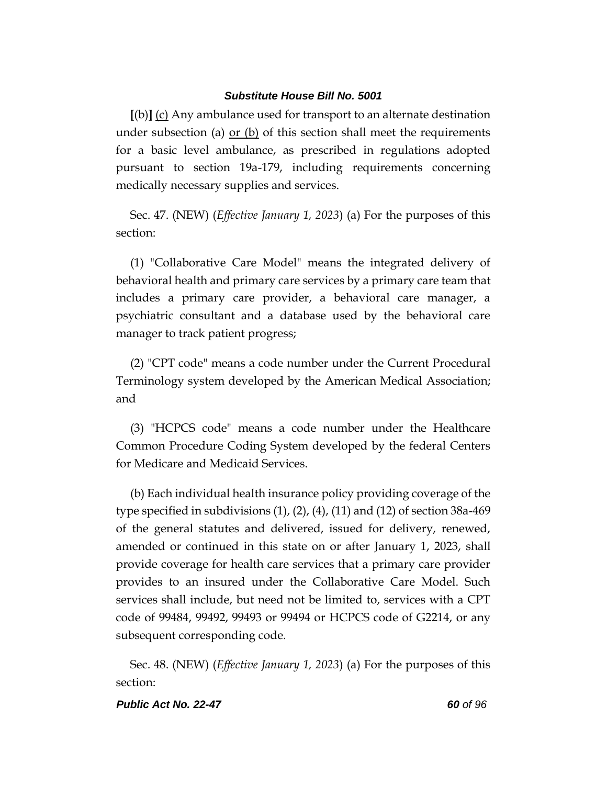**[**(b)**]** (c) Any ambulance used for transport to an alternate destination under subsection (a) or (b) of this section shall meet the requirements for a basic level ambulance, as prescribed in regulations adopted pursuant to section 19a-179, including requirements concerning medically necessary supplies and services.

Sec. 47. (NEW) (*Effective January 1, 2023*) (a) For the purposes of this section:

(1) "Collaborative Care Model" means the integrated delivery of behavioral health and primary care services by a primary care team that includes a primary care provider, a behavioral care manager, a psychiatric consultant and a database used by the behavioral care manager to track patient progress;

(2) "CPT code" means a code number under the Current Procedural Terminology system developed by the American Medical Association; and

(3) "HCPCS code" means a code number under the Healthcare Common Procedure Coding System developed by the federal Centers for Medicare and Medicaid Services.

(b) Each individual health insurance policy providing coverage of the type specified in subdivisions (1), (2), (4), (11) and (12) of section 38a-469 of the general statutes and delivered, issued for delivery, renewed, amended or continued in this state on or after January 1, 2023, shall provide coverage for health care services that a primary care provider provides to an insured under the Collaborative Care Model. Such services shall include, but need not be limited to, services with a CPT code of 99484, 99492, 99493 or 99494 or HCPCS code of G2214, or any subsequent corresponding code.

Sec. 48. (NEW) (*Effective January 1, 2023*) (a) For the purposes of this section:

#### *Public Act No. 22-47 60 of 96*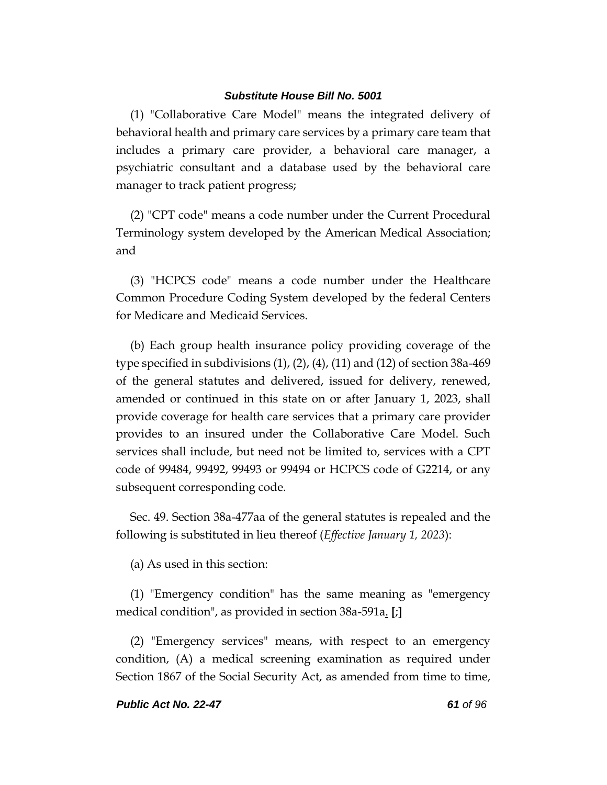(1) "Collaborative Care Model" means the integrated delivery of behavioral health and primary care services by a primary care team that includes a primary care provider, a behavioral care manager, a psychiatric consultant and a database used by the behavioral care manager to track patient progress;

(2) "CPT code" means a code number under the Current Procedural Terminology system developed by the American Medical Association; and

(3) "HCPCS code" means a code number under the Healthcare Common Procedure Coding System developed by the federal Centers for Medicare and Medicaid Services.

(b) Each group health insurance policy providing coverage of the type specified in subdivisions  $(1)$ ,  $(2)$ ,  $(4)$ ,  $(11)$  and  $(12)$  of section 38a-469 of the general statutes and delivered, issued for delivery, renewed, amended or continued in this state on or after January 1, 2023, shall provide coverage for health care services that a primary care provider provides to an insured under the Collaborative Care Model. Such services shall include, but need not be limited to, services with a CPT code of 99484, 99492, 99493 or 99494 or HCPCS code of G2214, or any subsequent corresponding code.

Sec. 49. Section 38a-477aa of the general statutes is repealed and the following is substituted in lieu thereof (*Effective January 1, 2023*):

(a) As used in this section:

(1) "Emergency condition" has the same meaning as "emergency medical condition", as provided in section 38a-591a. **[**;**]**

(2) "Emergency services" means, with respect to an emergency condition, (A) a medical screening examination as required under Section 1867 of the Social Security Act, as amended from time to time,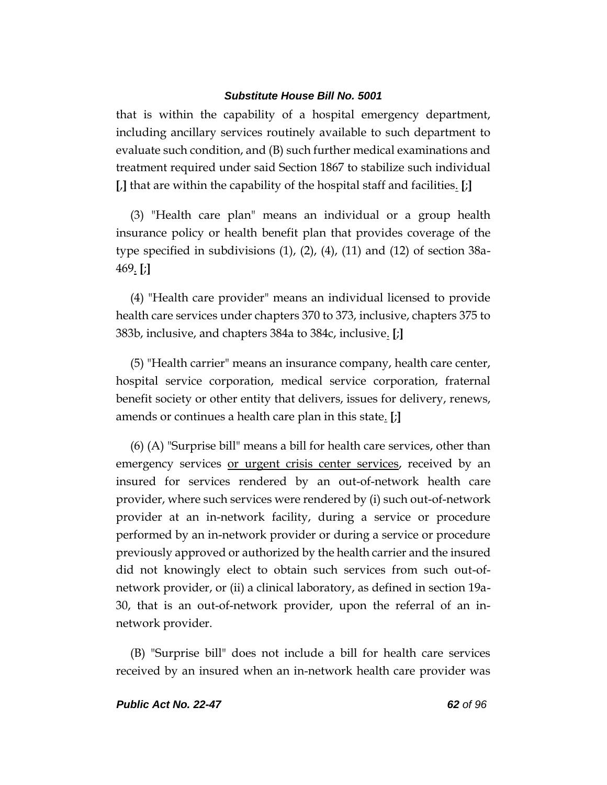that is within the capability of a hospital emergency department, including ancillary services routinely available to such department to evaluate such condition, and (B) such further medical examinations and treatment required under said Section 1867 to stabilize such individual **[**,**]** that are within the capability of the hospital staff and facilities. **[**;**]**

(3) "Health care plan" means an individual or a group health insurance policy or health benefit plan that provides coverage of the type specified in subdivisions (1), (2), (4), (11) and (12) of section 38a-469. **[**;**]**

(4) "Health care provider" means an individual licensed to provide health care services under chapters 370 to 373, inclusive, chapters 375 to 383b, inclusive, and chapters 384a to 384c, inclusive. **[**;**]**

(5) "Health carrier" means an insurance company, health care center, hospital service corporation, medical service corporation, fraternal benefit society or other entity that delivers, issues for delivery, renews, amends or continues a health care plan in this state. **[**;**]**

(6) (A) "Surprise bill" means a bill for health care services, other than emergency services or urgent crisis center services, received by an insured for services rendered by an out-of-network health care provider, where such services were rendered by (i) such out-of-network provider at an in-network facility, during a service or procedure performed by an in-network provider or during a service or procedure previously approved or authorized by the health carrier and the insured did not knowingly elect to obtain such services from such out-ofnetwork provider, or (ii) a clinical laboratory, as defined in section 19a-30, that is an out-of-network provider, upon the referral of an innetwork provider.

(B) "Surprise bill" does not include a bill for health care services received by an insured when an in-network health care provider was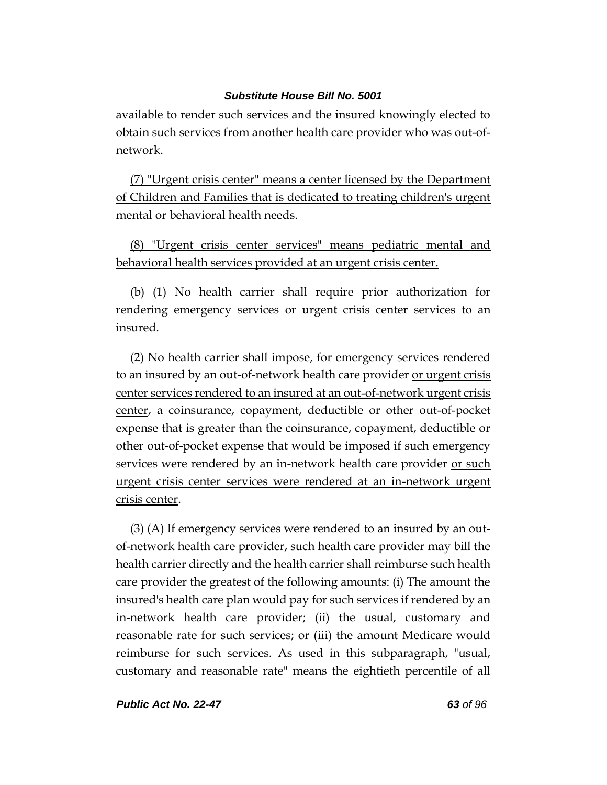available to render such services and the insured knowingly elected to obtain such services from another health care provider who was out-ofnetwork.

(7) "Urgent crisis center" means a center licensed by the Department of Children and Families that is dedicated to treating children's urgent mental or behavioral health needs.

(8) "Urgent crisis center services" means pediatric mental and behavioral health services provided at an urgent crisis center.

(b) (1) No health carrier shall require prior authorization for rendering emergency services or urgent crisis center services to an insured.

(2) No health carrier shall impose, for emergency services rendered to an insured by an out-of-network health care provider or urgent crisis center services rendered to an insured at an out-of-network urgent crisis center, a coinsurance, copayment, deductible or other out-of-pocket expense that is greater than the coinsurance, copayment, deductible or other out-of-pocket expense that would be imposed if such emergency services were rendered by an in-network health care provider or such urgent crisis center services were rendered at an in-network urgent crisis center.

(3) (A) If emergency services were rendered to an insured by an outof-network health care provider, such health care provider may bill the health carrier directly and the health carrier shall reimburse such health care provider the greatest of the following amounts: (i) The amount the insured's health care plan would pay for such services if rendered by an in-network health care provider; (ii) the usual, customary and reasonable rate for such services; or (iii) the amount Medicare would reimburse for such services. As used in this subparagraph, "usual, customary and reasonable rate" means the eightieth percentile of all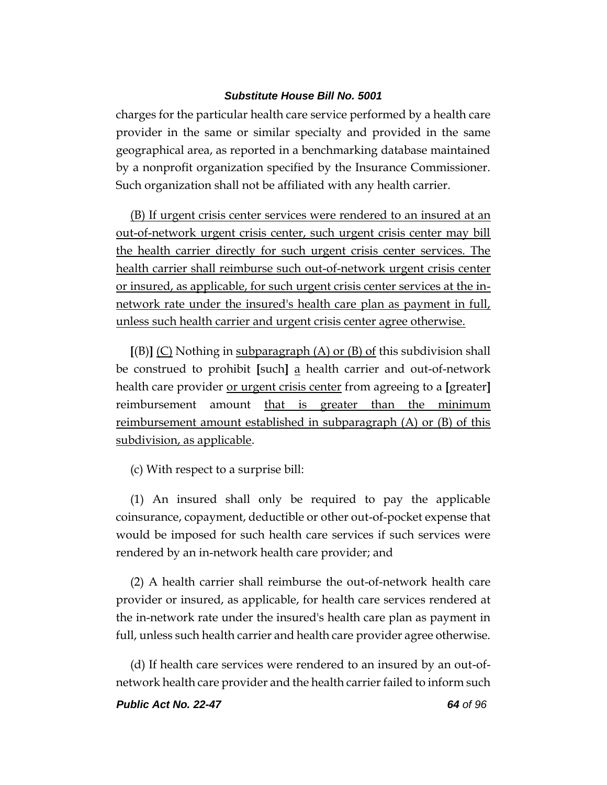charges for the particular health care service performed by a health care provider in the same or similar specialty and provided in the same geographical area, as reported in a benchmarking database maintained by a nonprofit organization specified by the Insurance Commissioner. Such organization shall not be affiliated with any health carrier.

(B) If urgent crisis center services were rendered to an insured at an out-of-network urgent crisis center, such urgent crisis center may bill the health carrier directly for such urgent crisis center services. The health carrier shall reimburse such out-of-network urgent crisis center or insured, as applicable, for such urgent crisis center services at the innetwork rate under the insured's health care plan as payment in full, unless such health carrier and urgent crisis center agree otherwise.

**[**(B)**]** (C) Nothing in subparagraph (A) or (B) of this subdivision shall be construed to prohibit **[**such**]** a health carrier and out-of-network health care provider or urgent crisis center from agreeing to a **[**greater**]** reimbursement amount that is greater than the minimum reimbursement amount established in subparagraph (A) or (B) of this subdivision, as applicable.

(c) With respect to a surprise bill:

(1) An insured shall only be required to pay the applicable coinsurance, copayment, deductible or other out-of-pocket expense that would be imposed for such health care services if such services were rendered by an in-network health care provider; and

(2) A health carrier shall reimburse the out-of-network health care provider or insured, as applicable, for health care services rendered at the in-network rate under the insured's health care plan as payment in full, unless such health carrier and health care provider agree otherwise.

(d) If health care services were rendered to an insured by an out-ofnetwork health care provider and the health carrier failed to inform such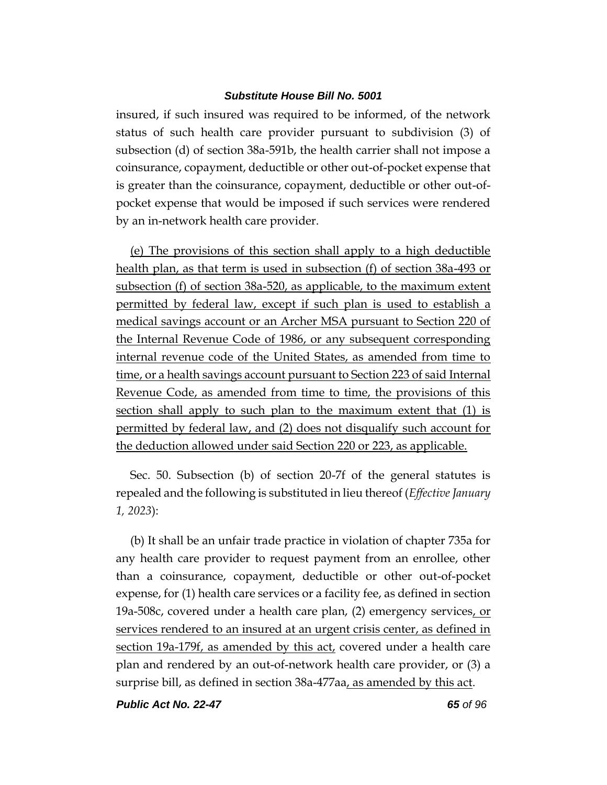insured, if such insured was required to be informed, of the network status of such health care provider pursuant to subdivision (3) of subsection (d) of section 38a-591b, the health carrier shall not impose a coinsurance, copayment, deductible or other out-of-pocket expense that is greater than the coinsurance, copayment, deductible or other out-ofpocket expense that would be imposed if such services were rendered by an in-network health care provider.

(e) The provisions of this section shall apply to a high deductible health plan, as that term is used in subsection (f) of section 38a-493 or subsection (f) of section 38a-520, as applicable, to the maximum extent permitted by federal law, except if such plan is used to establish a medical savings account or an Archer MSA pursuant to Section 220 of the Internal Revenue Code of 1986, or any subsequent corresponding internal revenue code of the United States, as amended from time to time, or a health savings account pursuant to Section 223 of said Internal Revenue Code, as amended from time to time, the provisions of this section shall apply to such plan to the maximum extent that (1) is permitted by federal law, and (2) does not disqualify such account for the deduction allowed under said Section 220 or 223, as applicable.

Sec. 50. Subsection (b) of section 20-7f of the general statutes is repealed and the following is substituted in lieu thereof (*Effective January 1, 2023*):

(b) It shall be an unfair trade practice in violation of chapter 735a for any health care provider to request payment from an enrollee, other than a coinsurance, copayment, deductible or other out-of-pocket expense, for (1) health care services or a facility fee, as defined in section 19a-508c, covered under a health care plan, (2) emergency services, or services rendered to an insured at an urgent crisis center, as defined in section 19a-179f, as amended by this act, covered under a health care plan and rendered by an out-of-network health care provider, or (3) a surprise bill, as defined in section 38a-477aa, as amended by this act.

*Public Act No. 22-47 65 of 96*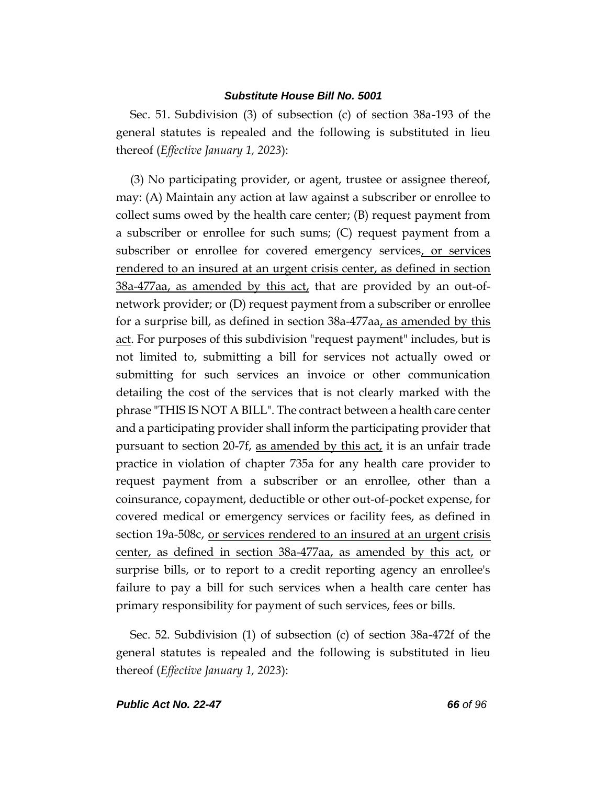Sec. 51. Subdivision (3) of subsection (c) of section 38a-193 of the general statutes is repealed and the following is substituted in lieu thereof (*Effective January 1, 2023*):

(3) No participating provider, or agent, trustee or assignee thereof, may: (A) Maintain any action at law against a subscriber or enrollee to collect sums owed by the health care center; (B) request payment from a subscriber or enrollee for such sums; (C) request payment from a subscriber or enrollee for covered emergency services, or services rendered to an insured at an urgent crisis center, as defined in section  $38a-477aa$ , as amended by this act, that are provided by an out-ofnetwork provider; or (D) request payment from a subscriber or enrollee for a surprise bill, as defined in section 38a-477aa, as amended by this act. For purposes of this subdivision "request payment" includes, but is not limited to, submitting a bill for services not actually owed or submitting for such services an invoice or other communication detailing the cost of the services that is not clearly marked with the phrase "THIS IS NOT A BILL". The contract between a health care center and a participating provider shall inform the participating provider that pursuant to section 20-7f, as amended by this act, it is an unfair trade practice in violation of chapter 735a for any health care provider to request payment from a subscriber or an enrollee, other than a coinsurance, copayment, deductible or other out-of-pocket expense, for covered medical or emergency services or facility fees, as defined in section 19a-508c, or services rendered to an insured at an urgent crisis center, as defined in section 38a-477aa, as amended by this act, or surprise bills, or to report to a credit reporting agency an enrollee's failure to pay a bill for such services when a health care center has primary responsibility for payment of such services, fees or bills.

Sec. 52. Subdivision (1) of subsection (c) of section 38a-472f of the general statutes is repealed and the following is substituted in lieu thereof (*Effective January 1, 2023*):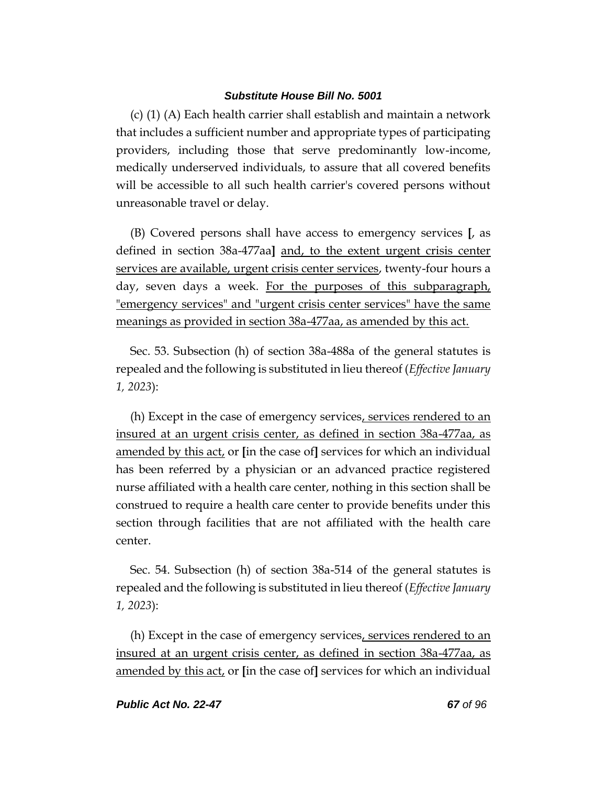(c) (1) (A) Each health carrier shall establish and maintain a network that includes a sufficient number and appropriate types of participating providers, including those that serve predominantly low-income, medically underserved individuals, to assure that all covered benefits will be accessible to all such health carrier's covered persons without unreasonable travel or delay.

(B) Covered persons shall have access to emergency services **[**, as defined in section 38a-477aa**]** and, to the extent urgent crisis center services are available, urgent crisis center services, twenty-four hours a day, seven days a week. For the purposes of this subparagraph, "emergency services" and "urgent crisis center services" have the same meanings as provided in section 38a-477aa, as amended by this act.

Sec. 53. Subsection (h) of section 38a-488a of the general statutes is repealed and the following is substituted in lieu thereof (*Effective January 1, 2023*):

(h) Except in the case of emergency services, services rendered to an insured at an urgent crisis center, as defined in section 38a-477aa, as amended by this act, or **[**in the case of**]** services for which an individual has been referred by a physician or an advanced practice registered nurse affiliated with a health care center, nothing in this section shall be construed to require a health care center to provide benefits under this section through facilities that are not affiliated with the health care center.

Sec. 54. Subsection (h) of section 38a-514 of the general statutes is repealed and the following is substituted in lieu thereof (*Effective January 1, 2023*):

(h) Except in the case of emergency services, services rendered to an insured at an urgent crisis center, as defined in section 38a-477aa, as amended by this act, or **[**in the case of**]** services for which an individual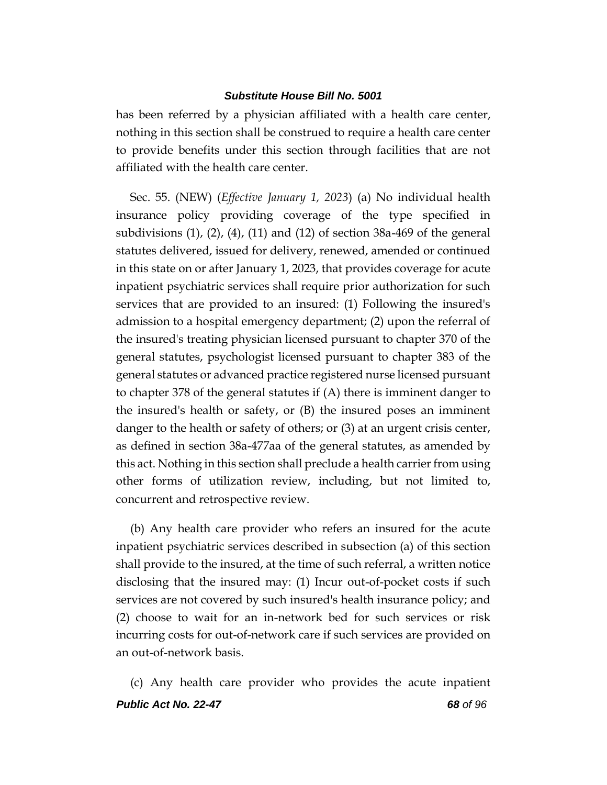has been referred by a physician affiliated with a health care center, nothing in this section shall be construed to require a health care center to provide benefits under this section through facilities that are not affiliated with the health care center.

Sec. 55. (NEW) (*Effective January 1, 2023*) (a) No individual health insurance policy providing coverage of the type specified in subdivisions (1), (2), (4), (11) and (12) of section 38a-469 of the general statutes delivered, issued for delivery, renewed, amended or continued in this state on or after January 1, 2023, that provides coverage for acute inpatient psychiatric services shall require prior authorization for such services that are provided to an insured: (1) Following the insured's admission to a hospital emergency department; (2) upon the referral of the insured's treating physician licensed pursuant to chapter 370 of the general statutes, psychologist licensed pursuant to chapter 383 of the general statutes or advanced practice registered nurse licensed pursuant to chapter 378 of the general statutes if (A) there is imminent danger to the insured's health or safety, or (B) the insured poses an imminent danger to the health or safety of others; or (3) at an urgent crisis center, as defined in section 38a-477aa of the general statutes, as amended by this act. Nothing in this section shall preclude a health carrier from using other forms of utilization review, including, but not limited to, concurrent and retrospective review.

(b) Any health care provider who refers an insured for the acute inpatient psychiatric services described in subsection (a) of this section shall provide to the insured, at the time of such referral, a written notice disclosing that the insured may: (1) Incur out-of-pocket costs if such services are not covered by such insured's health insurance policy; and (2) choose to wait for an in-network bed for such services or risk incurring costs for out-of-network care if such services are provided on an out-of-network basis.

*Public Act No. 22-47 68 of 96* (c) Any health care provider who provides the acute inpatient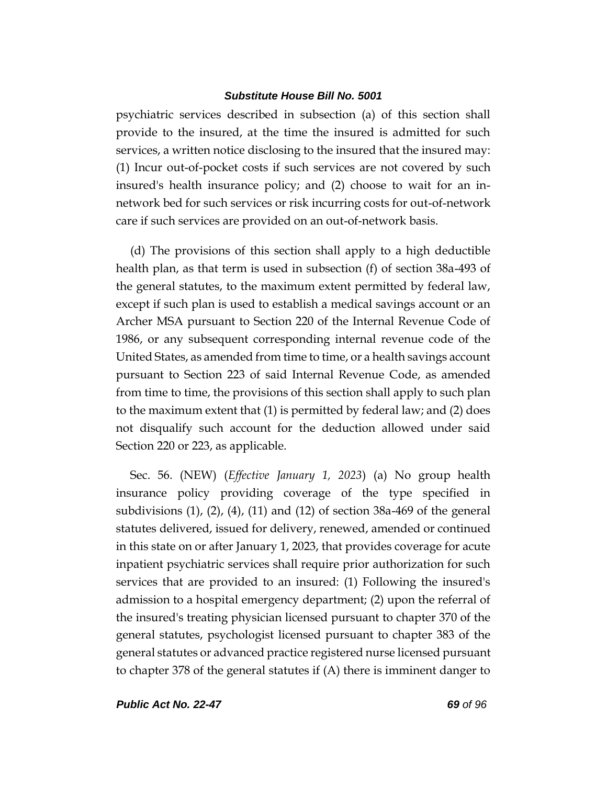psychiatric services described in subsection (a) of this section shall provide to the insured, at the time the insured is admitted for such services, a written notice disclosing to the insured that the insured may: (1) Incur out-of-pocket costs if such services are not covered by such insured's health insurance policy; and (2) choose to wait for an innetwork bed for such services or risk incurring costs for out-of-network care if such services are provided on an out-of-network basis.

(d) The provisions of this section shall apply to a high deductible health plan, as that term is used in subsection (f) of section 38a-493 of the general statutes, to the maximum extent permitted by federal law, except if such plan is used to establish a medical savings account or an Archer MSA pursuant to Section 220 of the Internal Revenue Code of 1986, or any subsequent corresponding internal revenue code of the United States, as amended from time to time, or a health savings account pursuant to Section 223 of said Internal Revenue Code, as amended from time to time, the provisions of this section shall apply to such plan to the maximum extent that (1) is permitted by federal law; and (2) does not disqualify such account for the deduction allowed under said Section 220 or 223, as applicable.

Sec. 56. (NEW) (*Effective January 1, 2023*) (a) No group health insurance policy providing coverage of the type specified in subdivisions (1), (2), (4), (11) and (12) of section 38a-469 of the general statutes delivered, issued for delivery, renewed, amended or continued in this state on or after January 1, 2023, that provides coverage for acute inpatient psychiatric services shall require prior authorization for such services that are provided to an insured: (1) Following the insured's admission to a hospital emergency department; (2) upon the referral of the insured's treating physician licensed pursuant to chapter 370 of the general statutes, psychologist licensed pursuant to chapter 383 of the general statutes or advanced practice registered nurse licensed pursuant to chapter 378 of the general statutes if (A) there is imminent danger to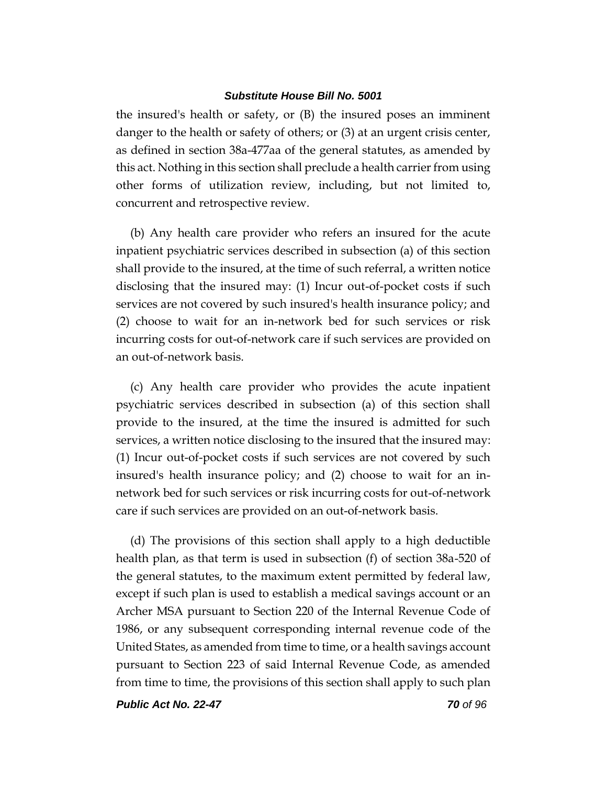the insured's health or safety, or (B) the insured poses an imminent danger to the health or safety of others; or (3) at an urgent crisis center, as defined in section 38a-477aa of the general statutes, as amended by this act. Nothing in this section shall preclude a health carrier from using other forms of utilization review, including, but not limited to, concurrent and retrospective review.

(b) Any health care provider who refers an insured for the acute inpatient psychiatric services described in subsection (a) of this section shall provide to the insured, at the time of such referral, a written notice disclosing that the insured may: (1) Incur out-of-pocket costs if such services are not covered by such insured's health insurance policy; and (2) choose to wait for an in-network bed for such services or risk incurring costs for out-of-network care if such services are provided on an out-of-network basis.

(c) Any health care provider who provides the acute inpatient psychiatric services described in subsection (a) of this section shall provide to the insured, at the time the insured is admitted for such services, a written notice disclosing to the insured that the insured may: (1) Incur out-of-pocket costs if such services are not covered by such insured's health insurance policy; and (2) choose to wait for an innetwork bed for such services or risk incurring costs for out-of-network care if such services are provided on an out-of-network basis.

(d) The provisions of this section shall apply to a high deductible health plan, as that term is used in subsection (f) of section 38a-520 of the general statutes, to the maximum extent permitted by federal law, except if such plan is used to establish a medical savings account or an Archer MSA pursuant to Section 220 of the Internal Revenue Code of 1986, or any subsequent corresponding internal revenue code of the United States, as amended from time to time, or a health savings account pursuant to Section 223 of said Internal Revenue Code, as amended from time to time, the provisions of this section shall apply to such plan

*Public Act No. 22-47 70 of 96*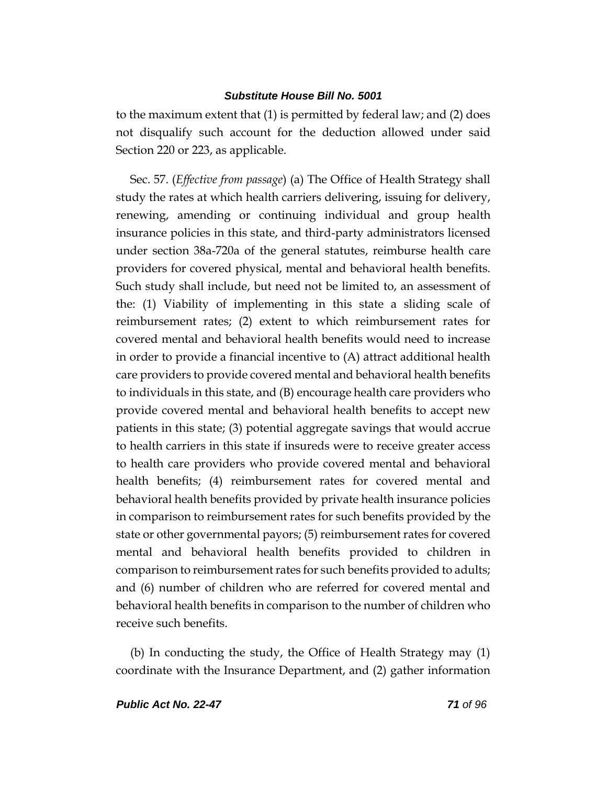to the maximum extent that (1) is permitted by federal law; and (2) does not disqualify such account for the deduction allowed under said Section 220 or 223, as applicable.

Sec. 57. (*Effective from passage*) (a) The Office of Health Strategy shall study the rates at which health carriers delivering, issuing for delivery, renewing, amending or continuing individual and group health insurance policies in this state, and third-party administrators licensed under section 38a-720a of the general statutes, reimburse health care providers for covered physical, mental and behavioral health benefits. Such study shall include, but need not be limited to, an assessment of the: (1) Viability of implementing in this state a sliding scale of reimbursement rates; (2) extent to which reimbursement rates for covered mental and behavioral health benefits would need to increase in order to provide a financial incentive to (A) attract additional health care providers to provide covered mental and behavioral health benefits to individuals in this state, and (B) encourage health care providers who provide covered mental and behavioral health benefits to accept new patients in this state; (3) potential aggregate savings that would accrue to health carriers in this state if insureds were to receive greater access to health care providers who provide covered mental and behavioral health benefits; (4) reimbursement rates for covered mental and behavioral health benefits provided by private health insurance policies in comparison to reimbursement rates for such benefits provided by the state or other governmental payors; (5) reimbursement rates for covered mental and behavioral health benefits provided to children in comparison to reimbursement rates for such benefits provided to adults; and (6) number of children who are referred for covered mental and behavioral health benefits in comparison to the number of children who receive such benefits.

(b) In conducting the study, the Office of Health Strategy may (1) coordinate with the Insurance Department, and (2) gather information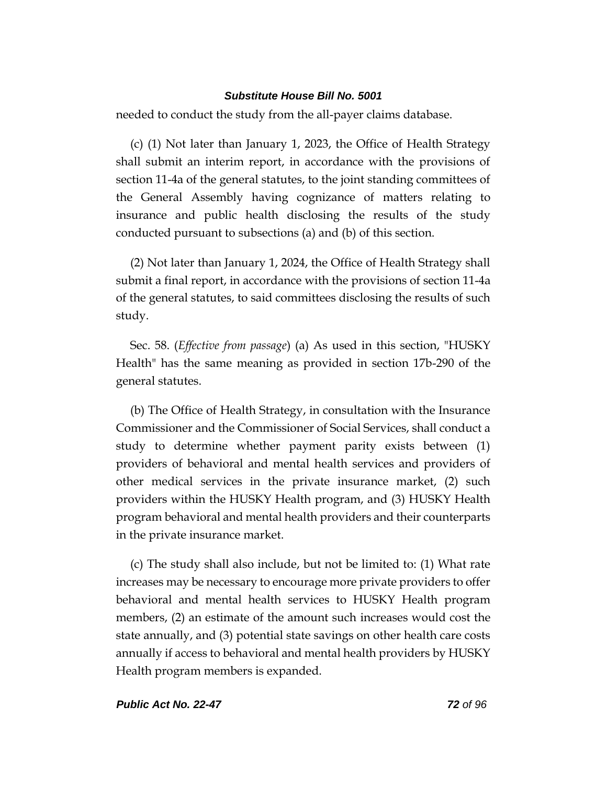needed to conduct the study from the all-payer claims database.

(c) (1) Not later than January 1, 2023, the Office of Health Strategy shall submit an interim report, in accordance with the provisions of section 11-4a of the general statutes, to the joint standing committees of the General Assembly having cognizance of matters relating to insurance and public health disclosing the results of the study conducted pursuant to subsections (a) and (b) of this section.

(2) Not later than January 1, 2024, the Office of Health Strategy shall submit a final report, in accordance with the provisions of section 11-4a of the general statutes, to said committees disclosing the results of such study.

Sec. 58. (*Effective from passage*) (a) As used in this section, "HUSKY Health" has the same meaning as provided in section 17b-290 of the general statutes.

(b) The Office of Health Strategy, in consultation with the Insurance Commissioner and the Commissioner of Social Services, shall conduct a study to determine whether payment parity exists between (1) providers of behavioral and mental health services and providers of other medical services in the private insurance market, (2) such providers within the HUSKY Health program, and (3) HUSKY Health program behavioral and mental health providers and their counterparts in the private insurance market.

(c) The study shall also include, but not be limited to: (1) What rate increases may be necessary to encourage more private providers to offer behavioral and mental health services to HUSKY Health program members, (2) an estimate of the amount such increases would cost the state annually, and (3) potential state savings on other health care costs annually if access to behavioral and mental health providers by HUSKY Health program members is expanded.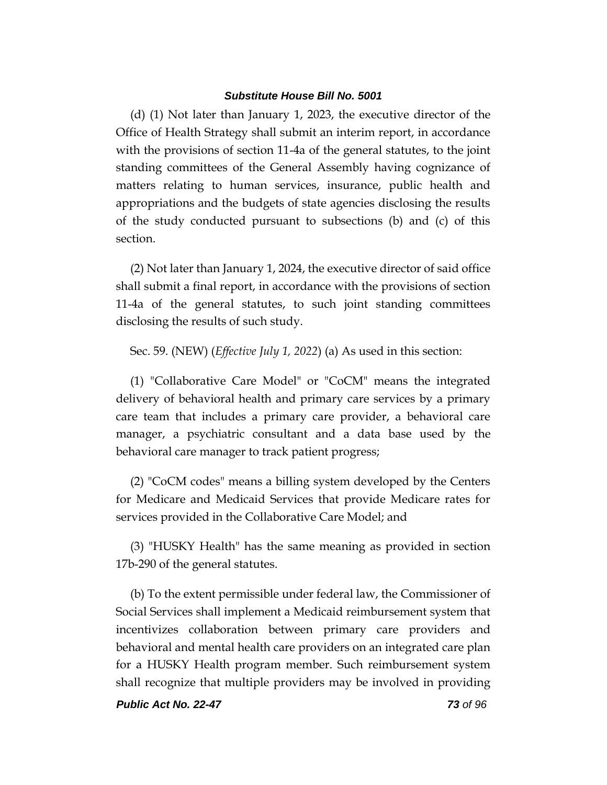(d) (1) Not later than January 1, 2023, the executive director of the Office of Health Strategy shall submit an interim report, in accordance with the provisions of section 11-4a of the general statutes, to the joint standing committees of the General Assembly having cognizance of matters relating to human services, insurance, public health and appropriations and the budgets of state agencies disclosing the results of the study conducted pursuant to subsections (b) and (c) of this section.

(2) Not later than January 1, 2024, the executive director of said office shall submit a final report, in accordance with the provisions of section 11-4a of the general statutes, to such joint standing committees disclosing the results of such study.

Sec. 59. (NEW) (*Effective July 1, 2022*) (a) As used in this section:

(1) "Collaborative Care Model" or "CoCM" means the integrated delivery of behavioral health and primary care services by a primary care team that includes a primary care provider, a behavioral care manager, a psychiatric consultant and a data base used by the behavioral care manager to track patient progress;

(2) "CoCM codes" means a billing system developed by the Centers for Medicare and Medicaid Services that provide Medicare rates for services provided in the Collaborative Care Model; and

(3) "HUSKY Health" has the same meaning as provided in section 17b-290 of the general statutes.

(b) To the extent permissible under federal law, the Commissioner of Social Services shall implement a Medicaid reimbursement system that incentivizes collaboration between primary care providers and behavioral and mental health care providers on an integrated care plan for a HUSKY Health program member. Such reimbursement system shall recognize that multiple providers may be involved in providing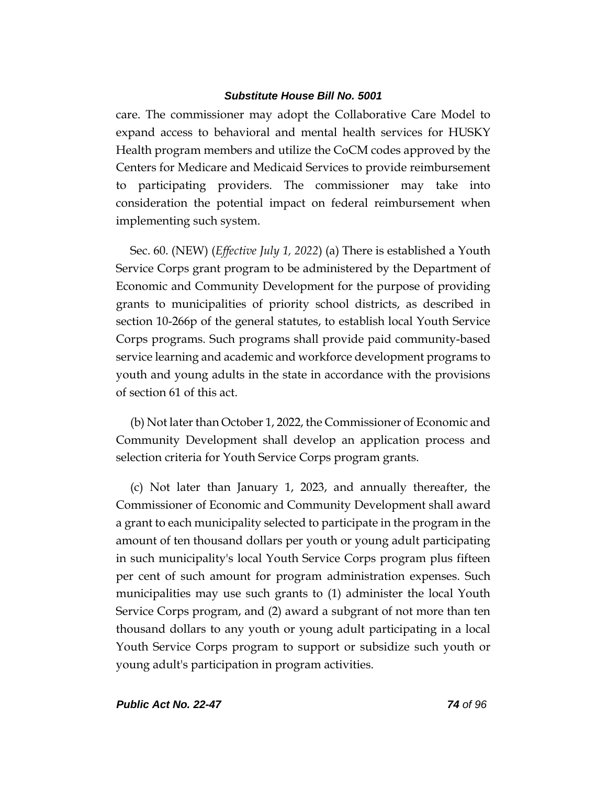care. The commissioner may adopt the Collaborative Care Model to expand access to behavioral and mental health services for HUSKY Health program members and utilize the CoCM codes approved by the Centers for Medicare and Medicaid Services to provide reimbursement to participating providers. The commissioner may take into consideration the potential impact on federal reimbursement when implementing such system.

Sec. 60. (NEW) (*Effective July 1, 2022*) (a) There is established a Youth Service Corps grant program to be administered by the Department of Economic and Community Development for the purpose of providing grants to municipalities of priority school districts, as described in section 10-266p of the general statutes, to establish local Youth Service Corps programs. Such programs shall provide paid community-based service learning and academic and workforce development programs to youth and young adults in the state in accordance with the provisions of section 61 of this act.

(b) Not later than October 1, 2022, the Commissioner of Economic and Community Development shall develop an application process and selection criteria for Youth Service Corps program grants.

(c) Not later than January 1, 2023, and annually thereafter, the Commissioner of Economic and Community Development shall award a grant to each municipality selected to participate in the program in the amount of ten thousand dollars per youth or young adult participating in such municipality's local Youth Service Corps program plus fifteen per cent of such amount for program administration expenses. Such municipalities may use such grants to (1) administer the local Youth Service Corps program, and (2) award a subgrant of not more than ten thousand dollars to any youth or young adult participating in a local Youth Service Corps program to support or subsidize such youth or young adult's participation in program activities.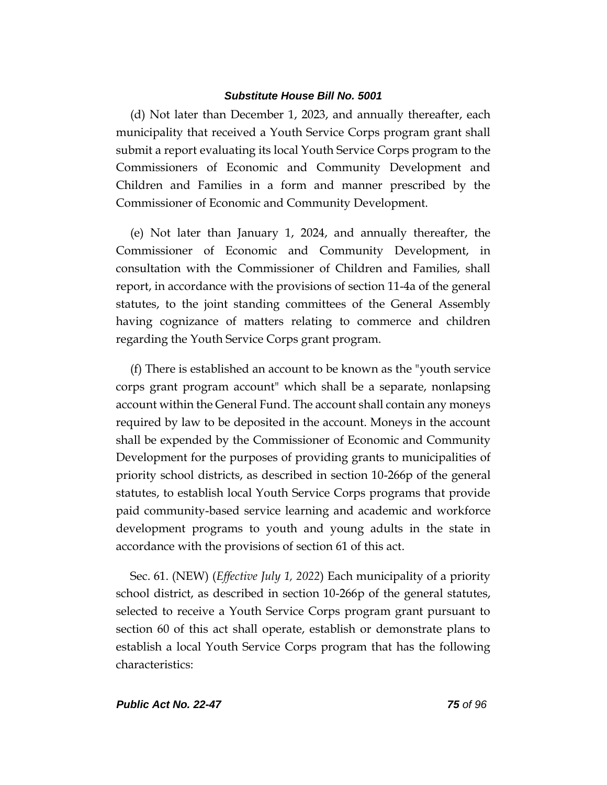(d) Not later than December 1, 2023, and annually thereafter, each municipality that received a Youth Service Corps program grant shall submit a report evaluating its local Youth Service Corps program to the Commissioners of Economic and Community Development and Children and Families in a form and manner prescribed by the Commissioner of Economic and Community Development.

(e) Not later than January 1, 2024, and annually thereafter, the Commissioner of Economic and Community Development, in consultation with the Commissioner of Children and Families, shall report, in accordance with the provisions of section 11-4a of the general statutes, to the joint standing committees of the General Assembly having cognizance of matters relating to commerce and children regarding the Youth Service Corps grant program.

(f) There is established an account to be known as the "youth service corps grant program account" which shall be a separate, nonlapsing account within the General Fund. The account shall contain any moneys required by law to be deposited in the account. Moneys in the account shall be expended by the Commissioner of Economic and Community Development for the purposes of providing grants to municipalities of priority school districts, as described in section 10-266p of the general statutes, to establish local Youth Service Corps programs that provide paid community-based service learning and academic and workforce development programs to youth and young adults in the state in accordance with the provisions of section 61 of this act.

Sec. 61. (NEW) (*Effective July 1, 2022*) Each municipality of a priority school district, as described in section 10-266p of the general statutes, selected to receive a Youth Service Corps program grant pursuant to section 60 of this act shall operate, establish or demonstrate plans to establish a local Youth Service Corps program that has the following characteristics: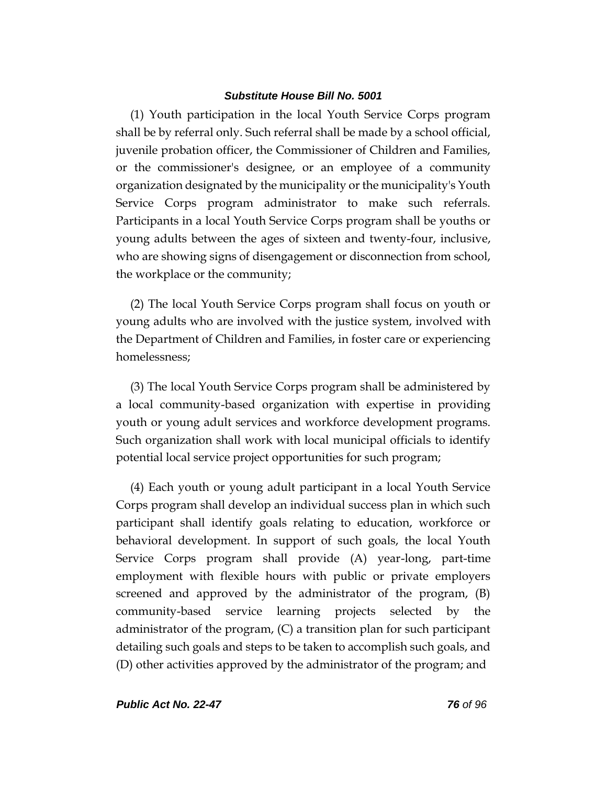(1) Youth participation in the local Youth Service Corps program shall be by referral only. Such referral shall be made by a school official, juvenile probation officer, the Commissioner of Children and Families, or the commissioner's designee, or an employee of a community organization designated by the municipality or the municipality's Youth Service Corps program administrator to make such referrals. Participants in a local Youth Service Corps program shall be youths or young adults between the ages of sixteen and twenty-four, inclusive, who are showing signs of disengagement or disconnection from school, the workplace or the community;

(2) The local Youth Service Corps program shall focus on youth or young adults who are involved with the justice system, involved with the Department of Children and Families, in foster care or experiencing homelessness;

(3) The local Youth Service Corps program shall be administered by a local community-based organization with expertise in providing youth or young adult services and workforce development programs. Such organization shall work with local municipal officials to identify potential local service project opportunities for such program;

(4) Each youth or young adult participant in a local Youth Service Corps program shall develop an individual success plan in which such participant shall identify goals relating to education, workforce or behavioral development. In support of such goals, the local Youth Service Corps program shall provide (A) year-long, part-time employment with flexible hours with public or private employers screened and approved by the administrator of the program, (B) community-based service learning projects selected by the administrator of the program, (C) a transition plan for such participant detailing such goals and steps to be taken to accomplish such goals, and (D) other activities approved by the administrator of the program; and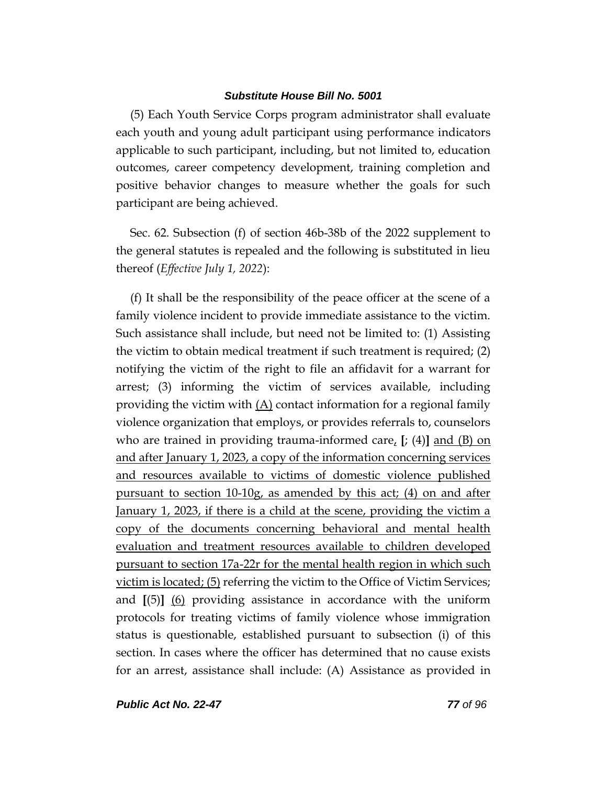(5) Each Youth Service Corps program administrator shall evaluate each youth and young adult participant using performance indicators applicable to such participant, including, but not limited to, education outcomes, career competency development, training completion and positive behavior changes to measure whether the goals for such participant are being achieved.

Sec. 62. Subsection (f) of section 46b-38b of the 2022 supplement to the general statutes is repealed and the following is substituted in lieu thereof (*Effective July 1, 2022*):

(f) It shall be the responsibility of the peace officer at the scene of a family violence incident to provide immediate assistance to the victim. Such assistance shall include, but need not be limited to: (1) Assisting the victim to obtain medical treatment if such treatment is required; (2) notifying the victim of the right to file an affidavit for a warrant for arrest; (3) informing the victim of services available, including providing the victim with (A) contact information for a regional family violence organization that employs, or provides referrals to, counselors who are trained in providing trauma-informed care, **[**; (4)**]** and (B) on and after January 1, 2023, a copy of the information concerning services and resources available to victims of domestic violence published pursuant to section 10-10g, as amended by this act; (4) on and after January 1, 2023, if there is a child at the scene, providing the victim a copy of the documents concerning behavioral and mental health evaluation and treatment resources available to children developed pursuant to section 17a-22r for the mental health region in which such victim is located; (5) referring the victim to the Office of Victim Services; and **[**(5)**]** (6) providing assistance in accordance with the uniform protocols for treating victims of family violence whose immigration status is questionable, established pursuant to subsection (i) of this section. In cases where the officer has determined that no cause exists for an arrest, assistance shall include: (A) Assistance as provided in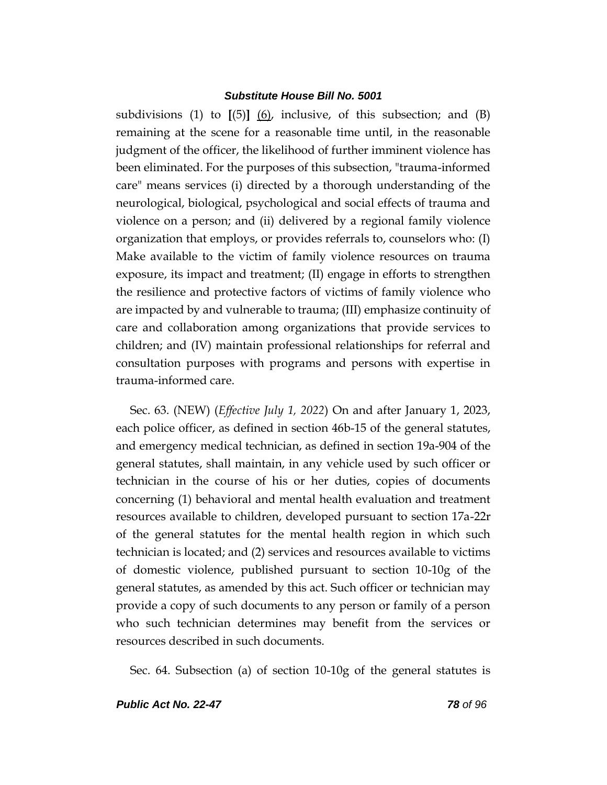subdivisions (1) to **[**(5)**]** (6), inclusive, of this subsection; and (B) remaining at the scene for a reasonable time until, in the reasonable judgment of the officer, the likelihood of further imminent violence has been eliminated. For the purposes of this subsection, "trauma-informed care" means services (i) directed by a thorough understanding of the neurological, biological, psychological and social effects of trauma and violence on a person; and (ii) delivered by a regional family violence organization that employs, or provides referrals to, counselors who: (I) Make available to the victim of family violence resources on trauma exposure, its impact and treatment; (II) engage in efforts to strengthen the resilience and protective factors of victims of family violence who are impacted by and vulnerable to trauma; (III) emphasize continuity of care and collaboration among organizations that provide services to children; and (IV) maintain professional relationships for referral and consultation purposes with programs and persons with expertise in trauma-informed care.

Sec. 63. (NEW) (*Effective July 1, 2022*) On and after January 1, 2023, each police officer, as defined in section 46b-15 of the general statutes, and emergency medical technician, as defined in section 19a-904 of the general statutes, shall maintain, in any vehicle used by such officer or technician in the course of his or her duties, copies of documents concerning (1) behavioral and mental health evaluation and treatment resources available to children, developed pursuant to section 17a-22r of the general statutes for the mental health region in which such technician is located; and (2) services and resources available to victims of domestic violence, published pursuant to section 10-10g of the general statutes, as amended by this act. Such officer or technician may provide a copy of such documents to any person or family of a person who such technician determines may benefit from the services or resources described in such documents.

Sec. 64. Subsection (a) of section 10-10g of the general statutes is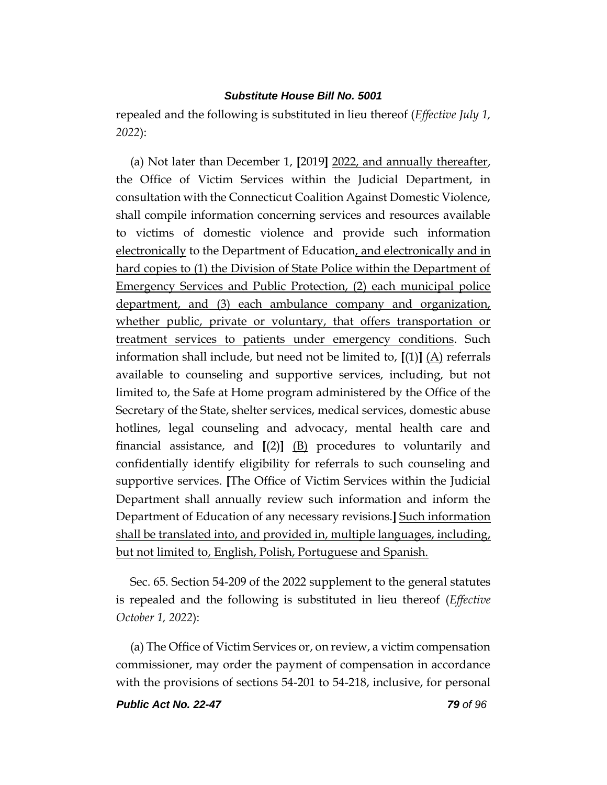repealed and the following is substituted in lieu thereof (*Effective July 1, 2022*):

(a) Not later than December 1, **[**2019**]** 2022, and annually thereafter, the Office of Victim Services within the Judicial Department, in consultation with the Connecticut Coalition Against Domestic Violence, shall compile information concerning services and resources available to victims of domestic violence and provide such information electronically to the Department of Education, and electronically and in hard copies to (1) the Division of State Police within the Department of Emergency Services and Public Protection, (2) each municipal police department, and (3) each ambulance company and organization, whether public, private or voluntary, that offers transportation or treatment services to patients under emergency conditions. Such information shall include, but need not be limited to,  $[(1)]$   $(A)$  referrals available to counseling and supportive services, including, but not limited to, the Safe at Home program administered by the Office of the Secretary of the State, shelter services, medical services, domestic abuse hotlines, legal counseling and advocacy, mental health care and financial assistance, and **[**(2)**]** (B) procedures to voluntarily and confidentially identify eligibility for referrals to such counseling and supportive services. **[**The Office of Victim Services within the Judicial Department shall annually review such information and inform the Department of Education of any necessary revisions.**]** Such information shall be translated into, and provided in, multiple languages, including, but not limited to, English, Polish, Portuguese and Spanish.

Sec. 65. Section 54-209 of the 2022 supplement to the general statutes is repealed and the following is substituted in lieu thereof (*Effective October 1, 2022*):

(a) The Office of Victim Services or, on review, a victim compensation commissioner, may order the payment of compensation in accordance with the provisions of sections 54-201 to 54-218, inclusive, for personal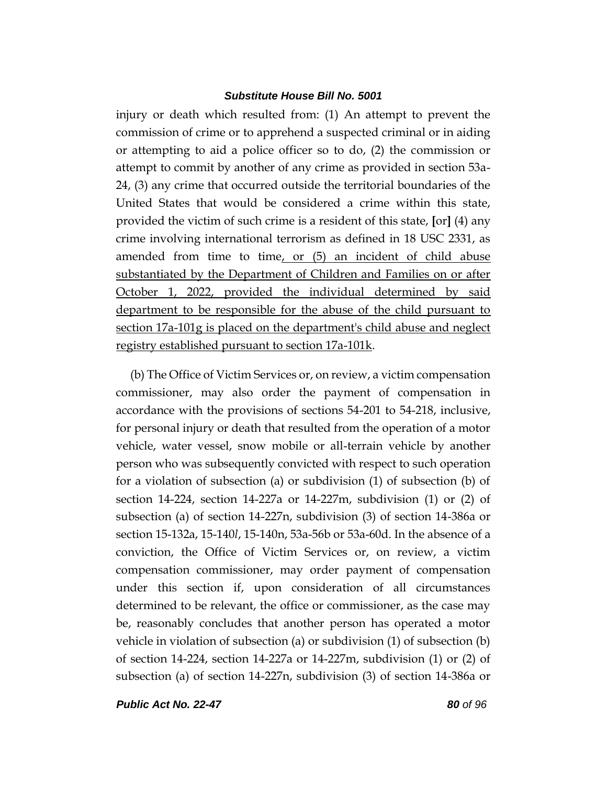injury or death which resulted from: (1) An attempt to prevent the commission of crime or to apprehend a suspected criminal or in aiding or attempting to aid a police officer so to do, (2) the commission or attempt to commit by another of any crime as provided in section 53a-24, (3) any crime that occurred outside the territorial boundaries of the United States that would be considered a crime within this state, provided the victim of such crime is a resident of this state, **[**or**]** (4) any crime involving international terrorism as defined in 18 USC 2331, as amended from time to time, or (5) an incident of child abuse substantiated by the Department of Children and Families on or after October 1, 2022, provided the individual determined by said department to be responsible for the abuse of the child pursuant to section 17a-101g is placed on the department's child abuse and neglect registry established pursuant to section 17a-101k.

(b) The Office of Victim Services or, on review, a victim compensation commissioner, may also order the payment of compensation in accordance with the provisions of sections 54-201 to 54-218, inclusive, for personal injury or death that resulted from the operation of a motor vehicle, water vessel, snow mobile or all-terrain vehicle by another person who was subsequently convicted with respect to such operation for a violation of subsection (a) or subdivision (1) of subsection (b) of section 14-224, section 14-227a or 14-227m, subdivision (1) or (2) of subsection (a) of section 14-227n, subdivision (3) of section 14-386a or section 15-132a, 15-140*l*, 15-140n, 53a-56b or 53a-60d. In the absence of a conviction, the Office of Victim Services or, on review, a victim compensation commissioner, may order payment of compensation under this section if, upon consideration of all circumstances determined to be relevant, the office or commissioner, as the case may be, reasonably concludes that another person has operated a motor vehicle in violation of subsection (a) or subdivision (1) of subsection (b) of section 14-224, section 14-227a or 14-227m, subdivision (1) or (2) of subsection (a) of section 14-227n, subdivision (3) of section 14-386a or

*Public Act No. 22-47 80 of 96*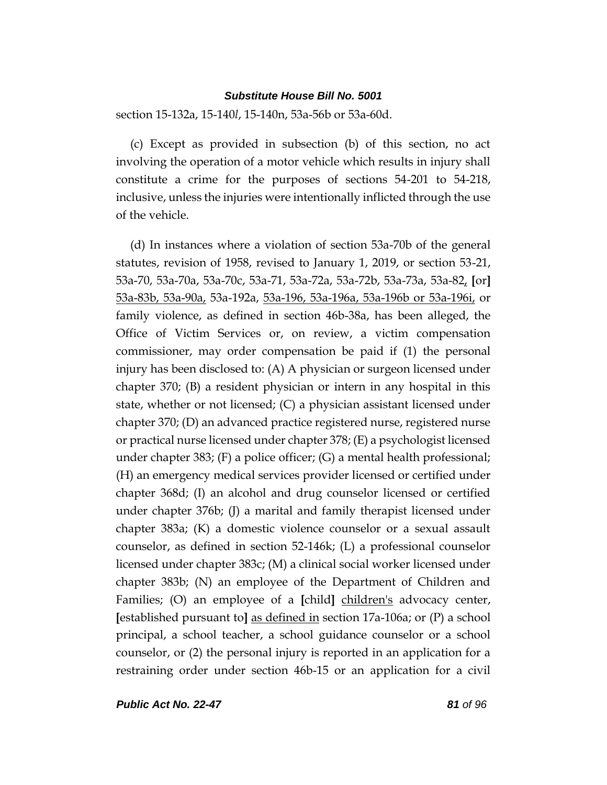section 15-132a, 15-140*l*, 15-140n, 53a-56b or 53a-60d.

(c) Except as provided in subsection (b) of this section, no act involving the operation of a motor vehicle which results in injury shall constitute a crime for the purposes of sections 54-201 to 54-218, inclusive, unless the injuries were intentionally inflicted through the use of the vehicle.

(d) In instances where a violation of section 53a-70b of the general statutes, revision of 1958, revised to January 1, 2019, or section 53-21, 53a-70, 53a-70a, 53a-70c, 53a-71, 53a-72a, 53a-72b, 53a-73a, 53a-82, **[**or**]**  53a-83b, 53a-90a, 53a-192a, 53a-196, 53a-196a, 53a-196b or 53a-196i, or family violence, as defined in section 46b-38a, has been alleged, the Office of Victim Services or, on review, a victim compensation commissioner, may order compensation be paid if (1) the personal injury has been disclosed to: (A) A physician or surgeon licensed under chapter 370; (B) a resident physician or intern in any hospital in this state, whether or not licensed; (C) a physician assistant licensed under chapter 370; (D) an advanced practice registered nurse, registered nurse or practical nurse licensed under chapter 378; (E) a psychologist licensed under chapter 383; (F) a police officer; (G) a mental health professional; (H) an emergency medical services provider licensed or certified under chapter 368d; (I) an alcohol and drug counselor licensed or certified under chapter 376b; (J) a marital and family therapist licensed under chapter 383a; (K) a domestic violence counselor or a sexual assault counselor, as defined in section 52-146k; (L) a professional counselor licensed under chapter 383c; (M) a clinical social worker licensed under chapter 383b; (N) an employee of the Department of Children and Families; (O) an employee of a **[**child**]** children's advocacy center, **[**established pursuant to**]** as defined in section 17a-106a; or (P) a school principal, a school teacher, a school guidance counselor or a school counselor, or (2) the personal injury is reported in an application for a restraining order under section 46b-15 or an application for a civil

*Public Act No. 22-47 81 of 96*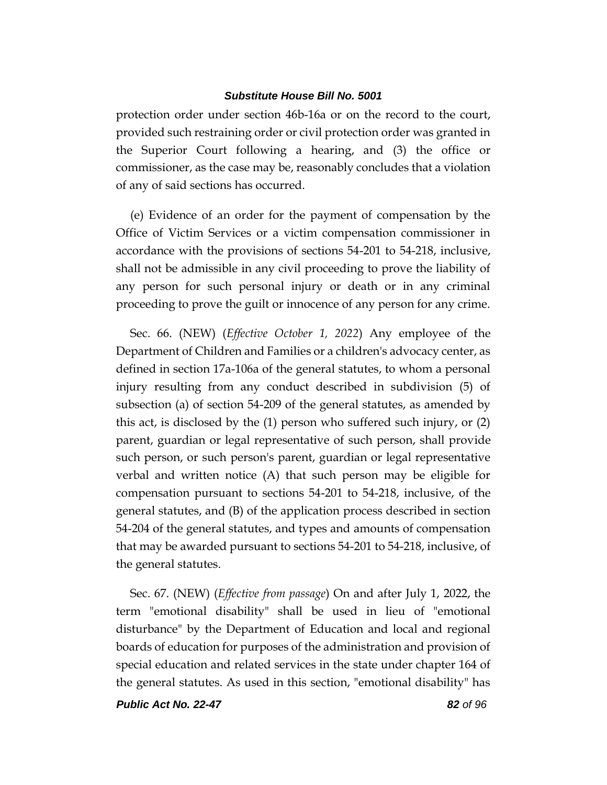protection order under section 46b-16a or on the record to the court, provided such restraining order or civil protection order was granted in the Superior Court following a hearing, and (3) the office or commissioner, as the case may be, reasonably concludes that a violation of any of said sections has occurred.

(e) Evidence of an order for the payment of compensation by the Office of Victim Services or a victim compensation commissioner in accordance with the provisions of sections 54-201 to 54-218, inclusive, shall not be admissible in any civil proceeding to prove the liability of any person for such personal injury or death or in any criminal proceeding to prove the guilt or innocence of any person for any crime.

Sec. 66. (NEW) (*Effective October 1, 2022*) Any employee of the Department of Children and Families or a children's advocacy center, as defined in section 17a-106a of the general statutes, to whom a personal injury resulting from any conduct described in subdivision (5) of subsection (a) of section 54-209 of the general statutes, as amended by this act, is disclosed by the (1) person who suffered such injury, or (2) parent, guardian or legal representative of such person, shall provide such person, or such person's parent, guardian or legal representative verbal and written notice (A) that such person may be eligible for compensation pursuant to sections 54-201 to 54-218, inclusive, of the general statutes, and (B) of the application process described in section 54-204 of the general statutes, and types and amounts of compensation that may be awarded pursuant to sections 54-201 to 54-218, inclusive, of the general statutes.

Sec. 67. (NEW) (*Effective from passage*) On and after July 1, 2022, the term "emotional disability" shall be used in lieu of "emotional disturbance" by the Department of Education and local and regional boards of education for purposes of the administration and provision of special education and related services in the state under chapter 164 of the general statutes. As used in this section, "emotional disability" has

*Public Act No. 22-47 82 of 96*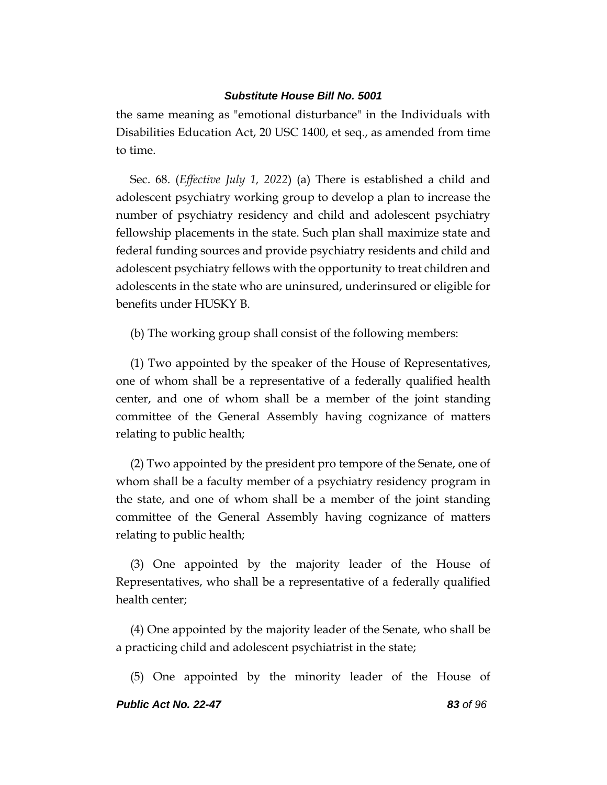the same meaning as "emotional disturbance" in the Individuals with Disabilities Education Act, 20 USC 1400, et seq., as amended from time to time.

Sec. 68. (*Effective July 1, 2022*) (a) There is established a child and adolescent psychiatry working group to develop a plan to increase the number of psychiatry residency and child and adolescent psychiatry fellowship placements in the state. Such plan shall maximize state and federal funding sources and provide psychiatry residents and child and adolescent psychiatry fellows with the opportunity to treat children and adolescents in the state who are uninsured, underinsured or eligible for benefits under HUSKY B.

(b) The working group shall consist of the following members:

(1) Two appointed by the speaker of the House of Representatives, one of whom shall be a representative of a federally qualified health center, and one of whom shall be a member of the joint standing committee of the General Assembly having cognizance of matters relating to public health;

(2) Two appointed by the president pro tempore of the Senate, one of whom shall be a faculty member of a psychiatry residency program in the state, and one of whom shall be a member of the joint standing committee of the General Assembly having cognizance of matters relating to public health;

(3) One appointed by the majority leader of the House of Representatives, who shall be a representative of a federally qualified health center;

(4) One appointed by the majority leader of the Senate, who shall be a practicing child and adolescent psychiatrist in the state;

(5) One appointed by the minority leader of the House of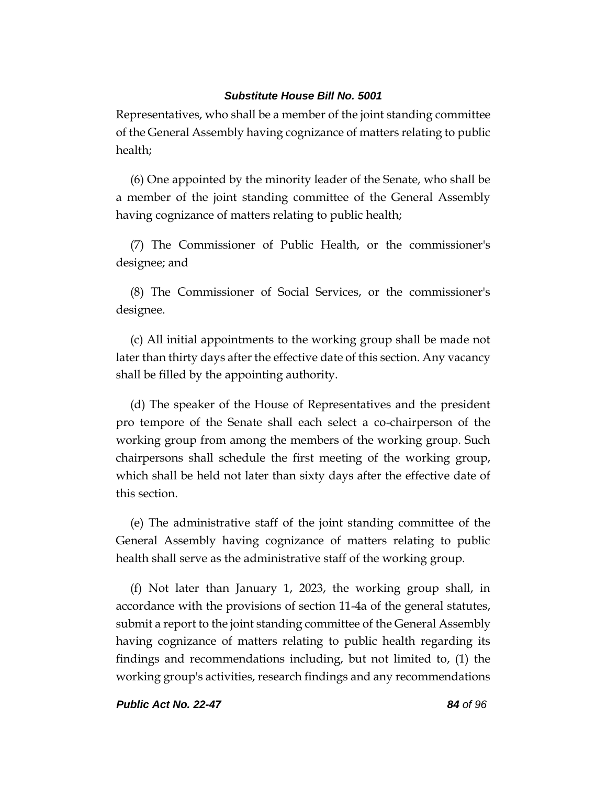Representatives, who shall be a member of the joint standing committee of the General Assembly having cognizance of matters relating to public health;

(6) One appointed by the minority leader of the Senate, who shall be a member of the joint standing committee of the General Assembly having cognizance of matters relating to public health;

(7) The Commissioner of Public Health, or the commissioner's designee; and

(8) The Commissioner of Social Services, or the commissioner's designee.

(c) All initial appointments to the working group shall be made not later than thirty days after the effective date of this section. Any vacancy shall be filled by the appointing authority.

(d) The speaker of the House of Representatives and the president pro tempore of the Senate shall each select a co-chairperson of the working group from among the members of the working group. Such chairpersons shall schedule the first meeting of the working group, which shall be held not later than sixty days after the effective date of this section.

(e) The administrative staff of the joint standing committee of the General Assembly having cognizance of matters relating to public health shall serve as the administrative staff of the working group.

(f) Not later than January 1, 2023, the working group shall, in accordance with the provisions of section 11-4a of the general statutes, submit a report to the joint standing committee of the General Assembly having cognizance of matters relating to public health regarding its findings and recommendations including, but not limited to, (1) the working group's activities, research findings and any recommendations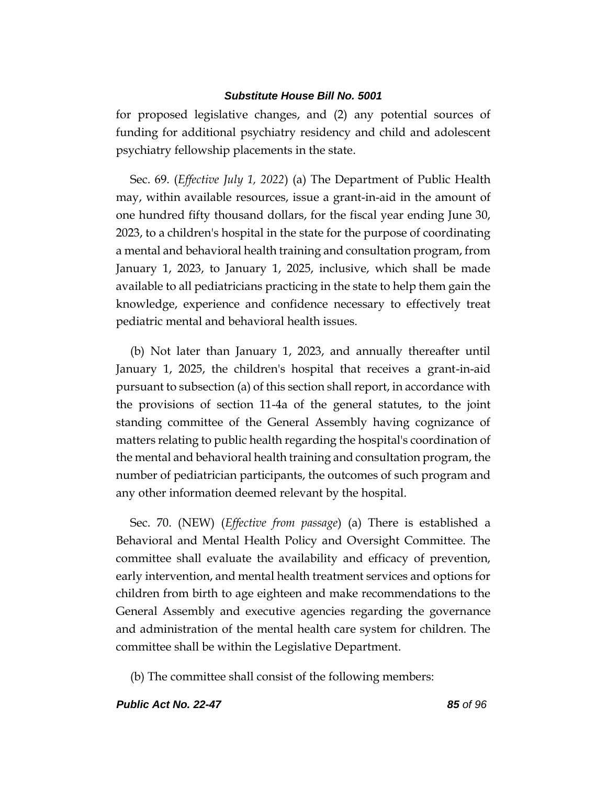for proposed legislative changes, and (2) any potential sources of funding for additional psychiatry residency and child and adolescent psychiatry fellowship placements in the state.

Sec. 69. (*Effective July 1, 2022*) (a) The Department of Public Health may, within available resources, issue a grant-in-aid in the amount of one hundred fifty thousand dollars, for the fiscal year ending June 30, 2023, to a children's hospital in the state for the purpose of coordinating a mental and behavioral health training and consultation program, from January 1, 2023, to January 1, 2025, inclusive, which shall be made available to all pediatricians practicing in the state to help them gain the knowledge, experience and confidence necessary to effectively treat pediatric mental and behavioral health issues.

(b) Not later than January 1, 2023, and annually thereafter until January 1, 2025, the children's hospital that receives a grant-in-aid pursuant to subsection (a) of this section shall report, in accordance with the provisions of section 11-4a of the general statutes, to the joint standing committee of the General Assembly having cognizance of matters relating to public health regarding the hospital's coordination of the mental and behavioral health training and consultation program, the number of pediatrician participants, the outcomes of such program and any other information deemed relevant by the hospital.

Sec. 70. (NEW) (*Effective from passage*) (a) There is established a Behavioral and Mental Health Policy and Oversight Committee. The committee shall evaluate the availability and efficacy of prevention, early intervention, and mental health treatment services and options for children from birth to age eighteen and make recommendations to the General Assembly and executive agencies regarding the governance and administration of the mental health care system for children. The committee shall be within the Legislative Department.

(b) The committee shall consist of the following members: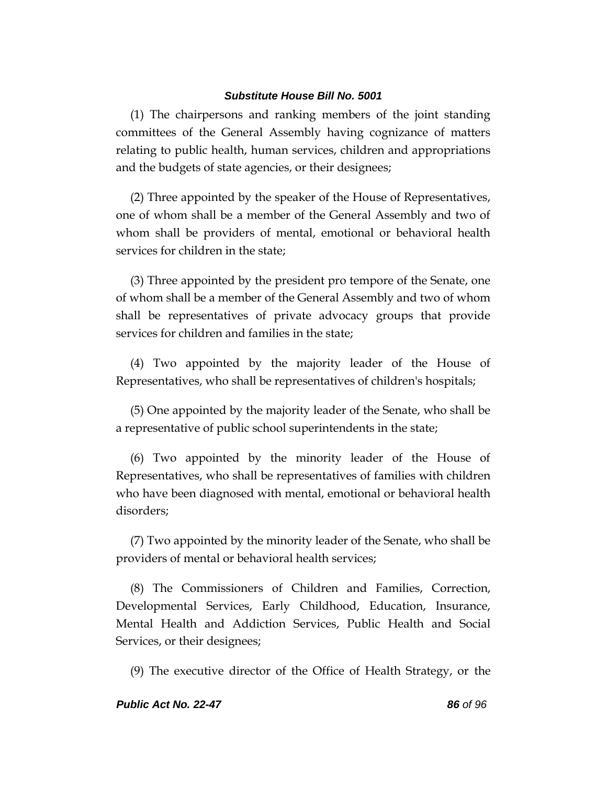(1) The chairpersons and ranking members of the joint standing committees of the General Assembly having cognizance of matters relating to public health, human services, children and appropriations and the budgets of state agencies, or their designees;

(2) Three appointed by the speaker of the House of Representatives, one of whom shall be a member of the General Assembly and two of whom shall be providers of mental, emotional or behavioral health services for children in the state;

(3) Three appointed by the president pro tempore of the Senate, one of whom shall be a member of the General Assembly and two of whom shall be representatives of private advocacy groups that provide services for children and families in the state;

(4) Two appointed by the majority leader of the House of Representatives, who shall be representatives of children's hospitals;

(5) One appointed by the majority leader of the Senate, who shall be a representative of public school superintendents in the state;

(6) Two appointed by the minority leader of the House of Representatives, who shall be representatives of families with children who have been diagnosed with mental, emotional or behavioral health disorders;

(7) Two appointed by the minority leader of the Senate, who shall be providers of mental or behavioral health services;

(8) The Commissioners of Children and Families, Correction, Developmental Services, Early Childhood, Education, Insurance, Mental Health and Addiction Services, Public Health and Social Services, or their designees;

(9) The executive director of the Office of Health Strategy, or the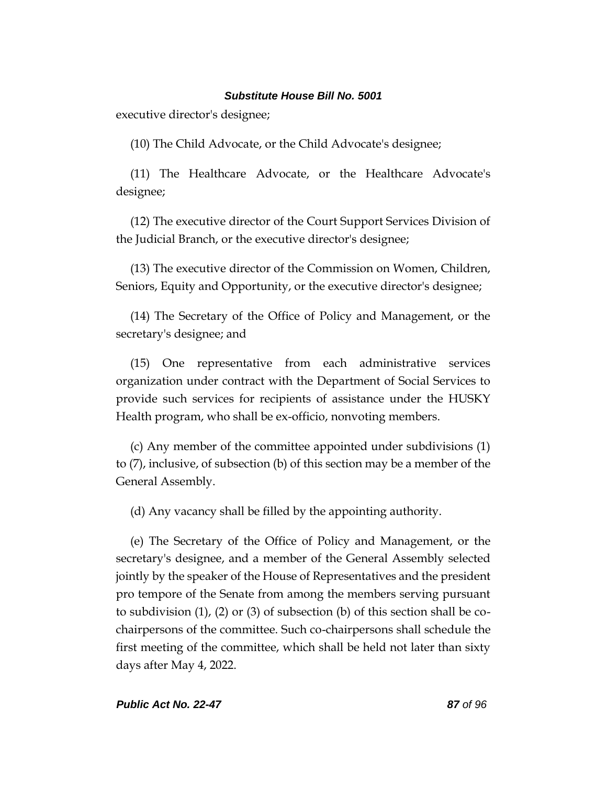executive director's designee;

(10) The Child Advocate, or the Child Advocate's designee;

(11) The Healthcare Advocate, or the Healthcare Advocate's designee;

(12) The executive director of the Court Support Services Division of the Judicial Branch, or the executive director's designee;

(13) The executive director of the Commission on Women, Children, Seniors, Equity and Opportunity, or the executive director's designee;

(14) The Secretary of the Office of Policy and Management, or the secretary's designee; and

(15) One representative from each administrative services organization under contract with the Department of Social Services to provide such services for recipients of assistance under the HUSKY Health program, who shall be ex-officio, nonvoting members.

(c) Any member of the committee appointed under subdivisions (1) to (7), inclusive, of subsection (b) of this section may be a member of the General Assembly.

(d) Any vacancy shall be filled by the appointing authority.

(e) The Secretary of the Office of Policy and Management, or the secretary's designee, and a member of the General Assembly selected jointly by the speaker of the House of Representatives and the president pro tempore of the Senate from among the members serving pursuant to subdivision (1), (2) or (3) of subsection (b) of this section shall be cochairpersons of the committee. Such co-chairpersons shall schedule the first meeting of the committee, which shall be held not later than sixty days after May 4, 2022.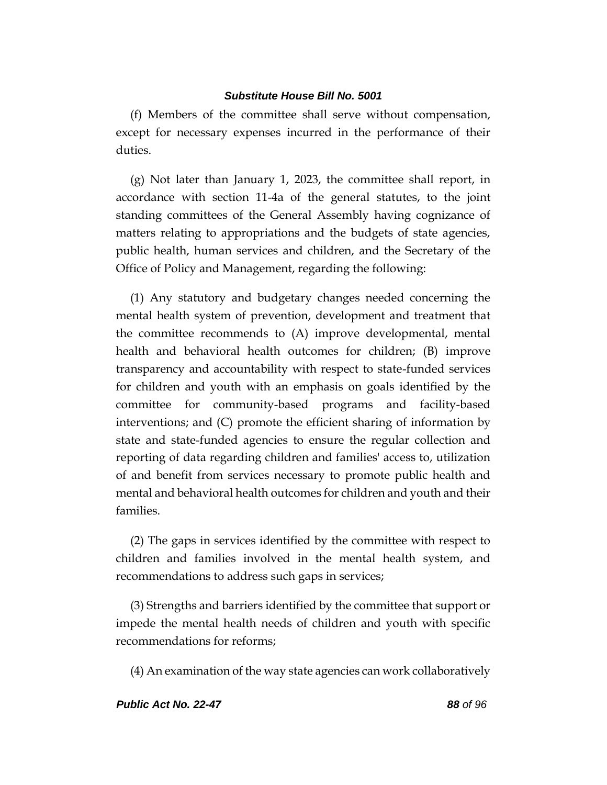(f) Members of the committee shall serve without compensation, except for necessary expenses incurred in the performance of their duties.

(g) Not later than January 1, 2023, the committee shall report, in accordance with section 11-4a of the general statutes, to the joint standing committees of the General Assembly having cognizance of matters relating to appropriations and the budgets of state agencies, public health, human services and children, and the Secretary of the Office of Policy and Management, regarding the following:

(1) Any statutory and budgetary changes needed concerning the mental health system of prevention, development and treatment that the committee recommends to (A) improve developmental, mental health and behavioral health outcomes for children; (B) improve transparency and accountability with respect to state-funded services for children and youth with an emphasis on goals identified by the committee for community-based programs and facility-based interventions; and (C) promote the efficient sharing of information by state and state-funded agencies to ensure the regular collection and reporting of data regarding children and families' access to, utilization of and benefit from services necessary to promote public health and mental and behavioral health outcomes for children and youth and their families.

(2) The gaps in services identified by the committee with respect to children and families involved in the mental health system, and recommendations to address such gaps in services;

(3) Strengths and barriers identified by the committee that support or impede the mental health needs of children and youth with specific recommendations for reforms;

(4) An examination of the way state agencies can work collaboratively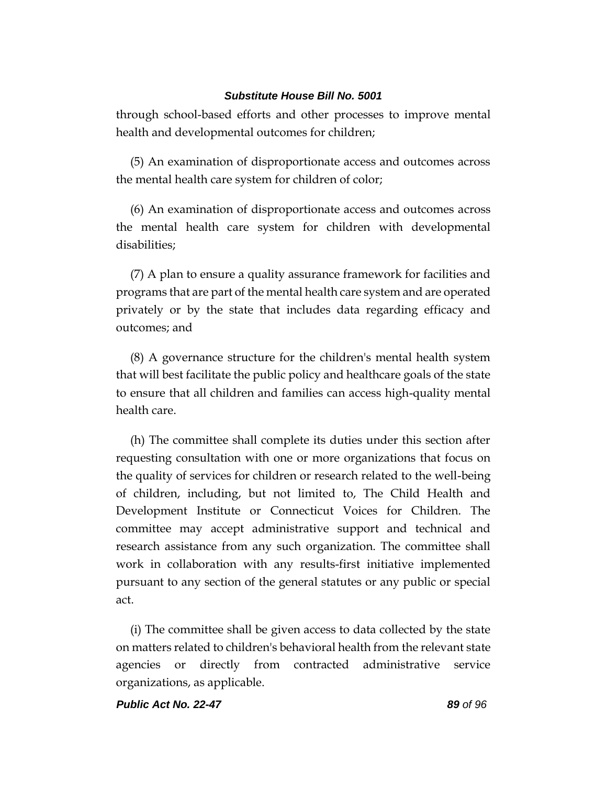through school-based efforts and other processes to improve mental health and developmental outcomes for children;

(5) An examination of disproportionate access and outcomes across the mental health care system for children of color;

(6) An examination of disproportionate access and outcomes across the mental health care system for children with developmental disabilities;

(7) A plan to ensure a quality assurance framework for facilities and programs that are part of the mental health care system and are operated privately or by the state that includes data regarding efficacy and outcomes; and

(8) A governance structure for the children's mental health system that will best facilitate the public policy and healthcare goals of the state to ensure that all children and families can access high-quality mental health care.

(h) The committee shall complete its duties under this section after requesting consultation with one or more organizations that focus on the quality of services for children or research related to the well-being of children, including, but not limited to, The Child Health and Development Institute or Connecticut Voices for Children. The committee may accept administrative support and technical and research assistance from any such organization. The committee shall work in collaboration with any results-first initiative implemented pursuant to any section of the general statutes or any public or special act.

(i) The committee shall be given access to data collected by the state on matters related to children's behavioral health from the relevant state agencies or directly from contracted administrative service organizations, as applicable.

*Public Act No. 22-47 89 of 96*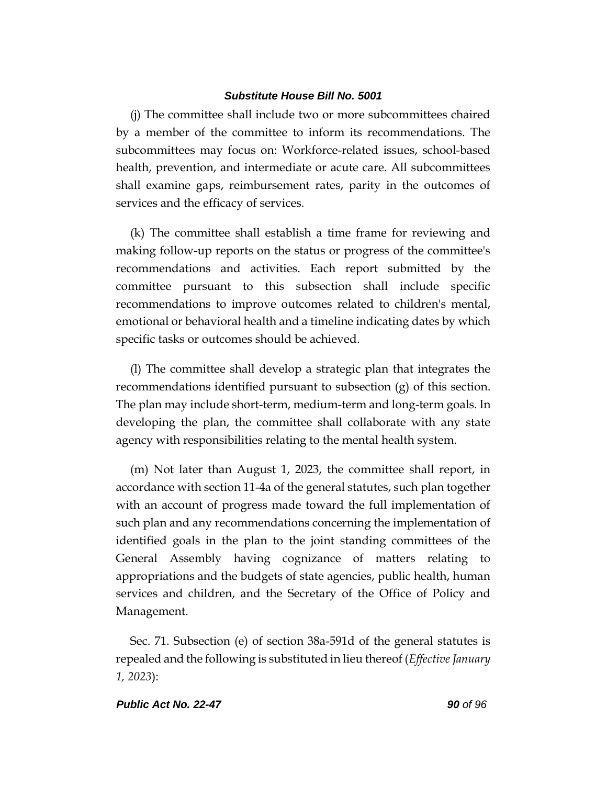(j) The committee shall include two or more subcommittees chaired by a member of the committee to inform its recommendations. The subcommittees may focus on: Workforce-related issues, school-based health, prevention, and intermediate or acute care. All subcommittees shall examine gaps, reimbursement rates, parity in the outcomes of services and the efficacy of services.

(k) The committee shall establish a time frame for reviewing and making follow-up reports on the status or progress of the committee's recommendations and activities. Each report submitted by the committee pursuant to this subsection shall include specific recommendations to improve outcomes related to children's mental, emotional or behavioral health and a timeline indicating dates by which specific tasks or outcomes should be achieved.

(l) The committee shall develop a strategic plan that integrates the recommendations identified pursuant to subsection (g) of this section. The plan may include short-term, medium-term and long-term goals. In developing the plan, the committee shall collaborate with any state agency with responsibilities relating to the mental health system.

(m) Not later than August 1, 2023, the committee shall report, in accordance with section 11-4a of the general statutes, such plan together with an account of progress made toward the full implementation of such plan and any recommendations concerning the implementation of identified goals in the plan to the joint standing committees of the General Assembly having cognizance of matters relating to appropriations and the budgets of state agencies, public health, human services and children, and the Secretary of the Office of Policy and Management.

Sec. 71. Subsection (e) of section 38a-591d of the general statutes is repealed and the following is substituted in lieu thereof (*Effective January 1, 2023*):

#### *Public Act No. 22-47 90 of 96*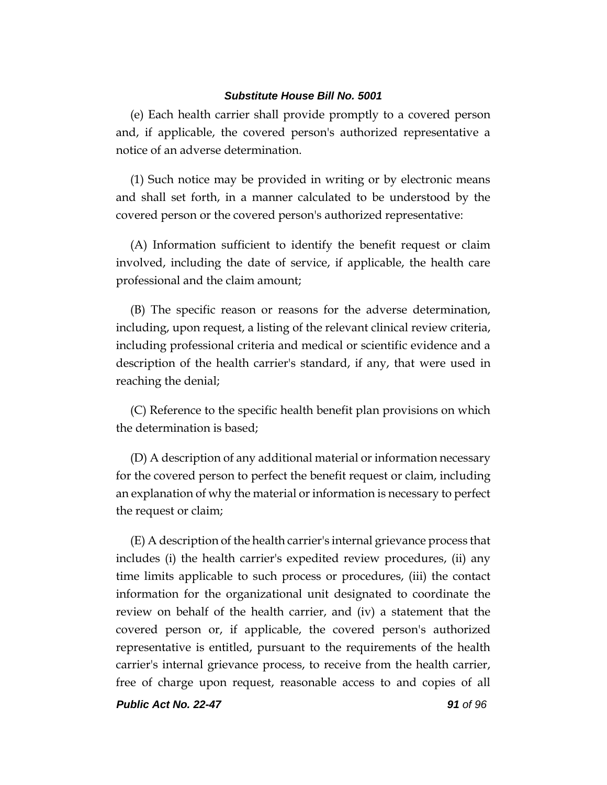(e) Each health carrier shall provide promptly to a covered person and, if applicable, the covered person's authorized representative a notice of an adverse determination.

(1) Such notice may be provided in writing or by electronic means and shall set forth, in a manner calculated to be understood by the covered person or the covered person's authorized representative:

(A) Information sufficient to identify the benefit request or claim involved, including the date of service, if applicable, the health care professional and the claim amount;

(B) The specific reason or reasons for the adverse determination, including, upon request, a listing of the relevant clinical review criteria, including professional criteria and medical or scientific evidence and a description of the health carrier's standard, if any, that were used in reaching the denial;

(C) Reference to the specific health benefit plan provisions on which the determination is based;

(D) A description of any additional material or information necessary for the covered person to perfect the benefit request or claim, including an explanation of why the material or information is necessary to perfect the request or claim;

(E) A description of the health carrier's internal grievance process that includes (i) the health carrier's expedited review procedures, (ii) any time limits applicable to such process or procedures, (iii) the contact information for the organizational unit designated to coordinate the review on behalf of the health carrier, and (iv) a statement that the covered person or, if applicable, the covered person's authorized representative is entitled, pursuant to the requirements of the health carrier's internal grievance process, to receive from the health carrier, free of charge upon request, reasonable access to and copies of all

*Public Act No. 22-47 91 of 96*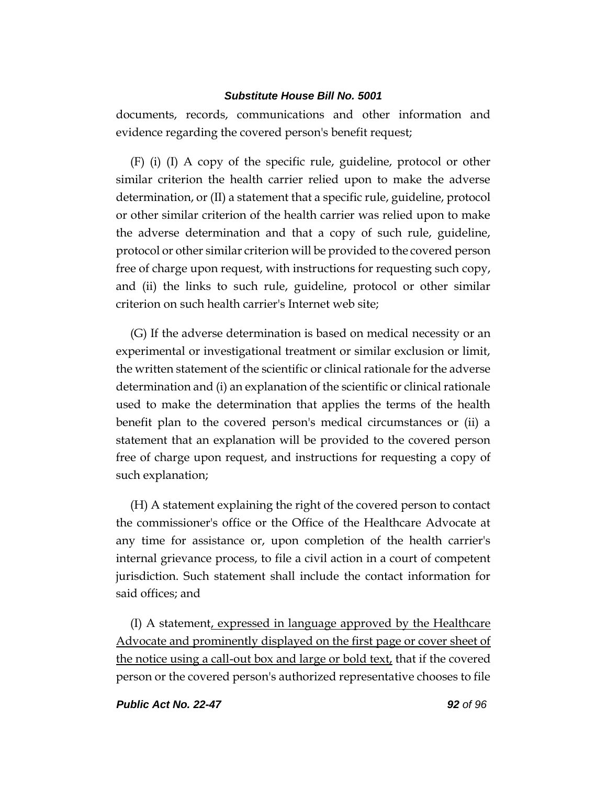documents, records, communications and other information and evidence regarding the covered person's benefit request;

(F) (i) (I) A copy of the specific rule, guideline, protocol or other similar criterion the health carrier relied upon to make the adverse determination, or (II) a statement that a specific rule, guideline, protocol or other similar criterion of the health carrier was relied upon to make the adverse determination and that a copy of such rule, guideline, protocol or other similar criterion will be provided to the covered person free of charge upon request, with instructions for requesting such copy, and (ii) the links to such rule, guideline, protocol or other similar criterion on such health carrier's Internet web site;

(G) If the adverse determination is based on medical necessity or an experimental or investigational treatment or similar exclusion or limit, the written statement of the scientific or clinical rationale for the adverse determination and (i) an explanation of the scientific or clinical rationale used to make the determination that applies the terms of the health benefit plan to the covered person's medical circumstances or (ii) a statement that an explanation will be provided to the covered person free of charge upon request, and instructions for requesting a copy of such explanation;

(H) A statement explaining the right of the covered person to contact the commissioner's office or the Office of the Healthcare Advocate at any time for assistance or, upon completion of the health carrier's internal grievance process, to file a civil action in a court of competent jurisdiction. Such statement shall include the contact information for said offices; and

(I) A statement, expressed in language approved by the Healthcare Advocate and prominently displayed on the first page or cover sheet of the notice using a call-out box and large or bold text, that if the covered person or the covered person's authorized representative chooses to file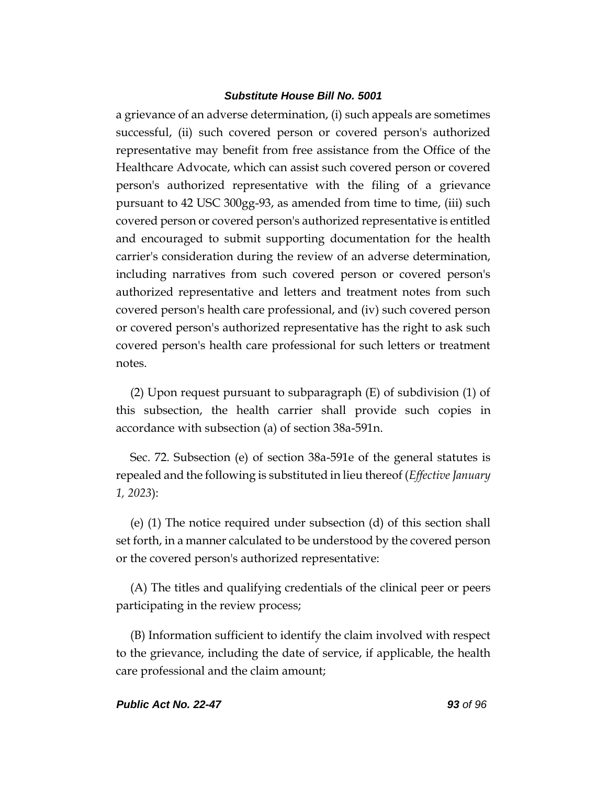a grievance of an adverse determination, (i) such appeals are sometimes successful, (ii) such covered person or covered person's authorized representative may benefit from free assistance from the Office of the Healthcare Advocate, which can assist such covered person or covered person's authorized representative with the filing of a grievance pursuant to 42 USC 300gg-93, as amended from time to time, (iii) such covered person or covered person's authorized representative is entitled and encouraged to submit supporting documentation for the health carrier's consideration during the review of an adverse determination, including narratives from such covered person or covered person's authorized representative and letters and treatment notes from such covered person's health care professional, and (iv) such covered person or covered person's authorized representative has the right to ask such covered person's health care professional for such letters or treatment notes.

(2) Upon request pursuant to subparagraph (E) of subdivision (1) of this subsection, the health carrier shall provide such copies in accordance with subsection (a) of section 38a-591n.

Sec. 72. Subsection (e) of section 38a-591e of the general statutes is repealed and the following is substituted in lieu thereof (*Effective January 1, 2023*):

(e) (1) The notice required under subsection (d) of this section shall set forth, in a manner calculated to be understood by the covered person or the covered person's authorized representative:

(A) The titles and qualifying credentials of the clinical peer or peers participating in the review process;

(B) Information sufficient to identify the claim involved with respect to the grievance, including the date of service, if applicable, the health care professional and the claim amount;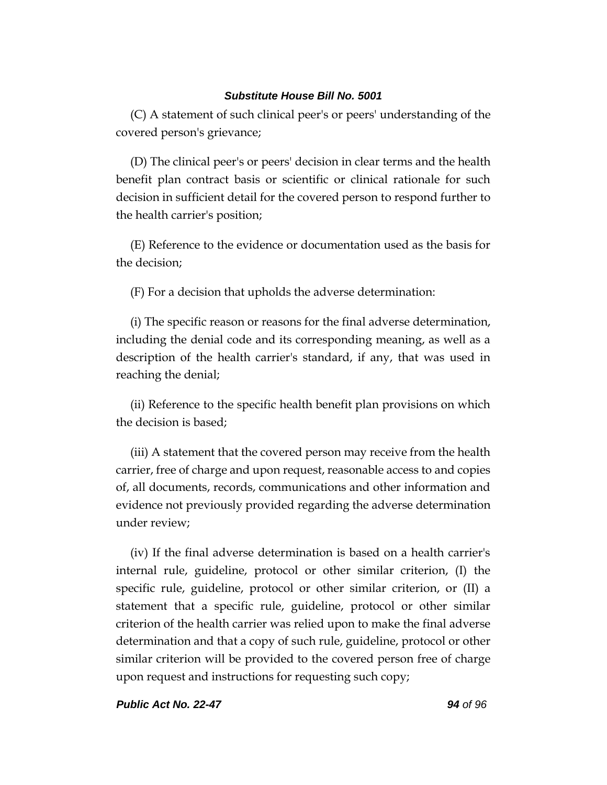(C) A statement of such clinical peer's or peers' understanding of the covered person's grievance;

(D) The clinical peer's or peers' decision in clear terms and the health benefit plan contract basis or scientific or clinical rationale for such decision in sufficient detail for the covered person to respond further to the health carrier's position;

(E) Reference to the evidence or documentation used as the basis for the decision;

(F) For a decision that upholds the adverse determination:

(i) The specific reason or reasons for the final adverse determination, including the denial code and its corresponding meaning, as well as a description of the health carrier's standard, if any, that was used in reaching the denial;

(ii) Reference to the specific health benefit plan provisions on which the decision is based;

(iii) A statement that the covered person may receive from the health carrier, free of charge and upon request, reasonable access to and copies of, all documents, records, communications and other information and evidence not previously provided regarding the adverse determination under review;

(iv) If the final adverse determination is based on a health carrier's internal rule, guideline, protocol or other similar criterion, (I) the specific rule, guideline, protocol or other similar criterion, or (II) a statement that a specific rule, guideline, protocol or other similar criterion of the health carrier was relied upon to make the final adverse determination and that a copy of such rule, guideline, protocol or other similar criterion will be provided to the covered person free of charge upon request and instructions for requesting such copy;

*Public Act No. 22-47 94 of 96*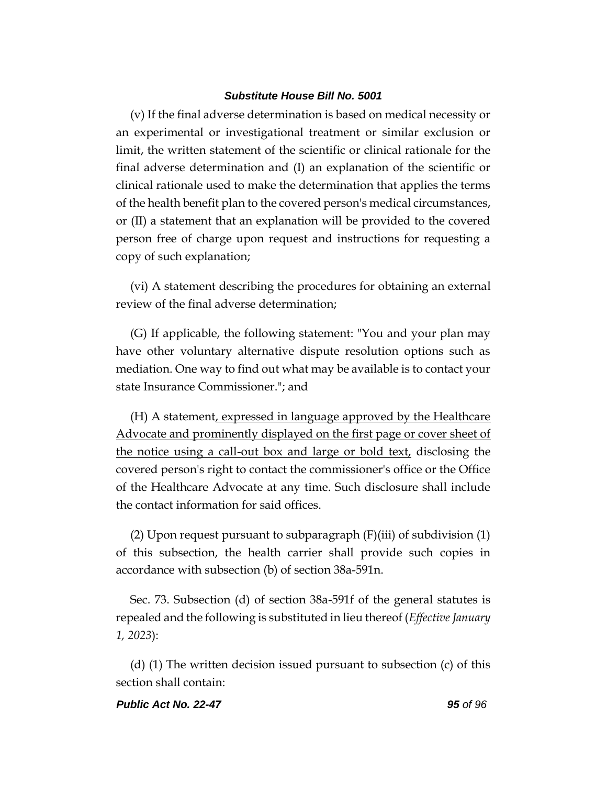(v) If the final adverse determination is based on medical necessity or an experimental or investigational treatment or similar exclusion or limit, the written statement of the scientific or clinical rationale for the final adverse determination and (I) an explanation of the scientific or clinical rationale used to make the determination that applies the terms of the health benefit plan to the covered person's medical circumstances, or (II) a statement that an explanation will be provided to the covered person free of charge upon request and instructions for requesting a copy of such explanation;

(vi) A statement describing the procedures for obtaining an external review of the final adverse determination;

(G) If applicable, the following statement: "You and your plan may have other voluntary alternative dispute resolution options such as mediation. One way to find out what may be available is to contact your state Insurance Commissioner."; and

(H) A statement, expressed in language approved by the Healthcare Advocate and prominently displayed on the first page or cover sheet of the notice using a call-out box and large or bold text, disclosing the covered person's right to contact the commissioner's office or the Office of the Healthcare Advocate at any time. Such disclosure shall include the contact information for said offices.

(2) Upon request pursuant to subparagraph  $(F)(iii)$  of subdivision  $(1)$ of this subsection, the health carrier shall provide such copies in accordance with subsection (b) of section 38a-591n.

Sec. 73. Subsection (d) of section 38a-591f of the general statutes is repealed and the following is substituted in lieu thereof (*Effective January 1, 2023*):

(d) (1) The written decision issued pursuant to subsection (c) of this section shall contain:

#### *Public Act No. 22-47 95 of 96*